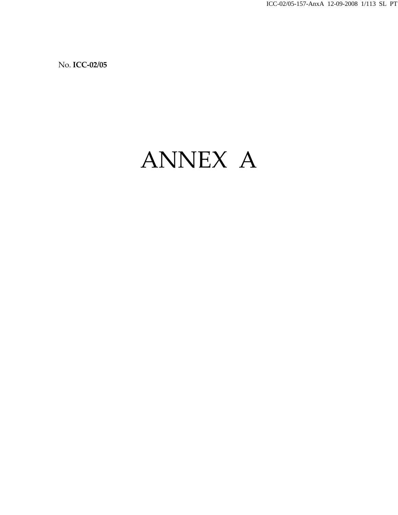ICC-02/05-157-AnxA 12-09-2008 1/113 SL PT

No. **ICC‐02/05**

# ANNEX A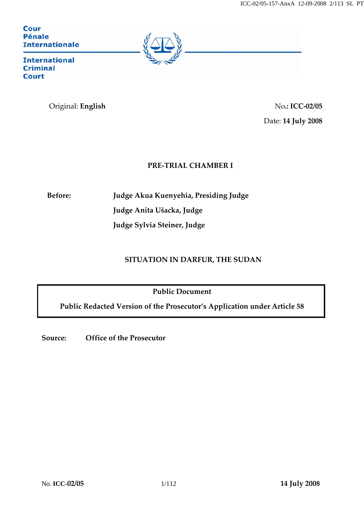## **Cour Pénale Internationale**



**International Criminal Court** 

# Original: **English** No**.: ICC‐02/05**

Date: **14 July 2008**

# **PRE‐TRIAL CHAMBER I**

**Before: Judge Akua Kuenyehia, Presiding Judge Judge Anita Ušacka, Judge Judge Sylvia Steiner, Judge**

# **SITUATION IN DARFUR, THE SUDAN**

**Public Document**

**Public Redacted Version of the Prosecutor's Application under Article 58**

**Source: Office of the Prosecutor**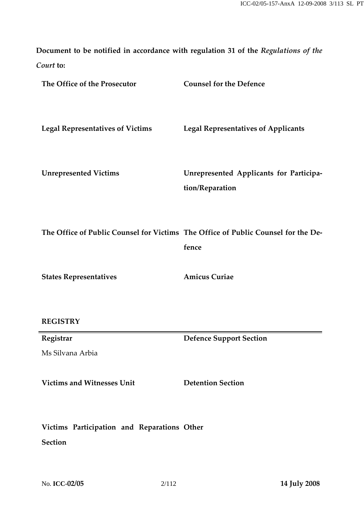**Document to be notified in accordance with regulation 31 of the** *Regulations of the Court* **to:**

| The Office of the Prosecutor            | <b>Counsel for the Defence</b>                             |
|-----------------------------------------|------------------------------------------------------------|
| <b>Legal Representatives of Victims</b> | <b>Legal Representatives of Applicants</b>                 |
| <b>Unrepresented Victims</b>            | Unrepresented Applicants for Participa-<br>tion/Reparation |
|                                         |                                                            |

**The Office of Public Counsel for Victims The Office of Public Counsel for the De‐ fence**

**States Representatives**

**Amicus Curiae**

# **REGISTRY**

**Registrar**

Ms Silvana Arbia

**Victims and Witnesses Unit Detention Section**

**Defence Support Section**

**Victims Participation and Reparations Other**

**Section**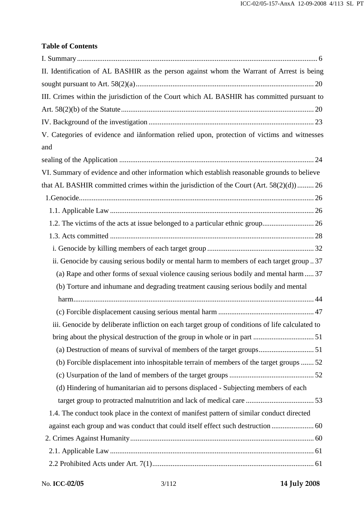# **Table of Contents**

| II. Identification of AL BASHIR as the person against whom the Warrant of Arrest is being       |
|-------------------------------------------------------------------------------------------------|
|                                                                                                 |
| III. Crimes within the jurisdiction of the Court which AL BASHIR has committed pursuant to      |
|                                                                                                 |
|                                                                                                 |
| V. Categories of evidence and iănformation relied upon, protection of victims and witnesses     |
| and                                                                                             |
|                                                                                                 |
| VI. Summary of evidence and other information which establish reasonable grounds to believe     |
| that AL BASHIR committed crimes within the jurisdiction of the Court (Art. 58(2)(d)) 26         |
|                                                                                                 |
|                                                                                                 |
|                                                                                                 |
|                                                                                                 |
|                                                                                                 |
| ii. Genocide by causing serious bodily or mental harm to members of each target group  37       |
| (a) Rape and other forms of sexual violence causing serious bodily and mental harm  37          |
| (b) Torture and inhumane and degrading treatment causing serious bodily and mental              |
|                                                                                                 |
|                                                                                                 |
| iii. Genocide by deliberate infliction on each target group of conditions of life calculated to |
|                                                                                                 |
|                                                                                                 |
| (b) Forcible displacement into inhospitable terrain of members of the target groups  52         |
|                                                                                                 |
| (d) Hindering of humanitarian aid to persons displaced - Subjecting members of each             |
|                                                                                                 |
| 1.4. The conduct took place in the context of manifest pattern of similar conduct directed      |
|                                                                                                 |
|                                                                                                 |
|                                                                                                 |
|                                                                                                 |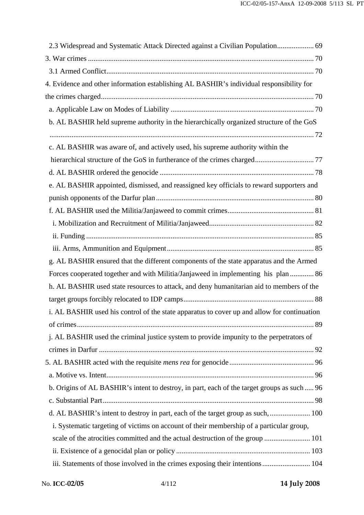| 2.3 Widespread and Systematic Attack Directed against a Civilian Population 69              |  |
|---------------------------------------------------------------------------------------------|--|
|                                                                                             |  |
|                                                                                             |  |
| 4. Evidence and other information establishing AL BASHIR's individual responsibility for    |  |
|                                                                                             |  |
|                                                                                             |  |
| b. AL BASHIR held supreme authority in the hierarchically organized structure of the GoS    |  |
|                                                                                             |  |
| c. AL BASHIR was aware of, and actively used, his supreme authority within the              |  |
|                                                                                             |  |
|                                                                                             |  |
| e. AL BASHIR appointed, dismissed, and reassigned key officials to reward supporters and    |  |
|                                                                                             |  |
|                                                                                             |  |
|                                                                                             |  |
|                                                                                             |  |
|                                                                                             |  |
| g. AL BASHIR ensured that the different components of the state apparatus and the Armed     |  |
| Forces cooperated together and with Militia/Janjaweed in implementing his plan  86          |  |
| h. AL BASHIR used state resources to attack, and deny humanitarian aid to members of the    |  |
|                                                                                             |  |
| i. AL BASHIR used his control of the state apparatus to cover up and allow for continuation |  |
|                                                                                             |  |
| j. AL BASHIR used the criminal justice system to provide impunity to the perpetrators of    |  |
|                                                                                             |  |
|                                                                                             |  |
|                                                                                             |  |
| b. Origins of AL BASHIR's intent to destroy, in part, each of the target groups as such  96 |  |
|                                                                                             |  |
| d. AL BASHIR's intent to destroy in part, each of the target group as such,  100            |  |
| i. Systematic targeting of victims on account of their membership of a particular group,    |  |
| scale of the atrocities committed and the actual destruction of the group  101              |  |
|                                                                                             |  |
| iii. Statements of those involved in the crimes exposing their intentions 104               |  |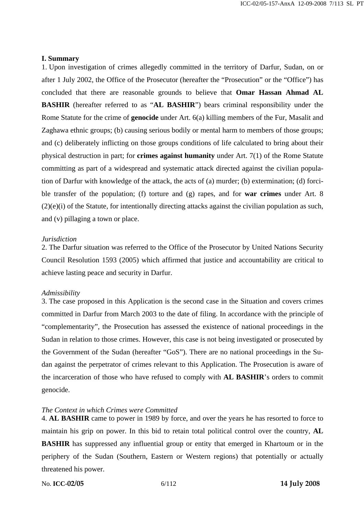#### **I. Summary**

1. Upon investigation of crimes allegedly committed in the territory of Darfur, Sudan, on or after 1 July 2002, the Office of the Prosecutor (hereafter the "Prosecution" or the "Office") has concluded that there are reasonable grounds to believe that **Omar Hassan Ahmad AL BASHIR** (hereafter referred to as "**AL BASHIR**") bears criminal responsibility under the Rome Statute for the crime of **genocide** under Art. 6(a) killing members of the Fur, Masalit and Zaghawa ethnic groups; (b) causing serious bodily or mental harm to members of those groups; and (c) deliberately inflicting on those groups conditions of life calculated to bring about their physical destruction in part; for **crimes against humanity** under Art. 7(1) of the Rome Statute committing as part of a widespread and systematic attack directed against the civilian population of Darfur with knowledge of the attack, the acts of (a) murder; (b) extermination; (d) forcible transfer of the population; (f) torture and (g) rapes, and for **war crimes** under Art. 8 (2)(e)(i) of the Statute, for intentionally directing attacks against the civilian population as such, and (v) pillaging a town or place.

#### *Jurisdiction*

2. The Darfur situation was referred to the Office of the Prosecutor by United Nations Security Council Resolution 1593 (2005) which affirmed that justice and accountability are critical to achieve lasting peace and security in Darfur.

#### *Admissibility*

3. The case proposed in this Application is the second case in the Situation and covers crimes committed in Darfur from March 2003 to the date of filing. In accordance with the principle of "complementarity", the Prosecution has assessed the existence of national proceedings in the Sudan in relation to those crimes. However, this case is not being investigated or prosecuted by the Government of the Sudan (hereafter "GoS"). There are no national proceedings in the Sudan against the perpetrator of crimes relevant to this Application. The Prosecution is aware of the incarceration of those who have refused to comply with **AL BASHIR**'s orders to commit genocide.

#### *The Context in which Crimes were Committed*

4. **AL BASHIR** came to power in 1989 by force, and over the years he has resorted to force to maintain his grip on power. In this bid to retain total political control over the country, **AL BASHIR** has suppressed any influential group or entity that emerged in Khartoum or in the periphery of the Sudan (Southern, Eastern or Western regions) that potentially or actually threatened his power.

No. **ICC-02/05** 6/112 **14 July 2008**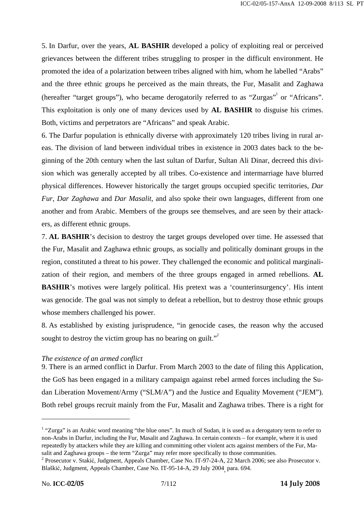5. In Darfur, over the years, **AL BASHIR** developed a policy of exploiting real or perceived grievances between the different tribes struggling to prosper in the difficult environment. He promoted the idea of a polarization between tribes aligned with him, whom he labelled "Arabs" and the three ethnic groups he perceived as the main threats, the Fur, Masalit and Zaghawa (hereafter "target groups"), who became derogatorily referred to as "Zurgas"<sup>1</sup> or "Africans". This exploitation is only one of many devices used by **AL BASHIR** to disguise his crimes. Both, victims and perpetrators are "Africans" and speak Arabic.

6. The Darfur population is ethnically diverse with approximately 120 tribes living in rural areas. The division of land between individual tribes in existence in 2003 dates back to the beginning of the 20th century when the last sultan of Darfur, Sultan Ali Dinar, decreed this division which was generally accepted by all tribes. Co-existence and intermarriage have blurred physical differences. However historically the target groups occupied specific territories, *Dar Fur*, *Dar Zaghawa* and *Dar Masalit*, and also spoke their own languages, different from one another and from Arabic. Members of the groups see themselves, and are seen by their attackers, as different ethnic groups.

7. **AL BASHIR**'s decision to destroy the target groups developed over time. He assessed that the Fur, Masalit and Zaghawa ethnic groups, as socially and politically dominant groups in the region, constituted a threat to his power. They challenged the economic and political marginalization of their region, and members of the three groups engaged in armed rebellions. **AL BASHIR**'s motives were largely political. His pretext was a 'counterinsurgency'. His intent was genocide. The goal was not simply to defeat a rebellion, but to destroy those ethnic groups whose members challenged his power.

8. As established by existing jurisprudence, "in genocide cases, the reason why the accused sought to destroy the victim group has no bearing on guilt. $\mathbf{r}^2$ 

## *The existence of an armed conflict*

9. There is an armed conflict in Darfur. From March 2003 to the date of filing this Application, the GoS has been engaged in a military campaign against rebel armed forces including the Sudan Liberation Movement/Army ("SLM/A") and the Justice and Equality Movement ("JEM"). Both rebel groups recruit mainly from the Fur, Masalit and Zaghawa tribes. There is a right for

<sup>&</sup>lt;sup>1</sup> "Zurga" is an Arabic word meaning "the blue ones". In much of Sudan, it is used as a derogatory term to refer to non-Arabs in Darfur, including the Fur, Masalit and Zaghawa. In certain contexts – for example, where it is used repeatedly by attackers while they are killing and committing other violent acts against members of the Fur, Masalit and Zaghawa groups – the term "Zurga" may refer more specifically to those communities.

<sup>&</sup>lt;sup>2</sup> Prosecutor v. Stakić, Judgment, Appeals Chamber, Case No. IT-97-24-A, 22 March 2006; see also Prosecutor v. Blaškić, Judgment, Appeals Chamber, Case No. IT-95-14-A, 29 July 2004, para. 694.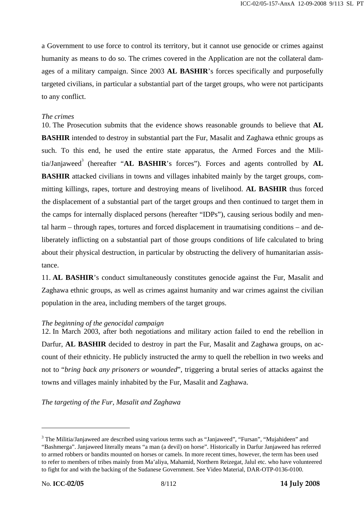a Government to use force to control its territory, but it cannot use genocide or crimes against humanity as means to do so. The crimes covered in the Application are not the collateral damages of a military campaign. Since 2003 **AL BASHIR**'s forces specifically and purposefully targeted civilians, in particular a substantial part of the target groups, who were not participants to any conflict.

# *The crimes*

10. The Prosecution submits that the evidence shows reasonable grounds to believe that **AL BASHIR** intended to destroy in substantial part the Fur, Masalit and Zaghawa ethnic groups as such. To this end, he used the entire state apparatus, the Armed Forces and the Militia/Janjaweed<sup>3</sup> (hereafter "AL BASHIR's forces"). Forces and agents controlled by AL **BASHIR** attacked civilians in towns and villages inhabited mainly by the target groups, committing killings, rapes, torture and destroying means of livelihood. **AL BASHIR** thus forced the displacement of a substantial part of the target groups and then continued to target them in the camps for internally displaced persons (hereafter "IDPs"), causing serious bodily and mental harm – through rapes, tortures and forced displacement in traumatising conditions – and deliberately inflicting on a substantial part of those groups conditions of life calculated to bring about their physical destruction, in particular by obstructing the delivery of humanitarian assistance.

11. **AL BASHIR**'s conduct simultaneously constitutes genocide against the Fur, Masalit and Zaghawa ethnic groups, as well as crimes against humanity and war crimes against the civilian population in the area, including members of the target groups.

# *The beginning of the genocidal campaign*

12. In March 2003, after both negotiations and military action failed to end the rebellion in Darfur, **AL BASHIR** decided to destroy in part the Fur, Masalit and Zaghawa groups, on account of their ethnicity. He publicly instructed the army to quell the rebellion in two weeks and not to "*bring back any prisoners or wounded*", triggering a brutal series of attacks against the towns and villages mainly inhabited by the Fur, Masalit and Zaghawa.

*The targeting of the Fur, Masalit and Zaghawa*

 $3$  The Militia/Janjaweed are described using various terms such as "Janjaweed", "Fursan", "Mujahideen" and "Bashmerga". Janjaweed literally means "a man (a devil) on horse". Historically in Darfur Janjaweed has referred to armed robbers or bandits mounted on horses or camels. In more recent times, however, the term has been used to refer to members of tribes mainly from Ma'aliya, Mahamid, Northern Reizegat, Jalul etc. who have volunteered to fight for and with the backing of the Sudanese Government. See Video Material, DAR-OTP-0136-0100.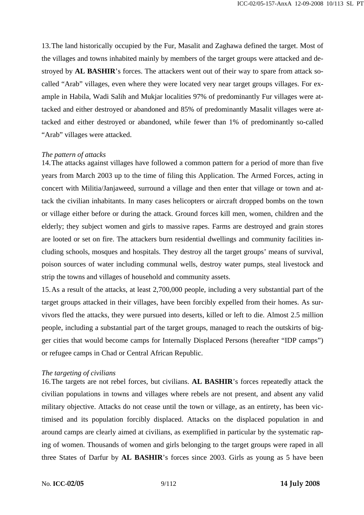13.The land historically occupied by the Fur, Masalit and Zaghawa defined the target. Most of the villages and towns inhabited mainly by members of the target groups were attacked and destroyed by **AL BASHIR**'s forces. The attackers went out of their way to spare from attack socalled "Arab" villages, even where they were located very near target groups villages. For example in Habila, Wadi Salih and Mukjar localities 97% of predominantly Fur villages were attacked and either destroyed or abandoned and 85% of predominantly Masalit villages were attacked and either destroyed or abandoned, while fewer than 1% of predominantly so-called "Arab" villages were attacked.

## *The pattern of attacks*

14.The attacks against villages have followed a common pattern for a period of more than five years from March 2003 up to the time of filing this Application. The Armed Forces, acting in concert with Militia/Janjaweed, surround a village and then enter that village or town and attack the civilian inhabitants. In many cases helicopters or aircraft dropped bombs on the town or village either before or during the attack. Ground forces kill men, women, children and the elderly; they subject women and girls to massive rapes. Farms are destroyed and grain stores are looted or set on fire. The attackers burn residential dwellings and community facilities including schools, mosques and hospitals. They destroy all the target groups' means of survival, poison sources of water including communal wells, destroy water pumps, steal livestock and strip the towns and villages of household and community assets.

15.As a result of the attacks, at least 2,700,000 people, including a very substantial part of the target groups attacked in their villages, have been forcibly expelled from their homes. As survivors fled the attacks, they were pursued into deserts, killed or left to die. Almost 2.5 million people, including a substantial part of the target groups, managed to reach the outskirts of bigger cities that would become camps for Internally Displaced Persons (hereafter "IDP camps") or refugee camps in Chad or Central African Republic.

## *The targeting of civilians*

16.The targets are not rebel forces, but civilians. **AL BASHIR**'s forces repeatedly attack the civilian populations in towns and villages where rebels are not present, and absent any valid military objective. Attacks do not cease until the town or village, as an entirety, has been victimised and its population forcibly displaced. Attacks on the displaced population in and around camps are clearly aimed at civilians, as exemplified in particular by the systematic raping of women. Thousands of women and girls belonging to the target groups were raped in all three States of Darfur by **AL BASHIR**'s forces since 2003. Girls as young as 5 have been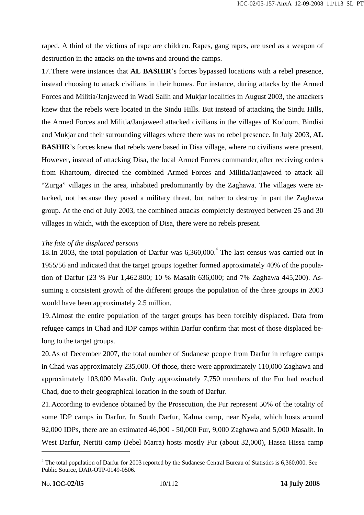raped. A third of the victims of rape are children. Rapes, gang rapes, are used as a weapon of destruction in the attacks on the towns and around the camps.

17.There were instances that **AL BASHIR**'s forces bypassed locations with a rebel presence, instead choosing to attack civilians in their homes. For instance, during attacks by the Armed Forces and Militia/Janjaweed in Wadi Salih and Mukjar localities in August 2003, the attackers knew that the rebels were located in the Sindu Hills. But instead of attacking the Sindu Hills, the Armed Forces and Militia/Janjaweed attacked civilians in the villages of Kodoom, Bindisi and Mukjar and their surrounding villages where there was no rebel presence. In July 2003, **AL BASHIR**'s forces knew that rebels were based in Disa village, where no civilians were present. However, instead of attacking Disa, the local Armed Forces commander, after receiving orders from Khartoum, directed the combined Armed Forces and Militia/Janjaweed to attack all "Zurga" villages in the area, inhabited predominantly by the Zaghawa. The villages were attacked, not because they posed a military threat, but rather to destroy in part the Zaghawa group. At the end of July 2003, the combined attacks completely destroyed between 25 and 30 villages in which, with the exception of Disa, there were no rebels present.

## *The fate of the displaced persons*

18. In 2003, the total population of Darfur was  $6,360,000$ .<sup>4</sup> The last census was carried out in 1955/56 and indicated that the target groups together formed approximately 40% of the population of Darfur (23 % Fur 1,462.800; 10 % Masalit 636,000; and 7% Zaghawa 445,200). Assuming a consistent growth of the different groups the population of the three groups in 2003 would have been approximately 2.5 million.

19.Almost the entire population of the target groups has been forcibly displaced. Data from refugee camps in Chad and IDP camps within Darfur confirm that most of those displaced belong to the target groups.

20.As of December 2007, the total number of Sudanese people from Darfur in refugee camps in Chad was approximately 235,000. Of those, there were approximately 110,000 Zaghawa and approximately 103,000 Masalit. Only approximately 7,750 members of the Fur had reached Chad, due to their geographical location in the south of Darfur.

21.According to evidence obtained by the Prosecution, the Fur represent 50% of the totality of some IDP camps in Darfur. In South Darfur, Kalma camp, near Nyala, which hosts around 92,000 IDPs, there are an estimated 46,000 - 50,000 Fur, 9,000 Zaghawa and 5,000 Masalit. In West Darfur, Nertiti camp (Jebel Marra) hosts mostly Fur (about 32,000), Hassa Hissa camp

<sup>&</sup>lt;sup>4</sup> The total population of Darfur for 2003 reported by the Sudanese Central Bureau of Statistics is 6,360,000. See Public Source, DAR-OTP-0149-0506.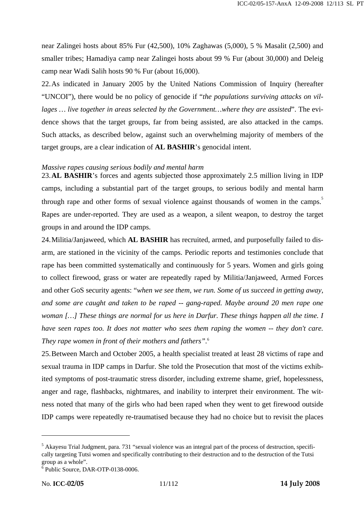near Zalingei hosts about 85% Fur (42,500), 10% Zaghawas (5,000), 5 % Masalit (2,500) and smaller tribes; Hamadiya camp near Zalingei hosts about 99 % Fur (about 30,000) and Deleig camp near Wadi Salih hosts 90 % Fur (about 16,000).

22.As indicated in January 2005 by the United Nations Commission of Inquiry (hereafter "UNCOI"), there would be no policy of genocide if "*the populations surviving attacks on villages … live together in areas selected by the Government…where they are assisted*". The evidence shows that the target groups, far from being assisted, are also attacked in the camps. Such attacks, as described below, against such an overwhelming majority of members of the target groups, are a clear indication of **AL BASHIR**'s genocidal intent.

## *Massive rapes causing serious bodily and mental harm*

23.**AL BASHIR**'s forces and agents subjected those approximately 2.5 million living in IDP camps, including a substantial part of the target groups, to serious bodily and mental harm through rape and other forms of sexual violence against thousands of women in the camps.<sup>5</sup> Rapes are under-reported. They are used as a weapon, a silent weapon, to destroy the target groups in and around the IDP camps.

24.Militia/Janjaweed, which **AL BASHIR** has recruited, armed, and purposefully failed to disarm, are stationed in the vicinity of the camps. Periodic reports and testimonies conclude that rape has been committed systematically and continuously for 5 years. Women and girls going to collect firewood, grass or water are repeatedly raped by Militia/Janjaweed, Armed Forces and other GoS security agents: "*when we see them, we run. Some of us succeed in getting away, and some are caught and taken to be raped -- gang-raped. Maybe around 20 men rape one woman […] These things are normal for us here in Darfur. These things happen all the time. I have seen rapes too. It does not matter who sees them raping the women -- they don't care. They rape women in front of their mothers and fathers".*<sup>6</sup>

25.Between March and October 2005, a health specialist treated at least 28 victims of rape and sexual trauma in IDP camps in Darfur. She told the Prosecution that most of the victims exhibited symptoms of post-traumatic stress disorder, including extreme shame, grief, hopelessness, anger and rage, flashbacks, nightmares, and inability to interpret their environment. The witness noted that many of the girls who had been raped when they went to get firewood outside IDP camps were repeatedly re-traumatised because they had no choice but to revisit the places

<sup>&</sup>lt;sup>5</sup> Akayesu Trial Judgment, para. 731 "sexual violence was an integral part of the process of destruction, specifically targeting Tutsi women and specifically contributing to their destruction and to the destruction of the Tutsi group as a whole".

<sup>6</sup> Public Source, DAR-OTP-0138-0006.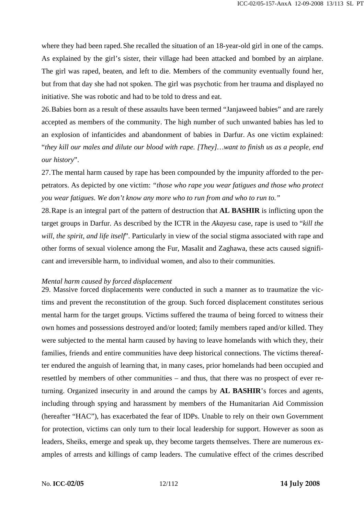where they had been raped. She recalled the situation of an 18-year-old girl in one of the camps. As explained by the girl's sister, their village had been attacked and bombed by an airplane. The girl was raped, beaten, and left to die. Members of the community eventually found her, but from that day she had not spoken. The girl was psychotic from her trauma and displayed no initiative. She was robotic and had to be told to dress and eat.

26.Babies born as a result of these assaults have been termed "Janjaweed babies" and are rarely accepted as members of the community. The high number of such unwanted babies has led to an explosion of infanticides and abandonment of babies in Darfur. As one victim explained: "*they kill our males and dilute our blood with rape. [They]…want to finish us as a people, end our history*".

27.The mental harm caused by rape has been compounded by the impunity afforded to the perpetrators. As depicted by one victim: *"those who rape you wear fatigues and those who protect you wear fatigues. We don't know any more who to run from and who to run to."*

28.Rape is an integral part of the pattern of destruction that **AL BASHIR** is inflicting upon the target groups in Darfur. As described by the ICTR in the *Akayesu* case, rape is used to "*kill the will, the spirit, and life itself*". Particularly in view of the social stigma associated with rape and other forms of sexual violence among the Fur, Masalit and Zaghawa, these acts caused significant and irreversible harm, to individual women, and also to their communities.

#### *Mental harm caused by forced displacement*

29. Massive forced displacements were conducted in such a manner as to traumatize the victims and prevent the reconstitution of the group. Such forced displacement constitutes serious mental harm for the target groups. Victims suffered the trauma of being forced to witness their own homes and possessions destroyed and/or looted; family members raped and/or killed. They were subjected to the mental harm caused by having to leave homelands with which they, their families, friends and entire communities have deep historical connections. The victims thereafter endured the anguish of learning that, in many cases, prior homelands had been occupied and resettled by members of other communities – and thus, that there was no prospect of ever returning. Organized insecurity in and around the camps by **AL BASHIR**'s forces and agents, including through spying and harassment by members of the Humanitarian Aid Commission (hereafter "HAC"), has exacerbated the fear of IDPs. Unable to rely on their own Government for protection, victims can only turn to their local leadership for support. However as soon as leaders, Sheiks, emerge and speak up, they become targets themselves. There are numerous examples of arrests and killings of camp leaders. The cumulative effect of the crimes described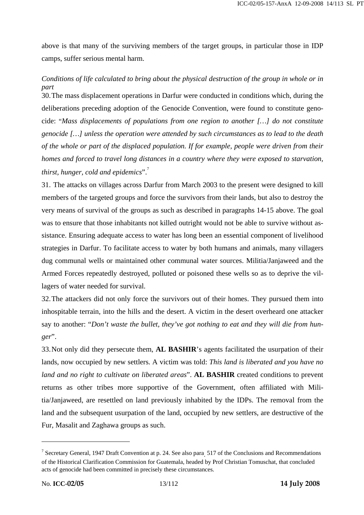above is that many of the surviving members of the target groups, in particular those in IDP camps, suffer serious mental harm.

# *Conditions of life calculated to bring about the physical destruction of the group in whole or in part*

30.The mass displacement operations in Darfur were conducted in conditions which, during the deliberations preceding adoption of the Genocide Convention, were found to constitute genocide: "*Mass displacements of populations from one region to another […] do not constitute genocide […] unless the operation were attended by such circumstances as to lead to the death of the whole or part of the displaced population. If for example, people were driven from their homes and forced to travel long distances in a country where they were exposed to starvation, thirst, hunger, cold and epidemics*".

31. The attacks on villages across Darfur from March 2003 to the present were designed to kill members of the targeted groups and force the survivors from their lands, but also to destroy the very means of survival of the groups as such as described in paragraphs 14-15 above. The goal was to ensure that those inhabitants not killed outright would not be able to survive without assistance. Ensuring adequate access to water has long been an essential component of livelihood strategies in Darfur. To facilitate access to water by both humans and animals, many villagers dug communal wells or maintained other communal water sources. Militia/Janjaweed and the Armed Forces repeatedly destroyed, polluted or poisoned these wells so as to deprive the villagers of water needed for survival.

32.The attackers did not only force the survivors out of their homes. They pursued them into inhospitable terrain, into the hills and the desert. A victim in the desert overheard one attacker say to another: "*Don't waste the bullet, they've got nothing to eat and they will die from hunger*".

33.Not only did they persecute them, **AL BASHIR**'s agents facilitated the usurpation of their lands, now occupied by new settlers. A victim was told: *This land is liberated and you have no land and no right to cultivate on liberated areas*". **AL BASHIR** created conditions to prevent returns as other tribes more supportive of the Government, often affiliated with Militia/Janjaweed, are resettled on land previously inhabited by the IDPs. The removal from the land and the subsequent usurpation of the land, occupied by new settlers, are destructive of the Fur, Masalit and Zaghawa groups as such.

<sup>7</sup> Secretary General, 1947 Draft Convention at p. 24. See also para. 517 of the Conclusions and Recommendations of the Historical Clarification Commission for Guatemala, headed by Prof Christian Tomuschat, that concluded acts of genocide had been committed in precisely these circumstances.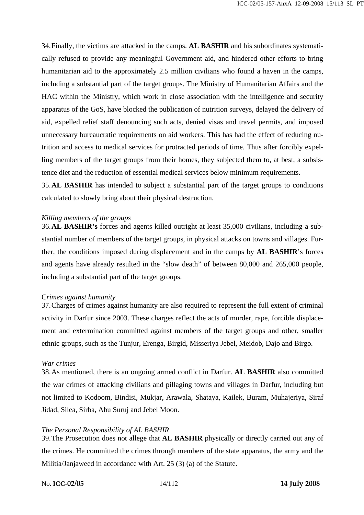34.Finally, the victims are attacked in the camps. **AL BASHIR** and his subordinates systematically refused to provide any meaningful Government aid, and hindered other efforts to bring humanitarian aid to the approximately 2.5 million civilians who found a haven in the camps, including a substantial part of the target groups. The Ministry of Humanitarian Affairs and the HAC within the Ministry, which work in close association with the intelligence and security apparatus of the GoS, have blocked the publication of nutrition surveys, delayed the delivery of aid, expelled relief staff denouncing such acts, denied visas and travel permits, and imposed unnecessary bureaucratic requirements on aid workers. This has had the effect of reducing nutrition and access to medical services for protracted periods of time. Thus after forcibly expelling members of the target groups from their homes, they subjected them to, at best, a subsistence diet and the reduction of essential medical services below minimum requirements.

35.**AL BASHIR** has intended to subject a substantial part of the target groups to conditions calculated to slowly bring about their physical destruction.

## *Killing members of the groups*

36.**AL BASHIR's** forces and agents killed outright at least 35,000 civilians, including a substantial number of members of the target groups, in physical attacks on towns and villages. Further, the conditions imposed during displacement and in the camps by **AL BASHIR**'s forces and agents have already resulted in the "slow death" of between 80,000 and 265,000 people, including a substantial part of the target groups.

## C*rimes against humanity*

37.Charges of crimes against humanity are also required to represent the full extent of criminal activity in Darfur since 2003. These charges reflect the acts of murder, rape, forcible displacement and extermination committed against members of the target groups and other, smaller ethnic groups, such as the Tunjur, Erenga, Birgid, Misseriya Jebel, Meidob, Dajo and Birgo.

## *War crimes*

38.As mentioned, there is an ongoing armed conflict in Darfur. **AL BASHIR** also committed the war crimes of attacking civilians and pillaging towns and villages in Darfur, including but not limited to Kodoom, Bindisi, Mukjar, Arawala, Shataya, Kailek, Buram, Muhajeriya, Siraf Jidad, Silea, Sirba, Abu Suruj and Jebel Moon.

## *The Personal Responsibility of AL BASHIR*

39.The Prosecution does not allege that **AL BASHIR** physically or directly carried out any of the crimes. He committed the crimes through members of the state apparatus, the army and the Militia/Janjaweed in accordance with Art. 25 (3) (a) of the Statute.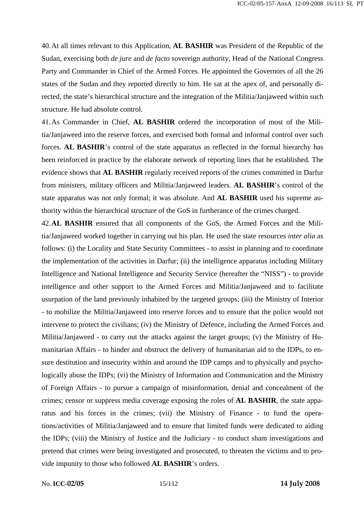40.At all times relevant to this Application, **AL BASHIR** was President of the Republic of the Sudan, exercising both *de jure* and *de facto* sovereign authority, Head of the National Congress Party and Commander in Chief of the Armed Forces. He appointed the Governors of all the 26 states of the Sudan and they reported directly to him. He sat at the apex of, and personally directed, the state's hierarchical structure and the integration of the Militia/Janjaweed within such structure. He had absolute control.

41.As Commander in Chief, **AL BASHIR** ordered the incorporation of most of the Militia/Janjaweed into the reserve forces, and exercised both formal and informal control over such forces. **AL BASHIR**'s control of the state apparatus as reflected in the formal hierarchy has been reinforced in practice by the elaborate network of reporting lines that he established. The evidence shows that **AL BASHIR** regularly received reports of the crimes committed in Darfur from ministers, military officers and Militia/Janjaweed leaders. **AL BASHIR**'s control of the state apparatus was not only formal; it was absolute. And **AL BASHIR** used his supreme authority within the hierarchical structure of the GoS in furtherance of the crimes charged.

42.**AL BASHIR** ensured that all components of the GoS, the Armed Forces and the Militia/Janjaweed worked together in carrying out his plan. He used the state resources *inter alia* as follows: (i) the Locality and State Security Committees - to assist in planning and to coordinate the implementation of the activities in Darfur; (ii) the intelligence apparatus including Military Intelligence and National Intelligence and Security Service (hereafter the "NISS") - to provide intelligence and other support to the Armed Forces and Militia/Janjaweed and to facilitate usurpation of the land previously inhabited by the targeted groups; (iii) the Ministry of Interior - to mobilize the Militia/Janjaweed into reserve forces and to ensure that the police would not intervene to protect the civilians; (iv) the Ministry of Defence, including the Armed Forces and Militia/Janjaweed - to carry out the attacks against the target groups; (v) the Ministry of Humanitarian Affairs - to hinder and obstruct the delivery of humanitarian aid to the IDPs, to ensure destitution and insecurity within and around the IDP camps and to physically and psychologically abuse the IDPs; (vi) the Ministry of Information and Communication and the Ministry of Foreign Affairs - to pursue a campaign of misinformation, denial and concealment of the crimes; censor or suppress media coverage exposing the roles of **AL BASHIR**, the state apparatus and his forces in the crimes; (vii) the Ministry of Finance - to fund the operations/activities of Militia/Janjaweed and to ensure that limited funds were dedicated to aiding the IDPs; (viii) the Ministry of Justice and the Judiciary - to conduct sham investigations and pretend that crimes were being investigated and prosecuted, to threaten the victims and to provide impunity to those who followed **AL BASHIR**'s orders.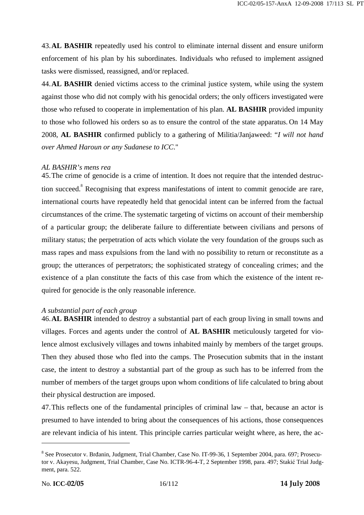43.**AL BASHIR** repeatedly used his control to eliminate internal dissent and ensure uniform enforcement of his plan by his subordinates. Individuals who refused to implement assigned tasks were dismissed, reassigned, and/or replaced.

44.**AL BASHIR** denied victims access to the criminal justice system, while using the system against those who did not comply with his genocidal orders; the only officers investigated were those who refused to cooperate in implementation of his plan. **AL BASHIR** provided impunity to those who followed his orders so as to ensure the control of the state apparatus. On 14 May 2008, **AL BASHIR** confirmed publicly to a gathering of Militia/Janjaweed: "*I will not hand over Ahmed Haroun or any Sudanese to ICC*."

## *AL BASHIR's mens rea*

45.The crime of genocide is a crime of intention. It does not require that the intended destruction succeed.<sup>8</sup> Recognising that express manifestations of intent to commit genocide are rare, international courts have repeatedly held that genocidal intent can be inferred from the factual circumstances of the crime.The systematic targeting of victims on account of their membership of a particular group; the deliberate failure to differentiate between civilians and persons of military status; the perpetration of acts which violate the very foundation of the groups such as mass rapes and mass expulsions from the land with no possibility to return or reconstitute as a group; the utterances of perpetrators; the sophisticated strategy of concealing crimes; and the existence of a plan constitute the facts of this case from which the existence of the intent required for genocide is the only reasonable inference.

## *A substantial part of each group*

46.**AL BASHIR** intended to destroy a substantial part of each group living in small towns and villages. Forces and agents under the control of **AL BASHIR** meticulously targeted for violence almost exclusively villages and towns inhabited mainly by members of the target groups. Then they abused those who fled into the camps. The Prosecution submits that in the instant case, the intent to destroy a substantial part of the group as such has to be inferred from the number of members of the target groups upon whom conditions of life calculated to bring about their physical destruction are imposed.

47.This reflects one of the fundamental principles of criminal law – that, because an actor is presumed to have intended to bring about the consequences of his actions, those consequences are relevant indicia of his intent. This principle carries particular weight where, as here, the ac-

<sup>&</sup>lt;sup>8</sup> See Prosecutor v. Brđanin, Judgment, Trial Chamber, Case No. IT-99-36, 1 September 2004, para. 697; Prosecutor v. Akayesu, Judgment, Trial Chamber, Case No. ICTR-96-4-T, 2 September 1998, para. 497; Stakić Trial Judgment, para. 522.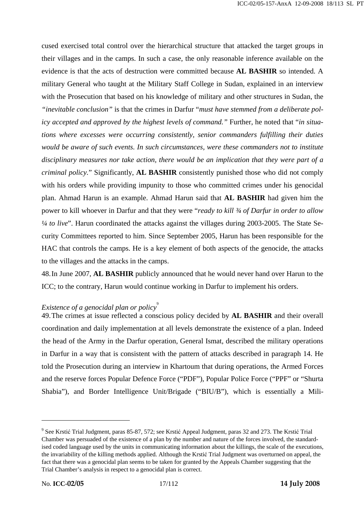cused exercised total control over the hierarchical structure that attacked the target groups in their villages and in the camps. In such a case, the only reasonable inference available on the evidence is that the acts of destruction were committed because **AL BASHIR** so intended. A military General who taught at the Military Staff College in Sudan, explained in an interview with the Prosecution that based on his knowledge of military and other structures in Sudan, the *"inevitable conclusion"* is that the crimes in Darfur "*must have stemmed from a deliberate policy accepted and approved by the highest levels of command."* Further, he noted that "*in situations where excesses were occurring consistently, senior commanders fulfilling their duties would be aware of such events. In such circumstances, were these commanders not to institute disciplinary measures nor take action, there would be an implication that they were part of a criminal policy.*" Significantly, **AL BASHIR** consistently punished those who did not comply with his orders while providing impunity to those who committed crimes under his genocidal plan. Ahmad Harun is an example. Ahmad Harun said that **AL BASHIR** had given him the power to kill whoever in Darfur and that they were "*ready to kill ¾ of Darfur in order to allow ¼ to live*". Harun coordinated the attacks against the villages during 2003-2005. The State Security Committees reported to him. Since September 2005, Harun has been responsible for the HAC that controls the camps. He is a key element of both aspects of the genocide, the attacks to the villages and the attacks in the camps.

48.In June 2007, **AL BASHIR** publicly announced that he would never hand over Harun to the ICC; to the contrary, Harun would continue working in Darfur to implement his orders.

# *Existence of a genocidal plan or policy*<sup>9</sup>

49.The crimes at issue reflected a conscious policy decided by **AL BASHIR** and their overall coordination and daily implementation at all levels demonstrate the existence of a plan. Indeed the head of the Army in the Darfur operation, General Ismat, described the military operations in Darfur in a way that is consistent with the pattern of attacks described in paragraph 14. He told the Prosecution during an interview in Khartoum that during operations, the Armed Forces and the reserve forces Popular Defence Force ("PDF"), Popular Police Force ("PPF" or "Shurta Shabia"), and Border Intelligence Unit/Brigade ("BIU/B"), which is essentially a Mili-

<sup>&</sup>lt;sup>9</sup> See Krstić Trial Judgment, paras 85-87, 572; see Krstić Appeal Judgment, paras 32 and 273. The Krstić Trial Chamber was persuaded of the existence of a plan by the number and nature of the forces involved, the standardised coded language used by the units in communicating information about the killings, the scale of the executions, the invariability of the killing methods applied. Although the Krstić Trial Judgment was overturned on appeal, the fact that there was a genocidal plan seems to be taken for granted by the Appeals Chamber suggesting that the Trial Chamber's analysis in respect to a genocidal plan is correct.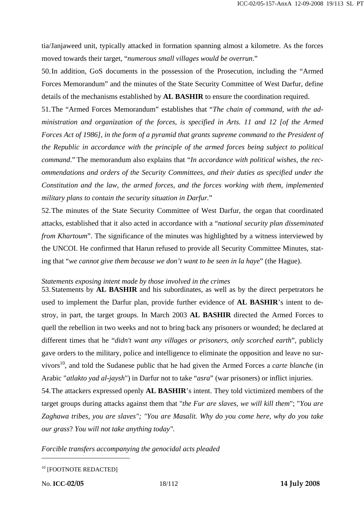tia/Janjaweed unit, typically attacked in formation spanning almost a kilometre. As the forces moved towards their target, "*numerous small villages would be overrun*."

50.In addition, GoS documents in the possession of the Prosecution, including the "Armed Forces Memorandum" and the minutes of the State Security Committee of West Darfur, define details of the mechanisms established by **AL BASHIR** to ensure the coordination required.

51.The "Armed Forces Memorandum" establishes that "*The chain of command, with the administration and organization of the forces, is specified in Arts. 11 and 12 [of the Armed Forces Act of 1986], in the form of a pyramid that grants supreme command to the President of the Republic in accordance with the principle of the armed forces being subject to political command*." The memorandum also explains that "*In accordance with political wishes, the recommendations and orders of the Security Committees, and their duties as specified under the Constitution and the law, the armed forces, and the forces working with them, implemented military plans to contain the security situation in Darfur.*"

52.The minutes of the State Security Committee of West Darfur, the organ that coordinated attacks, established that it also acted in accordance with a "*national security plan disseminated from Khartoum*". The significance of the minutes was highlighted by a witness interviewed by the UNCOI. He confirmed that Harun refused to provide all Security Committee Minutes, stating that "*we cannot give them because we don't want to be seen in la haye*" (the Hague).

#### *Statements exposing intent made by those involved in the crimes*

53.Statements by **AL BASHIR** and his subordinates, as well as by the direct perpetrators he used to implement the Darfur plan, provide further evidence of **AL BASHIR**'s intent to destroy, in part, the target groups. In March 2003 **AL BASHIR** directed the Armed Forces to quell the rebellion in two weeks and not to bring back any prisoners or wounded; he declared at different times that he "*didn't want any villages or prisoners, only scorched earth*", publicly gave orders to the military, police and intelligence to eliminate the opposition and leave no survivors<sup>10</sup>, and told the Sudanese public that he had given the Armed Forces a *carte blanche* (in Arabic "*atlakto yad al-jaysh*") in Darfur not to take "*asra*" (war prisoners) or inflict injuries.

54.The attackers expressed openly **AL BASHIR**'s intent. They told victimized members of the target groups during attacks against them that "*the Fur are slaves, we will kill them*"; "*You are Zaghawa tribes, you are slaves"; "You are Masalit. Why do you come here, why do you take our grass*? *You will not take anything today".* 

*Forcible transfers accompanying the genocidal acts pleaded* 

<sup>10</sup> [FOOTNOTE REDACTED]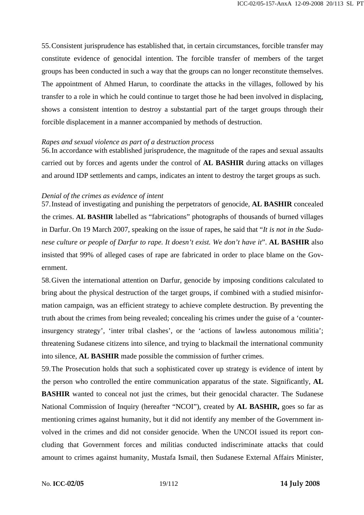55.Consistent jurisprudence has established that, in certain circumstances, forcible transfer may constitute evidence of genocidal intention. The forcible transfer of members of the target groups has been conducted in such a way that the groups can no longer reconstitute themselves. The appointment of Ahmed Harun, to coordinate the attacks in the villages, followed by his transfer to a role in which he could continue to target those he had been involved in displacing, shows a consistent intention to destroy a substantial part of the target groups through their forcible displacement in a manner accompanied by methods of destruction.

#### *Rapes and sexual violence as part of a destruction process*

56.In accordance with established jurisprudence, the magnitude of the rapes and sexual assaults carried out by forces and agents under the control of **AL BASHIR** during attacks on villages and around IDP settlements and camps, indicates an intent to destroy the target groups as such.

#### *Denial of the crimes as evidence of intent*

57.Instead of investigating and punishing the perpetrators of genocide, **AL BASHIR** concealed the crimes. **AL BASHIR** labelled as "fabrications" photographs of thousands of burned villages in Darfur. On 19 March 2007, speaking on the issue of rapes, he said that "*It is not in the Sudanese culture or people of Darfur to rape. It doesn't exist. We don't have it*". **AL BASHIR** also insisted that 99% of alleged cases of rape are fabricated in order to place blame on the Government.

58.Given the international attention on Darfur, genocide by imposing conditions calculated to bring about the physical destruction of the target groups, if combined with a studied misinformation campaign, was an efficient strategy to achieve complete destruction. By preventing the truth about the crimes from being revealed; concealing his crimes under the guise of a 'counterinsurgency strategy', 'inter tribal clashes', or the 'actions of lawless autonomous militia'; threatening Sudanese citizens into silence, and trying to blackmail the international community into silence, **AL BASHIR** made possible the commission of further crimes.

59.The Prosecution holds that such a sophisticated cover up strategy is evidence of intent by the person who controlled the entire communication apparatus of the state. Significantly, **AL BASHIR** wanted to conceal not just the crimes, but their genocidal character. The Sudanese National Commission of Inquiry (hereafter "NCOI"), created by **AL BASHIR,** goes so far as mentioning crimes against humanity, but it did not identify any member of the Government involved in the crimes and did not consider genocide. When the UNCOI issued its report concluding that Government forces and militias conducted indiscriminate attacks that could amount to crimes against humanity, Mustafa Ismail, then Sudanese External Affairs Minister,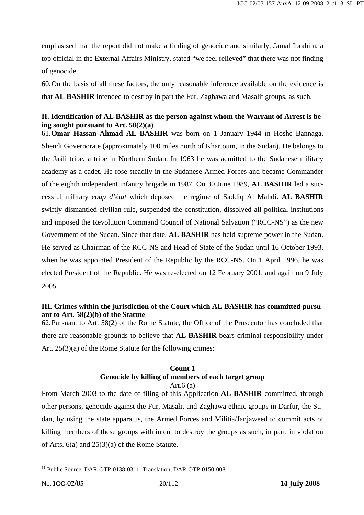emphasised that the report did not make a finding of genocide and similarly, Jamal Ibrahim, a top official in the External Affairs Ministry, stated "we feel relieved" that there was not finding of genocide.

60.On the basis of all these factors, the only reasonable inference available on the evidence is that **AL BASHIR** intended to destroy in part the Fur, Zaghawa and Masalit groups, as such.

# **II. Identification of AL BASHIR as the person against whom the Warrant of Arrest is being sought pursuant to Art. 58(2)(a)**

61.**Omar Hassan Ahmad AL BASHIR** was born on 1 January 1944 in Hoshe Bannaga, Shendi Governorate (approximately 100 miles north of Khartoum, in the Sudan). He belongs to the Jaáli tribe, a tribe in Northern Sudan. In 1963 he was admitted to the Sudanese military academy as a cadet. He rose steadily in the Sudanese Armed Forces and became Commander of the eighth independent infantry brigade in 1987. On 30 June 1989, **AL BASHIR** led a successful military *coup d'état* which deposed the regime of Saddiq Al Mahdi. **AL BASHIR** swiftly dismantled civilian rule, suspended the constitution, dissolved all political institutions and imposed the Revolution Command Council of National Salvation ("RCC-NS") as the new Government of the Sudan. Since that date, **AL BASHIR** has held supreme power in the Sudan. He served as Chairman of the RCC-NS and Head of State of the Sudan until 16 October 1993, when he was appointed President of the Republic by the RCC-NS. On 1 April 1996, he was elected President of the Republic. He was re-elected on 12 February 2001, and again on 9 July  $2005.<sup>11</sup>$ 

# **III. Crimes within the jurisdiction of the Court which AL BASHIR has committed pursuant to Art. 58(2)(b) of the Statute**

62.Pursuant to Art. 58(2) of the Rome Statute, the Office of the Prosecutor has concluded that there are reasonable grounds to believe that **AL BASHIR** bears criminal responsibility under Art. 25(3)(a) of the Rome Statute for the following crimes:

#### **Count 1 Genocide by killing of members of each target group**  Art. $6(a)$

From March 2003 to the date of filing of this Application **AL BASHIR** committed, through other persons, genocide against the Fur, Masalit and Zaghawa ethnic groups in Darfur, the Sudan, by using the state apparatus, the Armed Forces and Militia/Janjaweed to commit acts of killing members of these groups with intent to destroy the groups as such, in part, in violation of Arts. 6(a) and 25(3)(a) of the Rome Statute.

<sup>&</sup>lt;sup>11</sup> Public Source, DAR-OTP-0138-0311, Translation, DAR-OTP-0150-0081.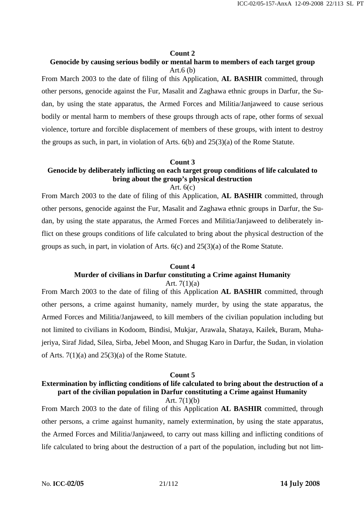## **Count 2**

# **Genocide by causing serious bodily or mental harm to members of each target group**  Art. $6$  (b)

From March 2003 to the date of filing of this Application, **AL BASHIR** committed, through other persons, genocide against the Fur, Masalit and Zaghawa ethnic groups in Darfur, the Sudan, by using the state apparatus, the Armed Forces and Militia/Janjaweed to cause serious bodily or mental harm to members of these groups through acts of rape, other forms of sexual violence, torture and forcible displacement of members of these groups, with intent to destroy the groups as such, in part, in violation of Arts.  $6(b)$  and  $25(3)(a)$  of the Rome Statute.

# **Count 3 Genocide by deliberately inflicting on each target group conditions of life calculated to bring about the group's physical destruction**

Art.  $6(c)$ 

From March 2003 to the date of filing of this Application, **AL BASHIR** committed, through other persons, genocide against the Fur, Masalit and Zaghawa ethnic groups in Darfur, the Sudan, by using the state apparatus, the Armed Forces and Militia/Janjaweed to deliberately inflict on these groups conditions of life calculated to bring about the physical destruction of the groups as such, in part, in violation of Arts. 6(c) and 25(3)(a) of the Rome Statute.

## **Count 4 Murder of civilians in Darfur constituting a Crime against Humanity**  Art. 7(1)(a)

From March 2003 to the date of filing of this Application **AL BASHIR** committed, through other persons, a crime against humanity, namely murder, by using the state apparatus, the Armed Forces and Militia/Janjaweed, to kill members of the civilian population including but not limited to civilians in Kodoom, Bindisi, Mukjar, Arawala, Shataya, Kailek, Buram, Muhajeriya, Siraf Jidad, Silea, Sirba, Jebel Moon, and Shugag Karo in Darfur, the Sudan, in violation of Arts.  $7(1)(a)$  and  $25(3)(a)$  of the Rome Statute.

#### **Count 5**

## **Extermination by inflicting conditions of life calculated to bring about the destruction of a part of the civilian population in Darfur constituting a Crime against Humanity**  Art. 7(1)(b)

From March 2003 to the date of filing of this Application **AL BASHIR** committed, through other persons, a crime against humanity, namely extermination, by using the state apparatus, the Armed Forces and Militia/Janjaweed, to carry out mass killing and inflicting conditions of life calculated to bring about the destruction of a part of the population, including but not lim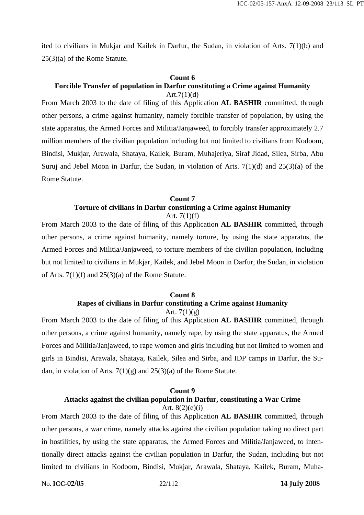ited to civilians in Mukjar and Kailek in Darfur, the Sudan, in violation of Arts. 7(1)(b) and 25(3)(a) of the Rome Statute.

# **Count 6 Forcible Transfer of population in Darfur constituting a Crime against Humanity**

Art. $7(1)(d)$ From March 2003 to the date of filing of this Application **AL BASHIR** committed, through other persons, a crime against humanity, namely forcible transfer of population, by using the state apparatus, the Armed Forces and Militia/Janjaweed, to forcibly transfer approximately 2.7 million members of the civilian population including but not limited to civilians from Kodoom, Bindisi, Mukjar, Arawala, Shataya, Kailek, Buram, Muhajeriya, Siraf Jidad, Silea, Sirba, Abu Suruj and Jebel Moon in Darfur, the Sudan, in violation of Arts. 7(1)(d) and 25(3)(a) of the Rome Statute.

## **Count 7 Torture of civilians in Darfur constituting a Crime against Humanity**  Art.  $7(1)(f)$

From March 2003 to the date of filing of this Application **AL BASHIR** committed, through other persons, a crime against humanity, namely torture, by using the state apparatus, the Armed Forces and Militia/Janjaweed, to torture members of the civilian population, including but not limited to civilians in Mukjar, Kailek, and Jebel Moon in Darfur, the Sudan, in violation of Arts. 7(1)(f) and 25(3)(a) of the Rome Statute.

# **Count 8 Rapes of civilians in Darfur constituting a Crime against Humanity**

Art.  $7(1)(g)$ 

From March 2003 to the date of filing of this Application **AL BASHIR** committed, through other persons, a crime against humanity, namely rape, by using the state apparatus, the Armed Forces and Militia/Janjaweed, to rape women and girls including but not limited to women and girls in Bindisi, Arawala, Shataya, Kailek, Silea and Sirba, and IDP camps in Darfur, the Sudan, in violation of Arts.  $7(1)(g)$  and  $25(3)(a)$  of the Rome Statute.

# **Count 9 Attacks against the civilian population in Darfur, constituting a War Crime**  Art.  $8(2)(e)(i)$

From March 2003 to the date of filing of this Application **AL BASHIR** committed, through other persons, a war crime, namely attacks against the civilian population taking no direct part in hostilities, by using the state apparatus, the Armed Forces and Militia/Janjaweed, to intentionally direct attacks against the civilian population in Darfur, the Sudan, including but not limited to civilians in Kodoom, Bindisi, Mukjar, Arawala, Shataya, Kailek, Buram, Muha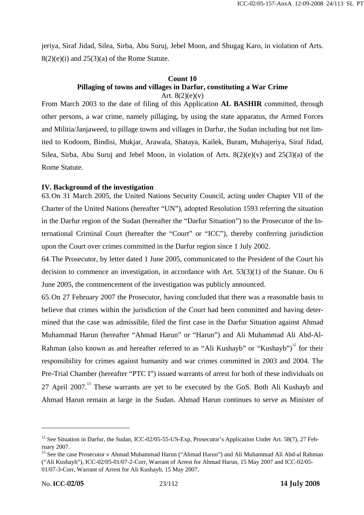jeriya, Siraf Jidad, Silea, Sirba, Abu Suruj, Jebel Moon, and Shugag Karo, in violation of Arts.  $8(2)(e)(i)$  and  $25(3)(a)$  of the Rome Statute.

# **Count 10 Pillaging of towns and villages in Darfur, constituting a War Crime**

Art.  $8(2)(e)(v)$ 

From March 2003 to the date of filing of this Application **AL BASHIR** committed, through other persons, a war crime, namely pillaging, by using the state apparatus, the Armed Forces and Militia/Janjaweed, to pillage towns and villages in Darfur, the Sudan including but not limited to Kodoom, Bindisi, Mukjar, Arawala, Shataya, Kailek, Buram, Muhajeriya, Siraf Jidad, Silea, Sirba, Abu Suruj and Jebel Moon, in violation of Arts.  $8(2)(e)(v)$  and  $25(3)(a)$  of the Rome Statute.

# **IV. Background of the investigation**

63.On 31 March 2005, the United Nations Security Council, acting under Chapter VII of the Charter of the United Nations (hereafter "UN"), adopted Resolution 1593 referring the situation in the Darfur region of the Sudan (hereafter the "Darfur Situation") to the Prosecutor of the International Criminal Court (hereafter the "Court" or "ICC"), thereby conferring jurisdiction upon the Court over crimes committed in the Darfur region since 1 July 2002.

64.The Prosecutor, by letter dated 1 June 2005, communicated to the President of the Court his decision to commence an investigation, in accordance with Art. 53(3)(1) of the Statute. On 6 June 2005, the commencement of the investigation was publicly announced.

65.On 27 February 2007 the Prosecutor, having concluded that there was a reasonable basis to believe that crimes within the jurisdiction of the Court had been committed and having determined that the case was admissible, filed the first case in the Darfur Situation against Ahmad Muhammad Harun (hereafter "Ahmad Harun" or "Harun") and Ali Muhammad Ali Abd-Al-Rahman (also known as and hereafter referred to as "Ali Kushayb" or "Kushayb")<sup>12</sup> for their responsibility for crimes against humanity and war crimes committed in 2003 and 2004. The Pre-Trial Chamber (hereafter "PTC I") issued warrants of arrest for both of these individuals on 27 April 2007.<sup>13</sup> These warrants are yet to be executed by the GoS. Both Ali Kushayb and Ahmad Harun remain at large in the Sudan. Ahmad Harun continues to serve as Minister of

<sup>&</sup>lt;sup>12</sup> See Situation in Darfur, the Sudan, ICC-02/05-55-US-Exp, Prosecutor's Application Under Art. 58(7), 27 February 2007.

<sup>&</sup>lt;sup>13</sup> See the case Prosecutor v Ahmad Muhammad Harun ("Ahmad Harun") and Ali Muhammad Ali Abd-al Rahman ("Ali Kushayb"), ICC-02/05-01/07-2-Corr, Warrant of Arrest for Ahmad Harun, 15 May 2007 and ICC-02/05- 01/07-3-Corr, Warrant of Arrest for Ali Kushayb, 15 May 2007.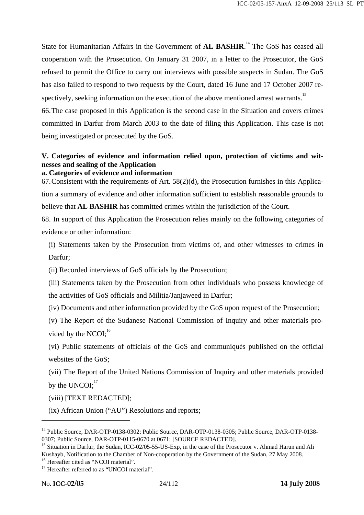State for Humanitarian Affairs in the Government of **AL BASHIR**.<sup>14</sup> The GoS has ceased all cooperation with the Prosecution. On January 31 2007, in a letter to the Prosecutor, the GoS refused to permit the Office to carry out interviews with possible suspects in Sudan. The GoS has also failed to respond to two requests by the Court, dated 16 June and 17 October 2007 respectively, seeking information on the execution of the above mentioned arrest warrants.<sup>15</sup>

66.The case proposed in this Application is the second case in the Situation and covers crimes committed in Darfur from March 2003 to the date of filing this Application. This case is not being investigated or prosecuted by the GoS.

# **V. Categories of evidence and information relied upon, protection of victims and witnesses and sealing of the Application**

# **a. Categories of evidence and information**

67.Consistent with the requirements of Art. 58(2)(d), the Prosecution furnishes in this Application a summary of evidence and other information sufficient to establish reasonable grounds to believe that **AL BASHIR** has committed crimes within the jurisdiction of the Court.

68. In support of this Application the Prosecution relies mainly on the following categories of evidence or other information:

(i) Statements taken by the Prosecution from victims of, and other witnesses to crimes in Darfur;

(ii) Recorded interviews of GoS officials by the Prosecution;

(iii) Statements taken by the Prosecution from other individuals who possess knowledge of the activities of GoS officials and Militia/Janjaweed in Darfur;

(iv) Documents and other information provided by the GoS upon request of the Prosecution;

(v) The Report of the Sudanese National Commission of Inquiry and other materials provided by the NCOI; $^{16}$ 

(vi) Public statements of officials of the GoS and communiqués published on the official websites of the GoS;

(vii) The Report of the United Nations Commission of Inquiry and other materials provided by the  $UNCOI:$ <sup>17</sup>

(viii) [TEXT REDACTED];

(ix) African Union ("AU") Resolutions and reports;

<sup>&</sup>lt;sup>14</sup> Public Source, DAR-OTP-0138-0302; Public Source, DAR-OTP-0138-0305; Public Source, DAR-OTP-0138-0307; Public Source, DAR-OTP-0115-0670 at 0671; [SOURCE REDACTED].

<sup>&</sup>lt;sup>15</sup> Situation in Darfur, the Sudan, ICC-02/05-55-US-Exp, in the case of the Prosecutor v. Ahmad Harun and Ali Kushayb, Notification to the Chamber of Non-cooperation by the Government of the Sudan, 27 May 2008. <sup>16</sup> Hereafter cited as "NCOI material".

<sup>&</sup>lt;sup>17</sup> Hereafter referred to as "UNCOI material".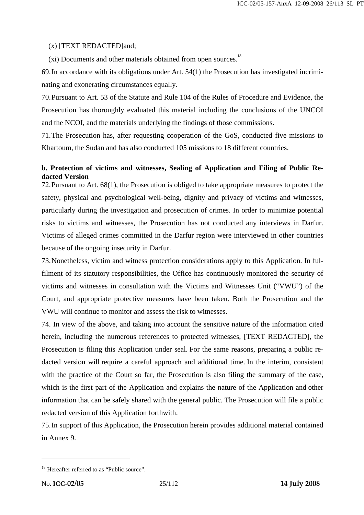# (x) [TEXT REDACTED]and;

 $(xi)$  Documents and other materials obtained from open sources.<sup>18</sup>

69.In accordance with its obligations under Art. 54(1) the Prosecution has investigated incriminating and exonerating circumstances equally.

70.Pursuant to Art. 53 of the Statute and Rule 104 of the Rules of Procedure and Evidence, the Prosecution has thoroughly evaluated this material including the conclusions of the UNCOI and the NCOI, and the materials underlying the findings of those commissions.

71.The Prosecution has, after requesting cooperation of the GoS, conducted five missions to Khartoum, the Sudan and has also conducted 105 missions to 18 different countries.

# **b. Protection of victims and witnesses, Sealing of Application and Filing of Public Redacted Version**

72.Pursuant to Art. 68(1), the Prosecution is obliged to take appropriate measures to protect the safety, physical and psychological well-being, dignity and privacy of victims and witnesses, particularly during the investigation and prosecution of crimes. In order to minimize potential risks to victims and witnesses, the Prosecution has not conducted any interviews in Darfur. Victims of alleged crimes committed in the Darfur region were interviewed in other countries because of the ongoing insecurity in Darfur.

73.Nonetheless, victim and witness protection considerations apply to this Application. In fulfilment of its statutory responsibilities, the Office has continuously monitored the security of victims and witnesses in consultation with the Victims and Witnesses Unit ("VWU") of the Court, and appropriate protective measures have been taken. Both the Prosecution and the VWU will continue to monitor and assess the risk to witnesses.

74. In view of the above, and taking into account the sensitive nature of the information cited herein, including the numerous references to protected witnesses, [TEXT REDACTED], the Prosecution is filing this Application under seal. For the same reasons, preparing a public redacted version will require a careful approach and additional time. In the interim, consistent with the practice of the Court so far, the Prosecution is also filing the summary of the case, which is the first part of the Application and explains the nature of the Application and other information that can be safely shared with the general public. The Prosecution will file a public redacted version of this Application forthwith.

75.In support of this Application, the Prosecution herein provides additional material contained in Annex 9.

<sup>&</sup>lt;sup>18</sup> Hereafter referred to as "Public source".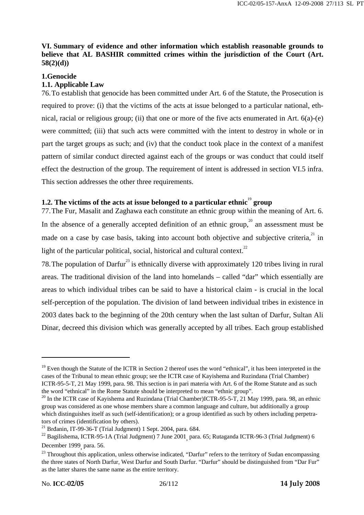# **VI. Summary of evidence and other information which establish reasonable grounds to believe that AL BASHIR committed crimes within the jurisdiction of the Court (Art. 58(2)(d))**

## **1.Genocide**

## **1.1. Applicable Law**

76.To establish that genocide has been committed under Art. 6 of the Statute, the Prosecution is required to prove: (i) that the victims of the acts at issue belonged to a particular national, ethnical, racial or religious group; (ii) that one or more of the five acts enumerated in Art. 6(a)-(e) were committed; (iii) that such acts were committed with the intent to destroy in whole or in part the target groups as such; and (iv) that the conduct took place in the context of a manifest pattern of similar conduct directed against each of the groups or was conduct that could itself effect the destruction of the group. The requirement of intent is addressed in section VI.5 infra. This section addresses the other three requirements.

# **1.2.** The victims of the acts at issue belonged to a particular ethnic<sup>19</sup> group

77.The Fur, Masalit and Zaghawa each constitute an ethnic group within the meaning of Art. 6. In the absence of a generally accepted definition of an ethnic group,<sup>20</sup> an assessment must be made on a case by case basis, taking into account both objective and subjective criteria,  $2^{1}$  in light of the particular political, social, historical and cultural context.<sup>22</sup>

78. The population of Darfur<sup>23</sup> is ethnically diverse with approximately 120 tribes living in rural areas. The traditional division of the land into homelands – called "dar" which essentially are areas to which individual tribes can be said to have a historical claim - is crucial in the local self-perception of the population. The division of land between individual tribes in existence in 2003 dates back to the beginning of the 20th century when the last sultan of Darfur, Sultan Ali Dinar, decreed this division which was generally accepted by all tribes. Each group established

 $19$  Even though the Statute of the ICTR in Section 2 thereof uses the word "ethnical", it has been interpreted in the cases of the Tribunal to mean ethnic group; see the ICTR case of Kayishema and Ruzindana (Trial Chamber) ICTR-95-5-T, 21 May 1999, para. 98. This section is in pari materia with Art. 6 of the Rome Statute and as such the word "ethnical" in the Rome Statute should be interpreted to mean "ethnic group".<br><sup>20</sup> In the ICTR case of Kayishema and Ruzindana (Trial Chamber)ICTR-95-5-T, 21 May 1999, para. 98, an ethnic

group was considered as one whose members share a common language and culture, but additionally a group which distinguishes itself as such (self-identification); or a group identified as such by others including perpetrators of crimes (identification by others).<br><sup>21</sup> Brđanin, IT-99-36-T (Trial Judgment) 1 Sept. 2004, para. 684.

<sup>&</sup>lt;sup>21</sup> Brđanin, IT-99-36-T (Trial Judgment) 1 Sept. 2004, para. 684.<br><sup>22</sup> Bagilishema, ICTR-95-1A (Trial Judgment) 7 June 2001<sub>,</sub> para. 65; Rutaganda ICTR-96-3 (Trial Judgment) 6 December 1999, para. 56.

<sup>&</sup>lt;sup>23</sup> Throughout this application, unless otherwise indicated, "Darfur" refers to the territory of Sudan encompassing the three states of North Darfur, West Darfur and South Darfur. "Darfur" should be distinguished from "Dar Fur" as the latter shares the same name as the entire territory.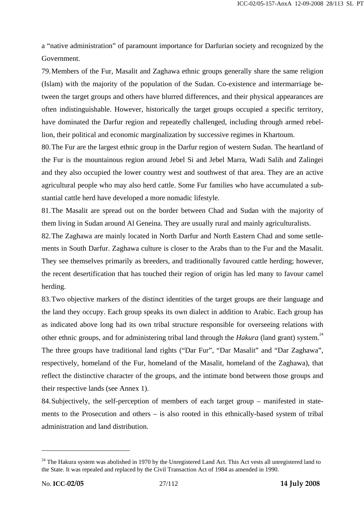a "native administration" of paramount importance for Darfurian society and recognized by the Government.

79.Members of the Fur, Masalit and Zaghawa ethnic groups generally share the same religion (Islam) with the majority of the population of the Sudan. Co-existence and intermarriage between the target groups and others have blurred differences, and their physical appearances are often indistinguishable. However, historically the target groups occupied a specific territory, have dominated the Darfur region and repeatedly challenged, including through armed rebellion, their political and economic marginalization by successive regimes in Khartoum.

80.The Fur are the largest ethnic group in the Darfur region of western Sudan. The heartland of the Fur is the mountainous region around Jebel Si and Jebel Marra, Wadi Salih and Zalingei and they also occupied the lower country west and southwest of that area. They are an active agricultural people who may also herd cattle. Some Fur families who have accumulated a substantial cattle herd have developed a more nomadic lifestyle.

81.The Masalit are spread out on the border between Chad and Sudan with the majority of them living in Sudan around Al Geneina. They are usually rural and mainly agriculturalists.

82.The Zaghawa are mainly located in North Darfur and North Eastern Chad and some settlements in South Darfur. Zaghawa culture is closer to the Arabs than to the Fur and the Masalit. They see themselves primarily as breeders, and traditionally favoured cattle herding; however, the recent desertification that has touched their region of origin has led many to favour camel herding.

83.Two objective markers of the distinct identities of the target groups are their language and the land they occupy. Each group speaks its own dialect in addition to Arabic. Each group has as indicated above long had its own tribal structure responsible for overseeing relations with other ethnic groups, and for administering tribal land through the *Hakura* (land grant) system.<sup>24</sup>

The three groups have traditional land rights ("Dar Fur", "Dar Masalit" and "Dar Zaghawa", respectively, homeland of the Fur, homeland of the Masalit, homeland of the Zaghawa), that reflect the distinctive character of the groups, and the intimate bond between those groups and their respective lands (see Annex 1).

84.Subjectively, the self-perception of members of each target group – manifested in statements to the Prosecution and others – is also rooted in this ethnically-based system of tribal administration and land distribution.

<sup>&</sup>lt;sup>24</sup> The Hakura system was abolished in 1970 by the Unregistered Land Act. This Act vests all unregistered land to the State. It was repealed and replaced by the Civil Transaction Act of 1984 as amended in 1990.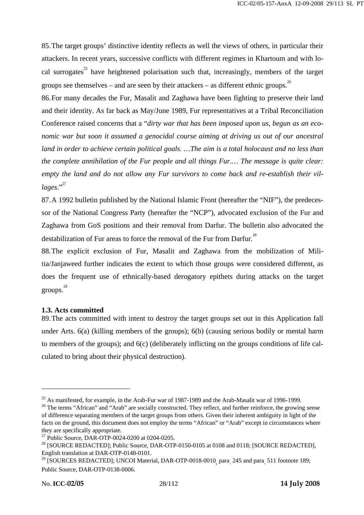85.The target groups' distinctive identity reflects as well the views of others, in particular their attackers. In recent years, successive conflicts with different regimes in Khartoum and with local surrogates<sup>25</sup> have heightened polarisation such that, increasingly, members of the target groups see themselves – and are seen by their attackers – as different ethnic groups.<sup>26</sup>

86.For many decades the Fur, Masalit and Zaghawa have been fighting to preserve their land and their identity. As far back as May/June 1989, Fur representatives at a Tribal Reconciliation Conference raised concerns that a "*dirty war that has been imposed upon us, begun as an economic war but soon it assumed a genocidal course aiming at driving us out of our ancestral land in order to achieve certain political goals. …The aim is a total holocaust and no less than the complete annihilation of the Fur people and all things Fur.… The message is quite clear: empty the land and do not allow any Fur survivors to come back and re-establish their vil*lages."<sup>27</sup>

87.A 1992 bulletin published by the National Islamic Front (hereafter the "NIF"), the predecessor of the National Congress Party (hereafter the "NCP"), advocated exclusion of the Fur and Zaghawa from GoS positions and their removal from Darfur. The bulletin also advocated the destabilization of Fur areas to force the removal of the Fur from Darfur.<sup>28</sup>

88.The explicit exclusion of Fur, Masalit and Zaghawa from the mobilization of Militia/Janjaweed further indicates the extent to which those groups were considered different, as does the frequent use of ethnically-based derogatory epithets during attacks on the target groups. 29

# **1.3. Acts committed**

89.The acts committed with intent to destroy the target groups set out in this Application fall under Arts. 6(a) (killing members of the groups); 6(b) (causing serious bodily or mental harm to members of the groups); and 6(c) (deliberately inflicting on the groups conditions of life calculated to bring about their physical destruction).

<sup>&</sup>lt;sup>25</sup> As manifested, for example, in the Arab-Fur war of 1987-1989 and the Arab-Masalit war of 1996-1999.<br><sup>26</sup> The terms "African" and "Arab" are socially constructed. They reflect, and further reinforce, the growing sense of difference separating members of the target groups from others. Given their inherent ambiguity in light of the facts on the ground, this document does not employ the terms "African" or "Arab" except in circumstances where they are specifically appropriate.

<sup>27</sup> Public Source, DAR-OTP-0024-0200 at 0204-0205.

<sup>&</sup>lt;sup>28</sup> [SOURCE REDACTED]; Public Source, DAR-OTP-0150-0105 at 0108 and 0118; [SOURCE REDACTED], English translation at DAR-OTP-0148-0101.

English translation at DAR-OTP-0148-0101.<br><sup>29</sup> [SOURCES REDACTED]; UNCOI Material, DAR-OTP-0018-0010<sub>,</sub> para<sub>.</sub> 245 and para<sub>.</sub> 511 footnote 189; Public Source, DAR-OTP-0138-0006.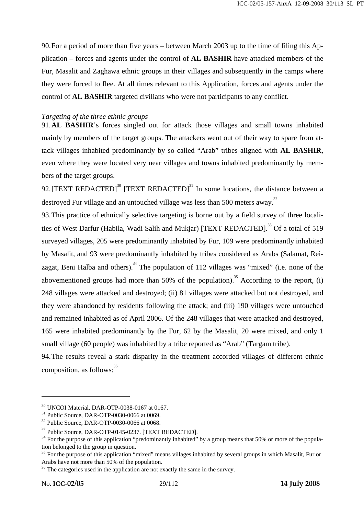90.For a period of more than five years – between March 2003 up to the time of filing this Application – forces and agents under the control of **AL BASHIR** have attacked members of the Fur, Masalit and Zaghawa ethnic groups in their villages and subsequently in the camps where they were forced to flee. At all times relevant to this Application, forces and agents under the control of **AL BASHIR** targeted civilians who were not participants to any conflict.

# *Targeting of the three ethnic groups*

91.**AL BASHIR**'s forces singled out for attack those villages and small towns inhabited mainly by members of the target groups. The attackers went out of their way to spare from attack villages inhabited predominantly by so called "Arab" tribes aligned with **AL BASHIR**, even where they were located very near villages and towns inhabited predominantly by members of the target groups.

92. [TEXT REDACTED]<sup>30</sup> [TEXT REDACTED]<sup>31</sup> In some locations, the distance between a destroyed Fur village and an untouched village was less than 500 meters away.<sup>32</sup>

93.This practice of ethnically selective targeting is borne out by a field survey of three localities of West Darfur (Habila, Wadi Salih and Mukiar) [TEXT REDACTED].<sup>33</sup> Of a total of 519 surveyed villages, 205 were predominantly inhabited by Fur, 109 were predominantly inhabited by Masalit, and 93 were predominantly inhabited by tribes considered as Arabs (Salamat, Reizagat, Beni Halba and others).<sup>34</sup> The population of 112 villages was "mixed" (i.e. none of the abovementioned groups had more than  $50\%$  of the population).<sup>35</sup> According to the report, (i) 248 villages were attacked and destroyed; (ii) 81 villages were attacked but not destroyed, and they were abandoned by residents following the attack; and (iii) 190 villages were untouched and remained inhabited as of April 2006. Of the 248 villages that were attacked and destroyed, 165 were inhabited predominantly by the Fur, 62 by the Masalit, 20 were mixed, and only 1 small village (60 people) was inhabited by a tribe reported as "Arab" (Targam tribe).

94.The results reveal a stark disparity in the treatment accorded villages of different ethnic composition, as follows: $36$ 

<sup>30</sup> UNCOI Material, DAR-OTP-0038-0167 at 0167.

<sup>31</sup> Public Source, DAR-OTP-0030-0066 at 0069.

<sup>32</sup> Public Source, DAR-OTP-0030-0066 at 0068.

 $^{33}$  Public Source, DAR-OTP-0145-0237. [TEXT REDACTED].

 $34$  For the purpose of this application "predominantly inhabited" by a group means that 50% or more of the population belonged to the group in question.

<sup>&</sup>lt;sup>35</sup> For the purpose of this application "mixed" means villages inhabited by several groups in which Masalit, Fur or Arabs have not more than 50% of the population.

<sup>&</sup>lt;sup>36</sup> The categories used in the application are not exactly the same in the survey.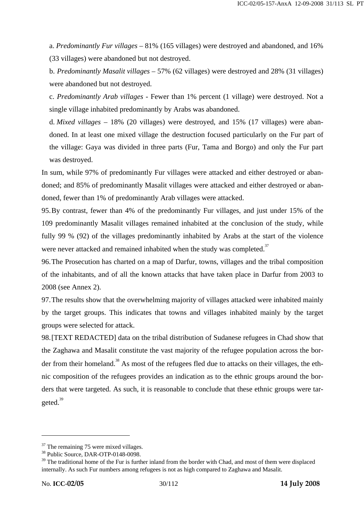a. *Predominantly Fur villages* – 81% (165 villages) were destroyed and abandoned, and 16% (33 villages) were abandoned but not destroyed.

b. *Predominantly Masalit villages* – 57% (62 villages) were destroyed and 28% (31 villages) were abandoned but not destroyed.

c. *Predominantly Arab villages* - Fewer than 1% percent (1 village) were destroyed. Not a single village inhabited predominantly by Arabs was abandoned.

d. *Mixed villages* – 18% (20 villages) were destroyed, and 15% (17 villages) were abandoned. In at least one mixed village the destruction focused particularly on the Fur part of the village: Gaya was divided in three parts (Fur, Tama and Borgo) and only the Fur part was destroyed.

In sum, while 97% of predominantly Fur villages were attacked and either destroyed or abandoned; and 85% of predominantly Masalit villages were attacked and either destroyed or abandoned, fewer than 1% of predominantly Arab villages were attacked.

95.By contrast, fewer than 4% of the predominantly Fur villages, and just under 15% of the 109 predominantly Masalit villages remained inhabited at the conclusion of the study, while fully 99 % (92) of the villages predominantly inhabited by Arabs at the start of the violence were never attacked and remained inhabited when the study was completed.<sup>37</sup>

96.The Prosecution has charted on a map of Darfur, towns, villages and the tribal composition of the inhabitants, and of all the known attacks that have taken place in Darfur from 2003 to 2008 (see Annex 2).

97.The results show that the overwhelming majority of villages attacked were inhabited mainly by the target groups. This indicates that towns and villages inhabited mainly by the target groups were selected for attack.

98.[TEXT REDACTED] data on the tribal distribution of Sudanese refugees in Chad show that the Zaghawa and Masalit constitute the vast majority of the refugee population across the border from their homeland.<sup>38</sup> As most of the refugees fled due to attacks on their villages, the ethnic composition of the refugees provides an indication as to the ethnic groups around the borders that were targeted. As such, it is reasonable to conclude that these ethnic groups were targeted.<sup>39</sup>

 $37$  The remaining 75 were mixed villages.

<sup>&</sup>lt;sup>38</sup> Public Source, DAR-OTP-0148-0098.

<sup>&</sup>lt;sup>39</sup> The traditional home of the Fur is further inland from the border with Chad, and most of them were displaced internally. As such Fur numbers among refugees is not as high compared to Zaghawa and Masalit.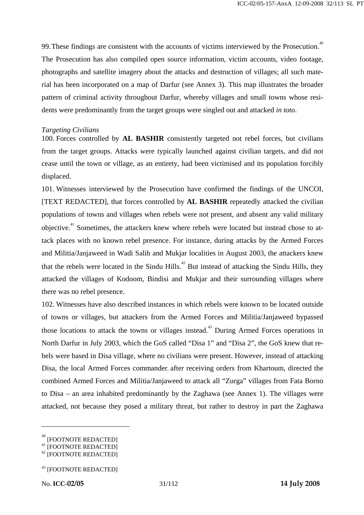99. These findings are consistent with the accounts of victims interviewed by the Prosecution.<sup>40</sup> The Prosecution has also compiled open source information, victim accounts, video footage, photographs and satellite imagery about the attacks and destruction of villages; all such material has been incorporated on a map of Darfur (see Annex 3). This map illustrates the broader pattern of criminal activity throughout Darfur, whereby villages and small towns whose residents were predominantly from the target groups were singled out and attacked *in toto*.

## *Targeting Civilians*

100. Forces controlled by **AL BASHIR** consistently targeted not rebel forces, but civilians from the target groups. Attacks were typically launched against civilian targets, and did not cease until the town or village, as an entirety, had been victimised and its population forcibly displaced.

101. Witnesses interviewed by the Prosecution have confirmed the findings of the UNCOI, [TEXT REDACTED], that forces controlled by **AL BASHIR** repeatedly attacked the civilian populations of towns and villages when rebels were not present, and absent any valid military objective.41 Sometimes, the attackers knew where rebels were located but instead chose to attack places with no known rebel presence. For instance, during attacks by the Armed Forces and Militia/Janjaweed in Wadi Salih and Mukjar localities in August 2003, the attackers knew that the rebels were located in the Sindu Hills.<sup> $42$ </sup> But instead of attacking the Sindu Hills, they attacked the villages of Kodoom, Bindisi and Mukjar and their surrounding villages where there was no rebel presence.

102. Witnesses have also described instances in which rebels were known to be located outside of towns or villages, but attackers from the Armed Forces and Militia/Janjaweed bypassed those locations to attack the towns or villages instead.<sup>43</sup> During Armed Forces operations in North Darfur in July 2003, which the GoS called "Disa 1" and "Disa 2", the GoS knew that rebels were based in Disa village, where no civilians were present. However, instead of attacking Disa, the local Armed Forces commander, after receiving orders from Khartoum, directed the combined Armed Forces and Militia/Janjaweed to attack all "Zurga" villages from Fata Borno to Disa – an area inhabited predominantly by the Zaghawa (see Annex 1). The villages were attacked, not because they posed a military threat, but rather to destroy in part the Zaghawa

<sup>40</sup> [FOOTNOTE REDACTED]

<sup>&</sup>lt;sup>41</sup> [FOOTNOTE REDACTED]

<sup>42 [</sup>FOOTNOTE REDACTED]

<sup>43 [</sup>FOOTNOTE REDACTED]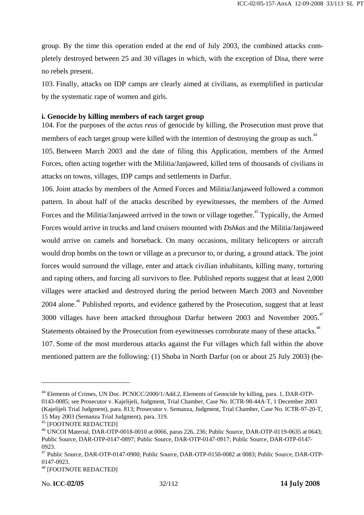group. By the time this operation ended at the end of July 2003, the combined attacks completely destroyed between 25 and 30 villages in which, with the exception of Disa, there were no rebels present.

103. Finally, attacks on IDP camps are clearly aimed at civilians, as exemplified in particular by the systematic rape of women and girls.

# **i. Genocide by killing members of each target group**

104. For the purposes of the *actus reus* of genocide by killing, the Prosecution must prove that members of each target group were killed with the intention of destroying the group as such.<sup>44</sup>

105. Between March 2003 and the date of filing this Application, members of the Armed Forces, often acting together with the Militia/Janjaweed, killed tens of thousands of civilians in attacks on towns, villages, IDP camps and settlements in Darfur.

106. Joint attacks by members of the Armed Forces and Militia/Janjaweed followed a common pattern. In about half of the attacks described by eyewitnesses, the members of the Armed Forces and the Militia/Janjaweed arrived in the town or village together.<sup>45</sup> Typically, the Armed Forces would arrive in trucks and land cruisers mounted with *Dshkas* and the Militia/Janjaweed would arrive on camels and horseback. On many occasions, military helicopters or aircraft would drop bombs on the town or village as a precursor to, or during, a ground attack. The joint forces would surround the village, enter and attack civilian inhabitants, killing many, torturing and raping others, and forcing all survivors to flee. Published reports suggest that at least 2,000 villages were attacked and destroyed during the period between March 2003 and November 2004 alone.<sup>46</sup> Published reports, and evidence gathered by the Prosecution, suggest that at least 3000 villages have been attacked throughout Darfur between 2003 and November 2005.<sup>47</sup> Statements obtained by the Prosecution from eyewitnesses corroborate many of these attacks.<sup>48</sup> 107. Some of the most murderous attacks against the Fur villages which fall within the above mentioned pattern are the following: (1) Shoba in North Darfur (on or about 25 July 2003) (be-

<sup>44</sup> Elements of Crimes, UN Doc. PCNICC/2000/1/Add.2, Elements of Genocide by killing, para. 1, DAR-OTP-0143-0085; see Prosecutor v. Kajelijeli, Judgment, Trial Chamber, Case No. ICTR-98-44A-T, 1 December 2003 (Kajelijeli Trial Judgment), para. 813; Prosecutor v. Semanza, Judgment, Trial Chamber, Case No. ICTR-97-20-T, 15 May 2003 (Semanza Trial Judgment), para. 319.

<sup>&</sup>lt;sup>46</sup> UNCOI Material, DAR-OTP-0018-0010 at 0066, paras 226, 236; Public Source, DAR-OTP-0119-0635 at 0643; Public Source, DAR-OTP-0147-0897; Public Source, DAR-OTP-0147-0917; Public Source, DAR-OTP-0147- 0923.

<sup>47</sup> Public Source, DAR-OTP-0147-0900; Public Source, DAR-OTP-0150-0082 at 0083; Public Source, DAR-OTP-0147-0923.

<sup>48 [</sup>FOOTNOTE REDACTED]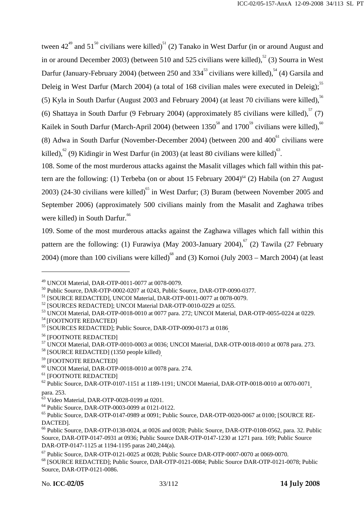tween  $42^{49}$  and  $51^{50}$  civilians were killed)<sup>51</sup> (2) Tanako in West Darfur (in or around August and in or around December 2003) (between 510 and 525 civilians were killed),<sup>52</sup> (3) Sourra in West Darfur (January-February 2004) (between 250 and  $334^{53}$  civilians were killed),  $^{54}$  (4) Garsila and Deleig in West Darfur (March 2004) (a total of 168 civilian males were executed in Deleig); $55$ (5) Kyla in South Darfur (August 2003 and February 2004) (at least 70 civilians were killed),  $5<sup>56</sup>$ (6) Shattaya in South Darfur (9 February 2004) (approximately 85 civilians were killed),  $57$  (7) Kailek in South Darfur (March-April 2004) (between  $1350^{58}$  and  $1700^{59}$  civilians were killed),<sup>60</sup> (8) Adwa in South Darfur (November-December 2004) (between  $200$  and  $400<sup>61</sup>$  civilians were killed),  $^{62}$  (9) Kidingir in West Darfur (in 2003) (at least 80 civilians were killed)<sup>63</sup>.

108. Some of the most murderous attacks against the Masalit villages which fall within this pattern are the following: (1) Terbeba (on or about 15 February 2004)<sup>64</sup> (2) Habila (on 27 August 2003) (24-30 civilians were killed)<sup>65</sup> in West Darfur: (3) Buram (between November 2005 and September 2006) (approximately 500 civilians mainly from the Masalit and Zaghawa tribes were killed) in South Darfur.<sup>66</sup>

109. Some of the most murderous attacks against the Zaghawa villages which fall within this pattern are the following: (1) Furawiya (May 2003-January 2004), $^{67}$  (2) Tawila (27 February 2004) (more than 100 civilians were killed)<sup>68</sup> and (3) Kornoi (July 2003 – March 2004) (at least

<sup>49</sup> UNCOI Material, DAR-OTP-0011-0077 at 0078-0079.

<sup>50</sup> Public Source, DAR-OTP-0002-0207 at 0243, Public Source, DAR-OTP-0090-0377.

<sup>51 [</sup>SOURCE REDACTED], UNCOI Material, DAR-OTP-0011-0077 at 0078-0079.

<sup>&</sup>lt;sup>52</sup> [SOURCES REDACTED]; UNCOI Material DAR-OTP-0010-0229 at 0255.

 $^{53}$  UNCOI Material, DAR-OTP-0018-0010 at 0077 para. 272; UNCOI Material, DAR-OTP-0055-0224 at 0229.<br> $^{54}$ [FOOTNOTE REDACTED]

<sup>&</sup>lt;sup>55</sup> [SOURCES REDACTED]; Public Source, DAR-OTP-0090-0173 at 0186<sub>.</sub><br><sup>56</sup> [FOOTNOTE REDACTED]

<sup>57</sup> UNCOI Material, DAR-OTP-0010-0003 at 0036; UNCOI Material, DAR-OTP-0018-0010 at 0078 para. 273.

<sup>&</sup>lt;sup>58</sup> [SOURCE REDACTED] (1350 people killed)<sub>.</sub><br><sup>59</sup> [FOOTNOTE REDACTED]

 $^{60}$  UNCOI Material, DAR-OTP-0018-0010 at 0078 para. 274.<br> $^{61}$  [FOOTNOTE REDACTED]

 $62$  Public Source, DAR-OTP-0107-1151 at 1189-1191; UNCOI Material, DAR-OTP-0018-0010 at 0070-0071

para. 253.<br><sup>63</sup> Video Material, DAR-OTP-0028-0199 at 0201.

<sup>64</sup> Public Source, DAR-OTP-0003-0099 at 0121-0122.

<sup>65</sup> Public Source, DAR-OTP-0147-0989 at 0091; Public Source, DAR-OTP-0020-0067 at 0100; [SOURCE RE-DACTED].

<sup>&</sup>lt;sup>66</sup> Public Source, DAR-OTP-0138-0024, at 0026 and 0028; Public Source, DAR-OTP-0108-0562, para. 32. Public Source, DAR-OTP-0147-0931 at 0936; Public Source DAR-OTP-0147-1230 at 1271 para. 169; Public Source DAR-OTP-0147-1125 at 1194-1195 paras 240<sub>-</sub>244(a).

<sup>67</sup> Public Source, DAR-OTP-0121-0025 at 0028; Public Source DAR-OTP-0007-0070 at 0069-0070.

<sup>68 [</sup>SOURCE REDACTED]; Public Source, DAR-OTP-0121-0084; Public Source DAR-OTP-0121-0078; Public Source, DAR-OTP-0121-0086.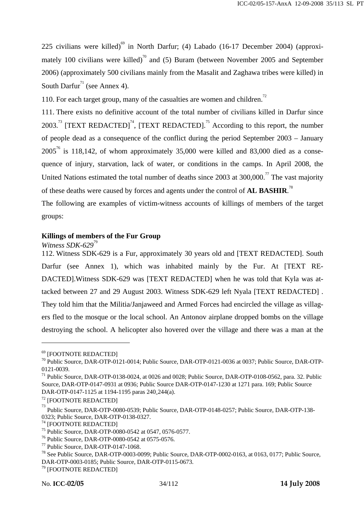225 civilians were killed)<sup>69</sup> in North Darfur; (4) Labado (16-17 December 2004) (approximately 100 civilians were killed)<sup>70</sup> and (5) Buram (between November 2005 and September 2006) (approximately 500 civilians mainly from the Masalit and Zaghawa tribes were killed) in South Darfur<sup>71</sup> (see Annex 4).

110. For each target group, many of the casualties are women and children.<sup>72</sup>

111. There exists no definitive account of the total number of civilians killed in Darfur since 2003.<sup>73</sup> [TEXT REDACTED]<sup>74</sup>, [TEXT REDACTED].<sup>75</sup> According to this report, the number of people dead as a consequence of the conflict during the period September 2003 – January  $2005^{76}$  is 118,142, of whom approximately 35,000 were killed and 83,000 died as a consequence of injury, starvation, lack of water, or conditions in the camps. In April 2008, the United Nations estimated the total number of deaths since  $2003$  at  $300,000$ .<sup>77</sup> The vast majority of these deaths were caused by forces and agents under the control of **AL BASHIR**. 78

The following are examples of victim-witness accounts of killings of members of the target groups:

# **Killings of members of the Fur Group**

*Witness SDK-629*<sup>79</sup>

112. Witness SDK-629 is a Fur, approximately 30 years old and [TEXT REDACTED]. South Darfur (see Annex 1), which was inhabited mainly by the Fur. At [TEXT RE-DACTED].Witness SDK-629 was [TEXT REDACTED] when he was told that Kyla was attacked between 27 and 29 August 2003. Witness SDK-629 left Nyala [TEXT REDACTED] . They told him that the Militia/Janjaweed and Armed Forces had encircled the village as villagers fled to the mosque or the local school. An Antonov airplane dropped bombs on the village destroying the school. A helicopter also hovered over the village and there was a man at the

<sup>69 [</sup>FOOTNOTE REDACTED]

<sup>70</sup> Public Source, DAR-OTP-0121-0014; Public Source, DAR-OTP-0121-0036 at 0037; Public Source, DAR-OTP-0121-0039.

<sup>&</sup>lt;sup>71</sup> Public Source, DAR-OTP-0138-0024, at 0026 and 0028; Public Source, DAR-OTP-0108-0562, para. 32. Public Source, DAR-OTP-0147-0931 at 0936; Public Source DAR-OTP-0147-1230 at 1271 para. 169; Public Source DAR-OTP-0147-1125 at 1194-1195 paras 240<sub>-</sub>244(a).

<sup>72 [</sup>FOOTNOTE REDACTED]

<sup>73</sup> Public Source, DAR-OTP-0080-0539; Public Source, DAR-OTP-0148-0257; Public Source, DAR-OTP-138- 0323; Public Source, DAR-OTP-0138-0327.

<sup>74 [</sup>FOOTNOTE REDACTED]

<sup>75</sup> Public Source, DAR-OTP-0080-0542 at 0547, 0576-0577.

<sup>76</sup> Public Source, DAR-OTP-0080-0542 at 0575-0576.

<sup>77</sup> Public Source, DAR-OTP-0147-1068.

<sup>78</sup> See Public Source, DAR-OTP-0003-0099; Public Source, DAR-OTP-0002-0163, at 0163, 0177; Public Source, DAR-OTP-0003-0185; Public Source, DAR-OTP-0115-0673.

<sup>79 [</sup>FOOTNOTE REDACTED]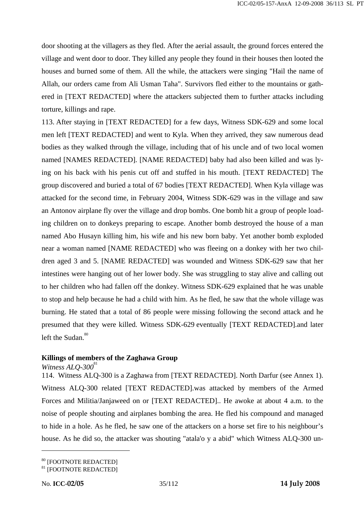door shooting at the villagers as they fled. After the aerial assault, the ground forces entered the village and went door to door. They killed any people they found in their houses then looted the houses and burned some of them. All the while, the attackers were singing "Hail the name of Allah, our orders came from Ali Usman Taha". Survivors fled either to the mountains or gathered in [TEXT REDACTED] where the attackers subjected them to further attacks including torture, killings and rape.

113. After staying in [TEXT REDACTED] for a few days, Witness SDK-629 and some local men left [TEXT REDACTED] and went to Kyla. When they arrived, they saw numerous dead bodies as they walked through the village, including that of his uncle and of two local women named [NAMES REDACTED]. [NAME REDACTED] baby had also been killed and was lying on his back with his penis cut off and stuffed in his mouth. [TEXT REDACTED] The group discovered and buried a total of 67 bodies [TEXT REDACTED]. When Kyla village was attacked for the second time, in February 2004, Witness SDK-629 was in the village and saw an Antonov airplane fly over the village and drop bombs. One bomb hit a group of people loading children on to donkeys preparing to escape. Another bomb destroyed the house of a man named Abo Husayn killing him, his wife and his new born baby. Yet another bomb exploded near a woman named [NAME REDACTED] who was fleeing on a donkey with her two children aged 3 and 5. [NAME REDACTED] was wounded and Witness SDK-629 saw that her intestines were hanging out of her lower body. She was struggling to stay alive and calling out to her children who had fallen off the donkey. Witness SDK-629 explained that he was unable to stop and help because he had a child with him. As he fled, he saw that the whole village was burning. He stated that a total of 86 people were missing following the second attack and he presumed that they were killed. Witness SDK-629 eventually [TEXT REDACTED].and later left the Sudan. $80$ 

# **Killings of members of the Zaghawa Group**

#### *Witness ALO-300*<sup>81</sup>

114. Witness ALQ-300 is a Zaghawa from [TEXT REDACTED]. North Darfur (see Annex 1). Witness ALQ-300 related [TEXT REDACTED].was attacked by members of the Armed Forces and Militia/Janjaweed on or [TEXT REDACTED].. He awoke at about 4 a.m. to the noise of people shouting and airplanes bombing the area. He fled his compound and managed to hide in a hole. As he fled, he saw one of the attackers on a horse set fire to his neighbour's house. As he did so, the attacker was shouting "atala'o y a abid" which Witness ALQ-300 un-

<sup>80 [</sup>FOOTNOTE REDACTED]

<sup>81 [</sup>FOOTNOTE REDACTED]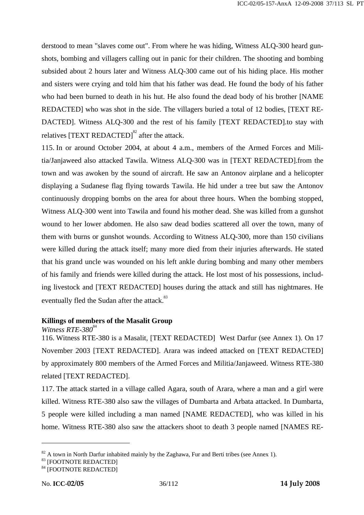derstood to mean "slaves come out". From where he was hiding, Witness ALQ-300 heard gunshots, bombing and villagers calling out in panic for their children. The shooting and bombing subsided about 2 hours later and Witness ALQ-300 came out of his hiding place. His mother and sisters were crying and told him that his father was dead. He found the body of his father who had been burned to death in his hut. He also found the dead body of his brother [NAME REDACTED] who was shot in the side. The villagers buried a total of 12 bodies, [TEXT RE-DACTED]. Witness ALQ-300 and the rest of his family [TEXT REDACTED].to stay with relatives  $[TEXT$  REDACTED $]$ <sup>82</sup> after the attack.

115. In or around October 2004, at about 4 a.m., members of the Armed Forces and Militia/Janjaweed also attacked Tawila. Witness ALQ-300 was in [TEXT REDACTED].from the town and was awoken by the sound of aircraft. He saw an Antonov airplane and a helicopter displaying a Sudanese flag flying towards Tawila. He hid under a tree but saw the Antonov continuously dropping bombs on the area for about three hours. When the bombing stopped, Witness ALQ-300 went into Tawila and found his mother dead. She was killed from a gunshot wound to her lower abdomen. He also saw dead bodies scattered all over the town, many of them with burns or gunshot wounds. According to Witness ALQ-300, more than 150 civilians were killed during the attack itself; many more died from their injuries afterwards. He stated that his grand uncle was wounded on his left ankle during bombing and many other members of his family and friends were killed during the attack. He lost most of his possessions, including livestock and [TEXT REDACTED] houses during the attack and still has nightmares. He eventually fled the Sudan after the attack.<sup>83</sup>

## **Killings of members of the Masalit Group**

*Witness RTE-380*<sup>84</sup>

116. Witness RTE-380 is a Masalit, [TEXT REDACTED] West Darfur (see Annex 1). On 17 November 2003 [TEXT REDACTED]. Arara was indeed attacked on [TEXT REDACTED] by approximately 800 members of the Armed Forces and Militia/Janjaweed. Witness RTE-380 related [TEXT REDACTED].

117. The attack started in a village called Agara, south of Arara, where a man and a girl were killed. Witness RTE-380 also saw the villages of Dumbarta and Arbata attacked. In Dumbarta, 5 people were killed including a man named [NAME REDACTED], who was killed in his home. Witness RTE-380 also saw the attackers shoot to death 3 people named [NAMES RE-

 $82$  A town in North Darfur inhabited mainly by the Zaghawa, Fur and Berti tribes (see Annex 1).

<sup>83 [</sup>FOOTNOTE REDACTED]

<sup>84 [</sup>FOOTNOTE REDACTED]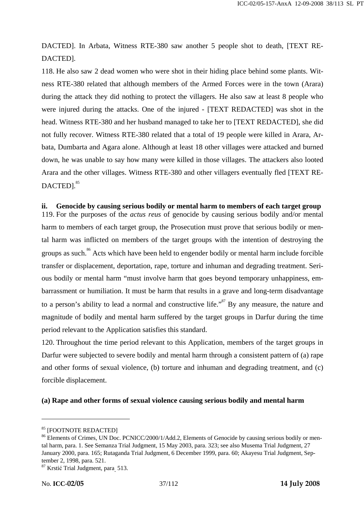DACTED]. In Arbata, Witness RTE-380 saw another 5 people shot to death, [TEXT RE-DACTED].

118. He also saw 2 dead women who were shot in their hiding place behind some plants. Witness RTE-380 related that although members of the Armed Forces were in the town (Arara) during the attack they did nothing to protect the villagers. He also saw at least 8 people who were injured during the attacks. One of the injured - [TEXT REDACTED] was shot in the head. Witness RTE-380 and her husband managed to take her to [TEXT REDACTED], she did not fully recover. Witness RTE-380 related that a total of 19 people were killed in Arara, Arbata, Dumbarta and Agara alone. Although at least 18 other villages were attacked and burned down, he was unable to say how many were killed in those villages. The attackers also looted Arara and the other villages. Witness RTE-380 and other villagers eventually fled [TEXT RE-DACTED].<sup>85</sup>

#### **ii. Genocide by causing serious bodily or mental harm to members of each target group**

119. For the purposes of the *actus reus* of genocide by causing serious bodily and/or mental harm to members of each target group, the Prosecution must prove that serious bodily or mental harm was inflicted on members of the target groups with the intention of destroying the groups as such.<sup>86</sup> Acts which have been held to engender bodily or mental harm include forcible transfer or displacement, deportation, rape, torture and inhuman and degrading treatment. Serious bodily or mental harm "must involve harm that goes beyond temporary unhappiness, embarrassment or humiliation. It must be harm that results in a grave and long-term disadvantage to a person's ability to lead a normal and constructive life."<sup>87</sup> By any measure, the nature and magnitude of bodily and mental harm suffered by the target groups in Darfur during the time period relevant to the Application satisfies this standard.

120. Throughout the time period relevant to this Application, members of the target groups in Darfur were subjected to severe bodily and mental harm through a consistent pattern of (a) rape and other forms of sexual violence, (b) torture and inhuman and degrading treatment, and (c) forcible displacement.

#### **(a) Rape and other forms of sexual violence causing serious bodily and mental harm**

<sup>85 [</sup>FOOTNOTE REDACTED]

<sup>&</sup>lt;sup>86</sup> Elements of Crimes, UN Doc. PCNICC/2000/1/Add.2, Elements of Genocide by causing serious bodily or mental harm, para. 1. See Semanza Trial Judgment, 15 May 2003, para. 323; see also Musema Trial Judgment, 27 January 2000, para. 165; Rutaganda Trial Judgment, 6 December 1999, para. 60; Akayesu Trial Judgment, September 2, 1998, para. 521.

<sup>&</sup>lt;sup>87</sup> Krstić Trial Judgment, para<sub>.</sub> 513.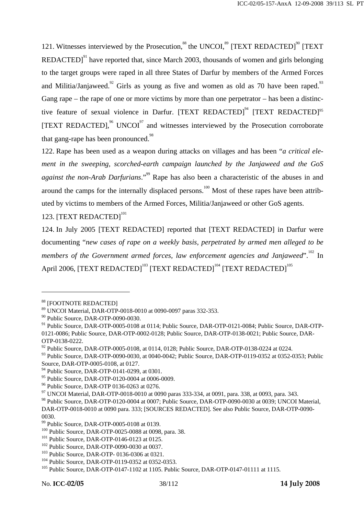121. Witnesses interviewed by the Prosecution,  $88$  the UNCOI,  $89$  [TEXT REDACTED]<sup>90</sup> [TEXT REDACTED] $^{91}$  have reported that, since March 2003, thousands of women and girls belonging to the target groups were raped in all three States of Darfur by members of the Armed Forces and Militia/Janjaweed.<sup>92</sup> Girls as young as five and women as old as 70 have been raped.<sup>93</sup> Gang rape – the rape of one or more victims by more than one perpetrator – has been a distinctive feature of sexual violence in Darfur.  $[TEXT$  REDACTED<sup> $94$ </sup>  $[TEXT$  REDACTED<sup> $95$ </sup> [TEXT REDACTED], $^{96}$  UNCOI<sup>97</sup> and witnesses interviewed by the Prosecution corroborate that gang-rape has been pronounced.<sup>98</sup>

122. Rape has been used as a weapon during attacks on villages and has been "*a critical element in the sweeping, scorched-earth campaign launched by the Janjaweed and the GoS against the non-Arab Darfurians*."<sup>99</sup> Rape has also been a characteristic of the abuses in and around the camps for the internally displaced persons.<sup>100</sup> Most of these rapes have been attributed by victims to members of the Armed Forces, Militia/Janjaweed or other GoS agents.

# 123. [TEXT REDACTED]<sup>101</sup>

124. In July 2005 [TEXT REDACTED] reported that [TEXT REDACTED] in Darfur were documenting "*new cases of rape on a weekly basis, perpetrated by armed men alleged to be members of the Government armed forces, law enforcement agencies and Janjaweed*".<sup>102</sup> In April 2006, [TEXT REDACTED]<sup>103</sup> [TEXT REDACTED]<sup>104</sup> [TEXT REDACTED]<sup>105</sup>

<sup>88 [</sup>FOOTNOTE REDACTED]

<sup>89</sup> UNCOI Material, DAR-OTP-0018-0010 at 0090-0097 paras 332-353.

<sup>90</sup> Public Source, DAR-OTP-0090-0030.

<sup>&</sup>lt;sup>91</sup> Public Source, DAR-OTP-0005-0108 at 0114; Public Source, DAR-OTP-0121-0084; Public Source, DAR-OTP-0121-0086; Public Source, DAR-OTP-0002-0128; Public Source, DAR-OTP-0138-0021; Public Source, DAR-OTP-0138-0222.

<sup>&</sup>lt;sup>92</sup> Public Source, DAR-OTP-0005-0108, at 0114, 0128; Public Source, DAR-OTP-0138-0224 at 0224.

<sup>93</sup> Public Source, DAR-OTP-0090-0030, at 0040-0042; Public Source, DAR-OTP-0119-0352 at 0352-0353; Public Source, DAR-OTP-0005-0108, at 0127.

<sup>&</sup>lt;sup>94</sup> Public Source, DAR-OTP-0141-0299, at 0301.

<sup>95</sup> Public Source, DAR-OTP-0120-0004 at 0006-0009.

<sup>96</sup> Public Source, DAR-OTP 0136-0263 at 0276.

 $97$  UNCOI Material, DAR-OTP-0018-0010 at 0090 paras 333-334, at 0091, para. 338, at 0093, para. 343.

<sup>98</sup> Public Source, DAR-OTP-0120-0004 at 0007; Public Source, DAR-OTP-0090-0030 at 0039; UNCOI Material, DAR-OTP-0018-0010 at 0090 para. 333; [SOURCES REDACTED]. See also Public Source, DAR-OTP-0090-

<sup>0030.</sup> 

<sup>99</sup> Public Source, DAR-OTP-0005-0108 at 0139.

<sup>&</sup>lt;sup>100</sup> Public Source, DAR-OTP-0025-0088 at 0098, para. 38.<br>
<sup>101</sup> Public Source, DAR-OTP-0146-0123 at 0125.<br>
<sup>102</sup> Public Source, DAR-OTP-0090-0030 at 0037.<br>
<sup>103</sup> Public Source, DAR-OTP-0136-0306 at 0321.<br>
<sup>104</sup> Public So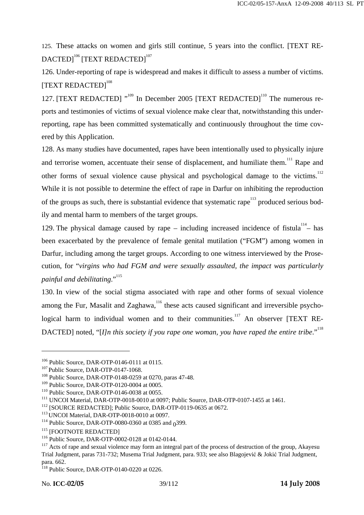125. These attacks on women and girls still continue, 5 years into the conflict. [TEXT RE-DACTED1<sup>106</sup> [TEXT REDACTED]<sup>107</sup>

126. Under-reporting of rape is widespread and makes it difficult to assess a number of victims. [TEXT REDACTED]<sup>108</sup>

127. [TEXT REDACTED] "<sup>109</sup> In December 2005 [TEXT REDACTED]<sup>110</sup> The numerous reports and testimonies of victims of sexual violence make clear that, notwithstanding this underreporting, rape has been committed systematically and continuously throughout the time covered by this Application.

128. As many studies have documented, rapes have been intentionally used to physically injure and terrorise women, accentuate their sense of displacement, and humiliate them.<sup>111</sup> Rape and other forms of sexual violence cause physical and psychological damage to the victims.<sup>112</sup> While it is not possible to determine the effect of rape in Darfur on inhibiting the reproduction of the groups as such, there is substantial evidence that systematic rape<sup>113</sup> produced serious bodily and mental harm to members of the target groups.

129. The physical damage caused by rape – including increased incidence of fistula<sup>114</sup> – has been exacerbated by the prevalence of female genital mutilation ("FGM") among women in Darfur, including among the target groups. According to one witness interviewed by the Prosecution, for "*virgins who had FGM and were sexually assaulted, the impact was particularly painful and debilitating*."<sup>115</sup>

130. In view of the social stigma associated with rape and other forms of sexual violence among the Fur, Masalit and Zaghawa,  $116$  these acts caused significant and irreversible psychological harm to individual women and to their communities.<sup>117</sup> An observer [TEXT RE-DACTED] noted, "[*I]n this society if you rape one woman, you have raped the entire tribe*."<sup>118</sup>

<sup>&</sup>lt;sup>106</sup> Public Source, DAR-OTP-0146-0111 at 0115.<br><sup>107</sup> Public Source, DAR-OTP-0147-1068.<br><sup>108</sup> Public Source, DAR-OTP-0148-0259 at 0270, paras 47-48.

<sup>&</sup>lt;sup>109</sup> Public Source, DAR-OTP-0120-0004 at 0005.<br><sup>110</sup> Public Source, DAR-OTP-0146-0038 at 0055.<br><sup>111</sup> UNCOI Material, DAR-OTP-0018-0010 at 0097; Public Source, DAR-OTP-0107-1455 at 1461.<br><sup>112</sup> [SOURCE REDACTED]; Public So

<sup>&</sup>lt;sup>116</sup> Public Source, DAR-OTP-0002-0128 at 0142-0144.<br><sup>117</sup> Acts of rape and sexual violence may form an integral part of the process of destruction of the group, Akayesu Trial Judgment, paras 731-732; Musema Trial Judgment, para. 933; see also Blagojević & Jokić Trial Judgment, para. 662.

<sup>118</sup> Public Source, DAR-OTP-0140-0220 at 0226.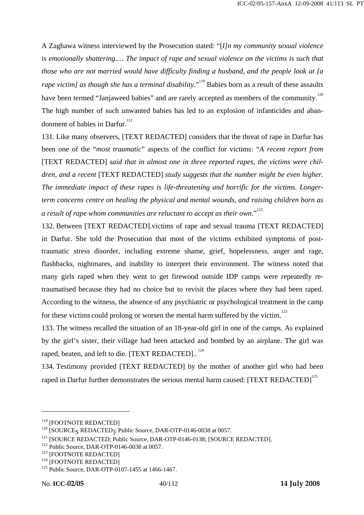A Zaghawa witness interviewed by the Prosecution stated: "[*I]n my community sexual violence is emotionally shattering.… The impact of rape and sexual violence on the victims is such that those who are not married would have difficulty finding a husband, and the people look at [a rape victim] as though she has a terminal disability*."<sup>119</sup> Babies born as a result of these assaults have been termed "Janjaweed babies" and are rarely accepted as members of the community.<sup>120</sup> The high number of such unwanted babies has led to an explosion of infanticides and abandonment of babies in Darfur. $121$ 

131. Like many observers, [TEXT REDACTED] considers that the threat of rape in Darfur has been one of the "*most traumatic*" aspects of the conflict for victims: "*A recent report from*  [TEXT REDACTED] *said that in almost one in three reported rapes, the victims were children, and a recent* [TEXT REDACTED] *study suggests that the number might be even higher. The immediate impact of these rapes is life-threatening and horrific for the victims. Longerterm concerns centre on healing the physical and mental wounds, and raising children born as a result of rape whom communities are reluctant to accept as their own*."<sup>122</sup>

132. Between [TEXT REDACTED].victims of rape and sexual trauma [TEXT REDACTED] in Darfur. She told the Prosecution that most of the victims exhibited symptoms of posttraumatic stress disorder, including extreme shame, grief, hopelessness, anger and rage, flashbacks, nightmares, and inability to interpret their environment. The witness noted that many girls raped when they went to get firewood outside IDP camps were repeatedly retraumatised because they had no choice but to revisit the places where they had been raped. According to the witness, the absence of any psychiatric or psychological treatment in the camp for these victims could prolong or worsen the mental harm suffered by the victim.<sup>123</sup>

133. The witness recalled the situation of an 18-year-old girl in one of the camps. As explained by the girl's sister, their village had been attacked and bombed by an airplane. The girl was raped, beaten, and left to die. [TEXT REDACTED]..<sup>124</sup>

134. Testimony provided [TEXT REDACTED] by the mother of another girl who had been raped in Darfur further demonstrates the serious mental harm caused: [TEXT REDACTED]<sup>125</sup>

<sup>&</sup>lt;sup>119</sup> [FOOTNOTE REDACTED]<br><sup>120</sup> [SOURCE<sub>S</sub> REDACTED<sub>1</sub>; Public Source, DAR-OTP-0146-0038 at 0057.

<sup>&</sup>lt;sup>121</sup> [SOURCE REDACTED; Public Source, DAR-OTP-0146-0138; [SOURCE REDACTED].<br>
<sup>122</sup> Public Source, DAR-OTP-0146-0038 at 0057.<br>
<sup>123</sup> [FOOTNOTE REDACTED]<br>
<sup>124</sup> [FOOTNOTE REDACTED]<br>
<sup>125</sup> Public Source, DAR-OTP-0107-1455 a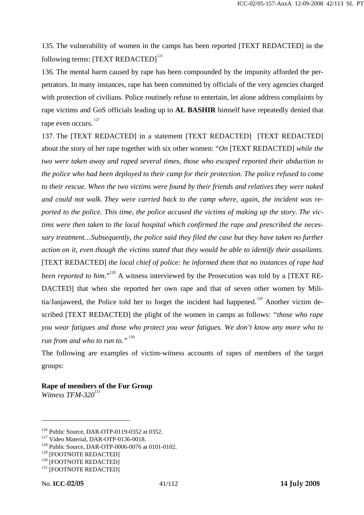135. The vulnerability of women in the camps has been reported [TEXT REDACTED] in the following terms: [TEXT REDACTED]<sup>126</sup>

136. The mental harm caused by rape has been compounded by the impunity afforded the perpetrators. In many instances, rape has been committed by officials of the very agencies charged with protection of civilians. Police routinely refuse to entertain, let alone address complaints by rape victims and GoS officials leading up to **AL BASHIR** himself have repeatedly denied that rape even occurs.<sup>127</sup>

137. The [TEXT REDACTED] in a statement [TEXT REDACTED] [TEXT REDACTED] about the story of her rape together with six other women: "*On* [TEXT REDACTED] *while the two were taken away and raped several times, those who escaped reported their abduction to the police who had been deployed to their camp for their protection. The police refused to come to their rescue. When the two victims were found by their friends and relatives they were naked and could not walk. They were carried back to the camp where, again, the incident was reported to the police. This time, the police accused the victims of making up the story. The victims were then taken to the local hospital which confirmed the rape and prescribed the necessary treatment…Subsequently, the police said they filed the case but they have taken no further action on it, even though the victims stated that they would be able to identify their assailants.* [TEXT REDACTED] *the local chief of police: he informed them that no instances of rape had been reported to him.*"<sup>128</sup> A witness interviewed by the Prosecution was told by a [TEXT RE-DACTED] that when she reported her own rape and that of seven other women by Militia/Janjaweed, the Police told her to forget the incident had happened.<sup>129</sup> Another victim described [TEXT REDACTED] the plight of the women in camps as follows: *"those who rape you wear fatigues and those who protect you wear fatigues. We don't know any more who to run from and who to run to.*"<sup>130</sup>

The following are examples of victim-witness accounts of rapes of members of the target groups:

**Rape of members of the Fur Group**  *Witness TFM-320*<sup>131</sup>

<sup>&</sup>lt;sup>126</sup> Public Source, DAR-OTP-0119-0352 at 0352.<br><sup>127</sup> Video Material, DAR-OTP-0136-0018.<br><sup>128</sup> Public Source, DAR-OTP-0006-0076 at 0101-0102.

 $129 \text{ [FOOTNOTE RED}\newline 130 \text{ [FOOTNOTE RED} \newline 131 \text{ [FOOTNOTE RED} \newline 131 \text{ [FOOTNOTE RED} \newline \newline \text{REDACTED} \text{]}$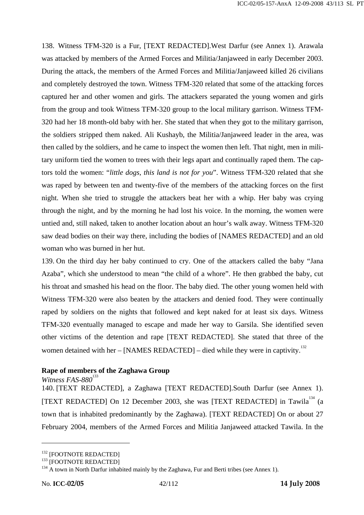138. Witness TFM-320 is a Fur, [TEXT REDACTED].West Darfur (see Annex 1). Arawala was attacked by members of the Armed Forces and Militia/Janjaweed in early December 2003. During the attack, the members of the Armed Forces and Militia/Janjaweed killed 26 civilians and completely destroyed the town. Witness TFM-320 related that some of the attacking forces captured her and other women and girls. The attackers separated the young women and girls from the group and took Witness TFM-320 group to the local military garrison. Witness TFM-320 had her 18 month-old baby with her. She stated that when they got to the military garrison, the soldiers stripped them naked. Ali Kushayb, the Militia/Janjaweed leader in the area, was then called by the soldiers, and he came to inspect the women then left. That night, men in military uniform tied the women to trees with their legs apart and continually raped them. The captors told the women: "*little dogs, this land is not for you*". Witness TFM-320 related that she was raped by between ten and twenty-five of the members of the attacking forces on the first night. When she tried to struggle the attackers beat her with a whip. Her baby was crying through the night, and by the morning he had lost his voice. In the morning, the women were untied and, still naked, taken to another location about an hour's walk away. Witness TFM-320 saw dead bodies on their way there, including the bodies of [NAMES REDACTED] and an old woman who was burned in her hut.

139. On the third day her baby continued to cry. One of the attackers called the baby "Jana Azaba", which she understood to mean "the child of a whore". He then grabbed the baby, cut his throat and smashed his head on the floor. The baby died. The other young women held with Witness TFM-320 were also beaten by the attackers and denied food. They were continually raped by soldiers on the nights that followed and kept naked for at least six days. Witness TFM-320 eventually managed to escape and made her way to Garsila. She identified seven other victims of the detention and rape [TEXT REDACTED]. She stated that three of the women detained with her – [NAMES REDACTED] – died while they were in captivity.<sup>132</sup>

## **Rape of members of the Zaghawa Group**

*Witness FAS-880*<sup>133</sup>

140. [TEXT REDACTED], a Zaghawa [TEXT REDACTED].South Darfur (see Annex 1). [TEXT REDACTED] On 12 December 2003, she was [TEXT REDACTED] in Tawila<sup>134</sup> (a town that is inhabited predominantly by the Zaghawa). [TEXT REDACTED] On or about 27 February 2004, members of the Armed Forces and Militia Janjaweed attacked Tawila. In the

<sup>&</sup>lt;sup>132</sup> [FOOTNOTE REDACTED]<br><sup>133</sup> [FOOTNOTE REDACTED]<br><sup>134</sup> A town in North Darfur inhabited mainly by the Zaghawa, Fur and Berti tribes (see Annex 1).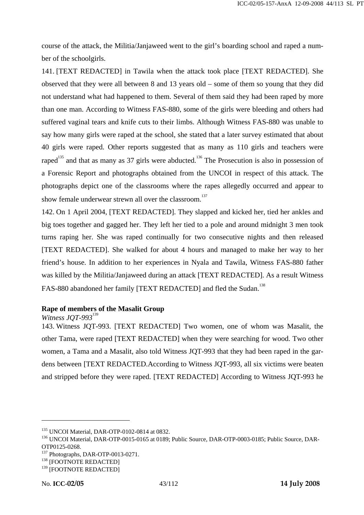course of the attack, the Militia/Janjaweed went to the girl's boarding school and raped a number of the schoolgirls.

141. [TEXT REDACTED] in Tawila when the attack took place [TEXT REDACTED]. She observed that they were all between 8 and 13 years old – some of them so young that they did not understand what had happened to them. Several of them said they had been raped by more than one man. According to Witness FAS-880, some of the girls were bleeding and others had suffered vaginal tears and knife cuts to their limbs. Although Witness FAS-880 was unable to say how many girls were raped at the school, she stated that a later survey estimated that about 40 girls were raped. Other reports suggested that as many as 110 girls and teachers were raped<sup>135</sup> and that as many as 37 girls were abducted.<sup>136</sup> The Prosecution is also in possession of a Forensic Report and photographs obtained from the UNCOI in respect of this attack. The photographs depict one of the classrooms where the rapes allegedly occurred and appear to show female underwear strewn all over the classroom.<sup>137</sup>

142. On 1 April 2004, [TEXT REDACTED]. They slapped and kicked her, tied her ankles and big toes together and gagged her. They left her tied to a pole and around midnight 3 men took turns raping her. She was raped continually for two consecutive nights and then released [TEXT REDACTED]. She walked for about 4 hours and managed to make her way to her friend's house. In addition to her experiences in Nyala and Tawila, Witness FAS-880 father was killed by the Militia/Janjaweed during an attack [TEXT REDACTED]. As a result Witness FAS-880 abandoned her family [TEXT REDACTED] and fled the Sudan.<sup>138</sup>

## **Rape of members of the Masalit Group**

*Witness JOT-993*<sup>139</sup>

143. Witness JQT-993. [TEXT REDACTED] Two women, one of whom was Masalit, the other Tama, were raped [TEXT REDACTED] when they were searching for wood. Two other women, a Tama and a Masalit, also told Witness JQT-993 that they had been raped in the gardens between [TEXT REDACTED.According to Witness JQT-993, all six victims were beaten and stripped before they were raped. [TEXT REDACTED] According to Witness JQT-993 he

<sup>&</sup>lt;sup>135</sup> UNCOI Material, DAR-OTP-0102-0814 at 0832.<br><sup>136</sup> UNCOI Material, DAR-OTP-0015-0165 at 0189; Public Source, DAR-OTP-0003-0185; Public Source, DAR-OTP0125-0268.

<sup>&</sup>lt;sup>137</sup> Photographs, DAR-OTP-0013-0271.<br><sup>138</sup> [FOOTNOTE REDACTED]

<sup>&</sup>lt;sup>139</sup> [FOOTNOTE REDACTED]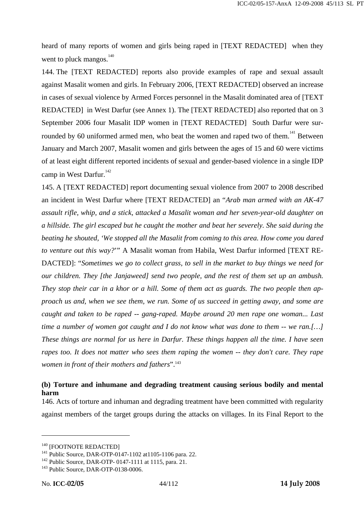heard of many reports of women and girls being raped in [TEXT REDACTED] when they went to pluck mangos. $140$ 

144. The [TEXT REDACTED] reports also provide examples of rape and sexual assault against Masalit women and girls. In February 2006, [TEXT REDACTED] observed an increase in cases of sexual violence by Armed Forces personnel in the Masalit dominated area of [TEXT REDACTED] in West Darfur (see Annex 1). The [TEXT REDACTED] also reported that on 3 September 2006 four Masalit IDP women in [TEXT REDACTED] South Darfur were surrounded by 60 uniformed armed men, who beat the women and raped two of them.<sup>141</sup> Between January and March 2007, Masalit women and girls between the ages of 15 and 60 were victims of at least eight different reported incidents of sexual and gender-based violence in a single IDP camp in West Darfur. $142$ 

145. A [TEXT REDACTED] report documenting sexual violence from 2007 to 2008 described an incident in West Darfur where [TEXT REDACTED] an "*Arab man armed with an AK-47 assault rifle, whip, and a stick, attacked a Masalit woman and her seven-year-old daughter on a hillside. The girl escaped but he caught the mother and beat her severely. She said during the beating he shouted, 'We stopped all the Masalit from coming to this area. How come you dared to venture out this way?*'" A Masalit woman from Habila, West Darfur informed [TEXT RE-DACTED]: "*Sometimes we go to collect grass, to sell in the market to buy things we need for our children. They [the Janjaweed] send two people, and the rest of them set up an ambush. They stop their car in a khor or a hill. Some of them act as guards. The two people then approach us and, when we see them, we run. Some of us succeed in getting away, and some are caught and taken to be raped -- gang-raped. Maybe around 20 men rape one woman... Last time a number of women got caught and I do not know what was done to them -- we ran.[…] These things are normal for us here in Darfur. These things happen all the time. I have seen rapes too. It does not matter who sees them raping the women -- they don't care. They rape women in front of their mothers and fathers*".<sup>143</sup>

## **(b) Torture and inhumane and degrading treatment causing serious bodily and mental harm**

146. Acts of torture and inhuman and degrading treatment have been committed with regularity against members of the target groups during the attacks on villages. In its Final Report to the

<sup>&</sup>lt;sup>140</sup> [FOOTNOTE REDACTED]<br><sup>141</sup> Public Source, DAR-OTP-0147-1102 at1105-1106 para. 22.<br><sup>142</sup> Public Source, DAR-OTP-0147-1111 at 1115, para. 21.<br><sup>143</sup> Public Source, DAR-OTP-0138-0006.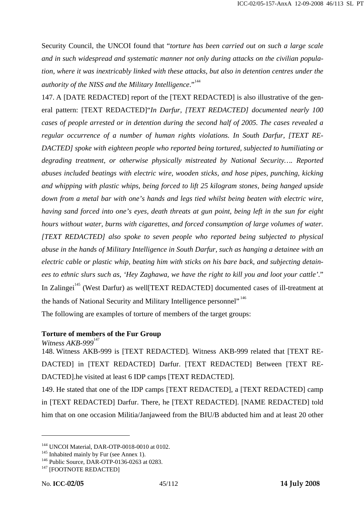Security Council, the UNCOI found that "*torture has been carried out on such a large scale and in such widespread and systematic manner not only during attacks on the civilian population, where it was inextricably linked with these attacks, but also in detention centres under the*  authority of the NISS and the Military Intelligence."<sup>144</sup>

147. A [DATE REDACTED] report of the [TEXT REDACTED] is also illustrative of the general pattern: [TEXT REDACTED]"*In Darfur, [TEXT REDACTED] documented nearly 100 cases of people arrested or in detention during the second half of 2005. The cases revealed a regular occurrence of a number of human rights violations. In South Darfur, [TEXT RE-DACTED] spoke with eighteen people who reported being tortured, subjected to humiliating or degrading treatment, or otherwise physically mistreated by National Security…. Reported abuses included beatings with electric wire, wooden sticks, and hose pipes, punching, kicking and whipping with plastic whips, being forced to lift 25 kilogram stones, being hanged upside down from a metal bar with one's hands and legs tied whilst being beaten with electric wire, having sand forced into one's eyes, death threats at gun point, being left in the sun for eight hours without water, burns with cigarettes, and forced consumption of large volumes of water. [TEXT REDACTED] also spoke to seven people who reported being subjected to physical abuse in the hands of Military Intelligence in South Darfur, such as hanging a detainee with an electric cable or plastic whip, beating him with sticks on his bare back, and subjecting detainees to ethnic slurs such as, 'Hey Zaghawa, we have the right to kill you and loot your cattle'*." In Zalingei<sup>145</sup> (West Darfur) as well[TEXT REDACTED] documented cases of ill-treatment at the hands of National Security and Military Intelligence personnel",<sup>146</sup> The following are examples of torture of members of the target groups:

**Torture of members of the Fur Group**

*Witness AKB-999*<sup>147</sup>

148. Witness AKB-999 is [TEXT REDACTED]. Witness AKB-999 related that [TEXT RE-DACTED] in [TEXT REDACTED] Darfur. [TEXT REDACTED] Between [TEXT RE-DACTED].he visited at least 6 IDP camps [TEXT REDACTED].

149. He stated that one of the IDP camps [TEXT REDACTED], a [TEXT REDACTED] camp in [TEXT REDACTED] Darfur. There, he [TEXT REDACTED]. [NAME REDACTED] told him that on one occasion Militia/Janjaweed from the BIU/B abducted him and at least 20 other

<sup>&</sup>lt;sup>144</sup> UNCOI Material, DAR-OTP-0018-0010 at 0102.<br><sup>145</sup> Inhabited mainly by Fur (see Annex 1).<br><sup>146</sup> Public Source, DAR-OTP-0136-0263 at 0283.<br><sup>147</sup> [FOOTNOTE REDACTED]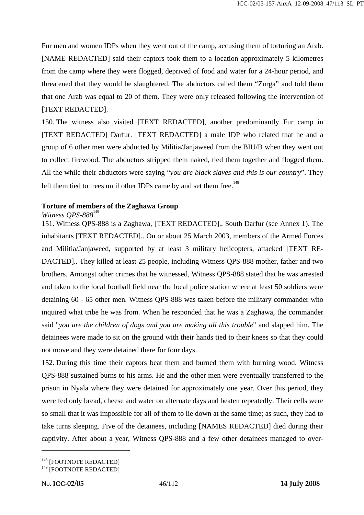Fur men and women IDPs when they went out of the camp, accusing them of torturing an Arab. [NAME REDACTED] said their captors took them to a location approximately 5 kilometres from the camp where they were flogged, deprived of food and water for a 24-hour period, and threatened that they would be slaughtered. The abductors called them "Zurga" and told them that one Arab was equal to 20 of them. They were only released following the intervention of [TEXT REDACTED].

150. The witness also visited [TEXT REDACTED], another predominantly Fur camp in [TEXT REDACTED] Darfur. [TEXT REDACTED] a male IDP who related that he and a group of 6 other men were abducted by Militia/Janjaweed from the BIU/B when they went out to collect firewood. The abductors stripped them naked, tied them together and flogged them. All the while their abductors were saying "*you are black slaves and this is our country*". They left them tied to trees until other IDPs came by and set them free.<sup>148</sup>

## **Torture of members of the Zaghawa Group**

### *Witness OPS-888*<sup>149</sup>

151. Witness QPS-888 is a Zaghawa, [TEXT REDACTED]., South Darfur (see Annex 1). The inhabitants [TEXT REDACTED].. On or about 25 March 2003, members of the Armed Forces and Militia/Janjaweed, supported by at least 3 military helicopters, attacked [TEXT RE-DACTED].. They killed at least 25 people, including Witness QPS-888 mother, father and two brothers. Amongst other crimes that he witnessed, Witness QPS-888 stated that he was arrested and taken to the local football field near the local police station where at least 50 soldiers were detaining 60 - 65 other men. Witness QPS-888 was taken before the military commander who inquired what tribe he was from. When he responded that he was a Zaghawa, the commander said "*you are the children of dogs and you are making all this trouble*" and slapped him. The detainees were made to sit on the ground with their hands tied to their knees so that they could not move and they were detained there for four days.

152. During this time their captors beat them and burned them with burning wood. Witness QPS-888 sustained burns to his arms. He and the other men were eventually transferred to the prison in Nyala where they were detained for approximately one year. Over this period, they were fed only bread, cheese and water on alternate days and beaten repeatedly. Their cells were so small that it was impossible for all of them to lie down at the same time; as such, they had to take turns sleeping. Five of the detainees, including [NAMES REDACTED] died during their captivity. After about a year, Witness QPS-888 and a few other detainees managed to over-

<sup>&</sup>lt;sup>148</sup> [FOOTNOTE REDACTED]

<sup>&</sup>lt;sup>149</sup> [FOOTNOTE REDACTED]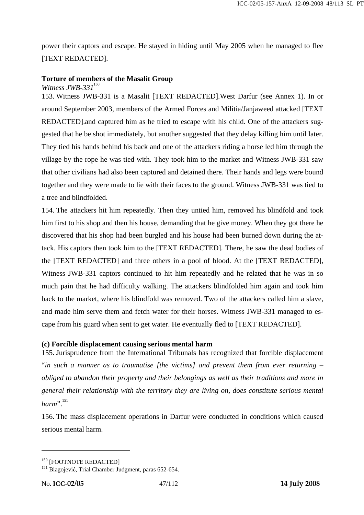power their captors and escape. He stayed in hiding until May 2005 when he managed to flee [TEXT REDACTED].

### **Torture of members of the Masalit Group**

*Witness JWB-331*<sup>150</sup>

153. Witness JWB-331 is a Masalit [TEXT REDACTED].West Darfur (see Annex 1). In or around September 2003, members of the Armed Forces and Militia/Janjaweed attacked [TEXT REDACTED].and captured him as he tried to escape with his child. One of the attackers suggested that he be shot immediately, but another suggested that they delay killing him until later. They tied his hands behind his back and one of the attackers riding a horse led him through the village by the rope he was tied with. They took him to the market and Witness JWB-331 saw that other civilians had also been captured and detained there. Their hands and legs were bound together and they were made to lie with their faces to the ground. Witness JWB-331 was tied to a tree and blindfolded.

154. The attackers hit him repeatedly. Then they untied him, removed his blindfold and took him first to his shop and then his house, demanding that he give money. When they got there he discovered that his shop had been burgled and his house had been burned down during the attack. His captors then took him to the [TEXT REDACTED]. There, he saw the dead bodies of the [TEXT REDACTED] and three others in a pool of blood. At the [TEXT REDACTED], Witness JWB-331 captors continued to hit him repeatedly and he related that he was in so much pain that he had difficulty walking. The attackers blindfolded him again and took him back to the market, where his blindfold was removed. Two of the attackers called him a slave, and made him serve them and fetch water for their horses. Witness JWB-331 managed to escape from his guard when sent to get water. He eventually fled to [TEXT REDACTED].

#### **(c) Forcible displacement causing serious mental harm**

155. Jurisprudence from the International Tribunals has recognized that forcible displacement "*in such a manner as to traumatise [the victims] and prevent them from ever returning – obliged to abandon their property and their belongings as well as their traditions and more in general their relationship with the territory they are living on, does constitute serious mental*   $harm$ <sup>".</sup><sup>151</sup>

156. The mass displacement operations in Darfur were conducted in conditions which caused serious mental harm.

<sup>&</sup>lt;sup>150</sup> [FOOTNOTE REDACTED]<br><sup>151</sup> Blagojević, Trial Chamber Judgment, paras 652-654.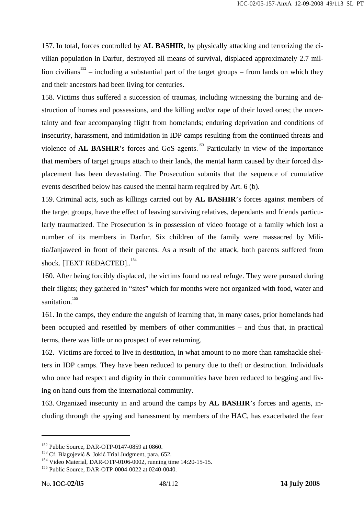157. In total, forces controlled by **AL BASHIR**, by physically attacking and terrorizing the civilian population in Darfur, destroyed all means of survival, displaced approximately 2.7 million civilians<sup>152</sup> – including a substantial part of the target groups – from lands on which they and their ancestors had been living for centuries.

158. Victims thus suffered a succession of traumas, including witnessing the burning and destruction of homes and possessions, and the killing and/or rape of their loved ones; the uncertainty and fear accompanying flight from homelands; enduring deprivation and conditions of insecurity, harassment, and intimidation in IDP camps resulting from the continued threats and violence of **AL BASHIR**'s forces and GoS agents.<sup>153</sup> Particularly in view of the importance that members of target groups attach to their lands, the mental harm caused by their forced displacement has been devastating. The Prosecution submits that the sequence of cumulative events described below has caused the mental harm required by Art. 6 (b).

159. Criminal acts, such as killings carried out by **AL BASHIR**'s forces against members of the target groups, have the effect of leaving surviving relatives, dependants and friends particularly traumatized. The Prosecution is in possession of video footage of a family which lost a number of its members in Darfur. Six children of the family were massacred by Militia/Janjaweed in front of their parents. As a result of the attack, both parents suffered from shock. [TEXT REDACTED]..<sup>154</sup>

160. After being forcibly displaced, the victims found no real refuge. They were pursued during their flights; they gathered in "sites" which for months were not organized with food, water and sanitation.<sup>155</sup>

161. In the camps, they endure the anguish of learning that, in many cases, prior homelands had been occupied and resettled by members of other communities – and thus that, in practical terms, there was little or no prospect of ever returning.

162. Victims are forced to live in destitution, in what amount to no more than ramshackle shelters in IDP camps. They have been reduced to penury due to theft or destruction. Individuals who once had respect and dignity in their communities have been reduced to begging and living on hand outs from the international community.

163. Organized insecurity in and around the camps by **AL BASHIR**'s forces and agents, including through the spying and harassment by members of the HAC, has exacerbated the fear

<sup>&</sup>lt;sup>152</sup> Public Source, DAR-OTP-0147-0859 at 0860.<br><sup>153</sup> Cf. Blagojević & Jokić Trial Judgment, para. 652.<br><sup>154</sup> Video Material, DAR-OTP-0106-0002, running time 14:20-15-15.<br><sup>155</sup> Public Source, DAR-OTP-0004-0022 at 0240-004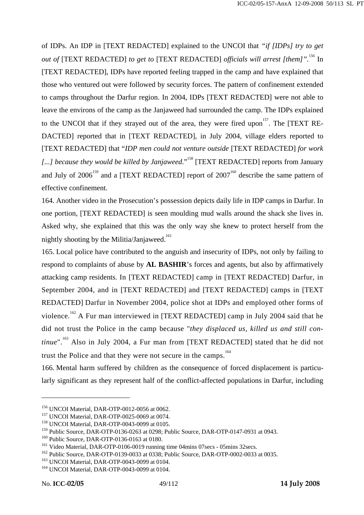of IDPs. An IDP in [TEXT REDACTED] explained to the UNCOI that *"if [IDPs] try to get out of* [TEXT REDACTED] *to get to* [TEXT REDACTED] *officials will arrest [them]*".<sup>156</sup> In [TEXT REDACTED], IDPs have reported feeling trapped in the camp and have explained that those who ventured out were followed by security forces. The pattern of confinement extended to camps throughout the Darfur region. In 2004, IDPs [TEXT REDACTED] were not able to leave the environs of the camp as the Janjaweed had surrounded the camp. The IDPs explained to the UNCOI that if they strayed out of the area, they were fired upon<sup>157</sup>. The [TEXT RE-DACTED] reported that in [TEXT REDACTED], in July 2004, village elders reported to [TEXT REDACTED] that "*IDP men could not venture outside* [TEXT REDACTED] *for work*  [...] because they would be killed by Janjaweed."<sup>158</sup> [TEXT REDACTED] reports from January and July of  $2006^{159}$  and a [TEXT REDACTED] report of  $2007^{160}$  describe the same pattern of effective confinement.

164. Another video in the Prosecution's possession depicts daily life in IDP camps in Darfur. In one portion, [TEXT REDACTED] is seen moulding mud walls around the shack she lives in. Asked why, she explained that this was the only way she knew to protect herself from the nightly shooting by the Militia/Janjaweed.<sup>161</sup>

165. Local police have contributed to the anguish and insecurity of IDPs, not only by failing to respond to complaints of abuse by **AL BASHIR**'s forces and agents, but also by affirmatively attacking camp residents. In [TEXT REDACTED] camp in [TEXT REDACTED] Darfur, in September 2004, and in [TEXT REDACTED] and [TEXT REDACTED] camps in [TEXT REDACTED] Darfur in November 2004, police shot at IDPs and employed other forms of violence.<sup>162</sup> A Fur man interviewed in [TEXT REDACTED] camp in July 2004 said that he did not trust the Police in the camp because "*they displaced us, killed us and still continue*".<sup>163</sup> Also in July 2004, a Fur man from [TEXT REDACTED] stated that he did not trust the Police and that they were not secure in the camps.<sup>164</sup>

166. Mental harm suffered by children as the consequence of forced displacement is particularly significant as they represent half of the conflict-affected populations in Darfur, including

<sup>&</sup>lt;sup>156</sup> UNCOI Material, DAR-OTP-0012-0056 at 0062.<br><sup>157</sup> UNCOI Material, DAR-OTP-0025-0069 at 0074.<br><sup>158</sup> UNCOI Material, DAR-OTP-0043-0099 at 0105.

<sup>&</sup>lt;sup>159</sup> Public Source, DAR-OTP-0136-0263 at 0298; Public Source, DAR-OTP-0147-0931 at 0943.<br><sup>160</sup> Public Source, DAR-OTP-0136-0163 at 0180.<br><sup>161</sup> Video Material, DAR-OTP-0106-0019 running time 04mins 07secs - 05mins 32secs.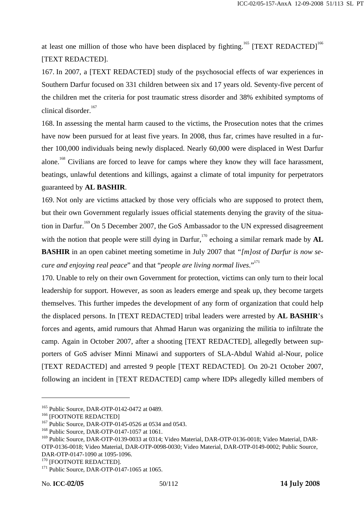at least one million of those who have been displaced by fighting.<sup>165</sup> [TEXT REDACTED]<sup>166</sup> [TEXT REDACTED].

167. In 2007, a [TEXT REDACTED] study of the psychosocial effects of war experiences in Southern Darfur focused on 331 children between six and 17 years old. Seventy-five percent of the children met the criteria for post traumatic stress disorder and 38% exhibited symptoms of clinical disorder.<sup>167</sup>

168. In assessing the mental harm caused to the victims, the Prosecution notes that the crimes have now been pursued for at least five years. In 2008, thus far, crimes have resulted in a further 100,000 individuals being newly displaced. Nearly 60,000 were displaced in West Darfur alone.<sup>168</sup> Civilians are forced to leave for camps where they know they will face harassment, beatings, unlawful detentions and killings, against a climate of total impunity for perpetrators guaranteed by **AL BASHIR**.

169. Not only are victims attacked by those very officials who are supposed to protect them, but their own Government regularly issues official statements denying the gravity of the situation in Darfur.<sup>169</sup> On 5 December 2007, the GoS Ambassador to the UN expressed disagreement with the notion that people were still dying in Darfur,<sup>170</sup> echoing a similar remark made by  $AL$ **BASHIR** in an open cabinet meeting sometime in July 2007 that *"[m]ost of Darfur is now secure and enjoying real peace*" and that "*people are living normal lives*."<sup>171</sup>

170. Unable to rely on their own Government for protection, victims can only turn to their local leadership for support. However, as soon as leaders emerge and speak up, they become targets themselves. This further impedes the development of any form of organization that could help the displaced persons. In [TEXT REDACTED] tribal leaders were arrested by **AL BASHIR**'s forces and agents, amid rumours that Ahmad Harun was organizing the militia to infiltrate the camp. Again in October 2007, after a shooting [TEXT REDACTED], allegedly between supporters of GoS adviser Minni Minawi and supporters of SLA-Abdul Wahid al-Nour, police [TEXT REDACTED] and arrested 9 people [TEXT REDACTED]. On 20-21 October 2007, following an incident in [TEXT REDACTED] camp where IDPs allegedly killed members of

<sup>&</sup>lt;sup>165</sup> Public Source, DAR-OTP-0142-0472 at 0489.<br><sup>166</sup> [FOOTNOTE REDACTED]<br><sup>167</sup> Public Source, DAR-OTP-0145-0526 at 0534 and 0543.<br><sup>168</sup> Public Source, DAR-OTP-0147-1057 at 1061.

<sup>&</sup>lt;sup>169</sup> Public Source, DAR-OTP-0139-0033 at 0314; Video Material, DAR-OTP-0136-0018; Video Material, DAR-OTP-0136-0018; Video Material, DAR-OTP-0098-0030; Video Material, DAR-OTP-0149-0002; Public Source, DAR-OTP-0147-1090 at 1095-1096.

 $170$  [FOOTNOTE REDACTED].<br> $171$  Public Source, DAR-OTP-0147-1065 at 1065.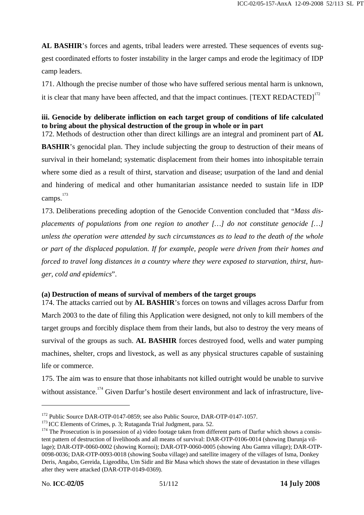**AL BASHIR**'s forces and agents, tribal leaders were arrested. These sequences of events suggest coordinated efforts to foster instability in the larger camps and erode the legitimacy of IDP camp leaders.

171. Although the precise number of those who have suffered serious mental harm is unknown, it is clear that many have been affected, and that the impact continues.  $[TEXT REDACTED]^{172}$ 

# **iii. Genocide by deliberate infliction on each target group of conditions of life calculated to bring about the physical destruction of the group in whole or in part**

172. Methods of destruction other than direct killings are an integral and prominent part of **AL BASHIR**'s genocidal plan. They include subjecting the group to destruction of their means of survival in their homeland; systematic displacement from their homes into inhospitable terrain where some died as a result of thirst, starvation and disease; usurpation of the land and denial and hindering of medical and other humanitarian assistance needed to sustain life in IDP camps.<sup>173</sup>

173. Deliberations preceding adoption of the Genocide Convention concluded that "*Mass displacements of populations from one region to another […] do not constitute genocide […] unless the operation were attended by such circumstances as to lead to the death of the whole or part of the displaced population. If for example, people were driven from their homes and forced to travel long distances in a country where they were exposed to starvation, thirst, hunger, cold and epidemics*".

## **(a) Destruction of means of survival of members of the target groups**

174. The attacks carried out by **AL BASHIR**'s forces on towns and villages across Darfur from March 2003 to the date of filing this Application were designed, not only to kill members of the target groups and forcibly displace them from their lands, but also to destroy the very means of survival of the groups as such. **AL BASHIR** forces destroyed food, wells and water pumping machines, shelter, crops and livestock, as well as any physical structures capable of sustaining life or commerce.

175. The aim was to ensure that those inhabitants not killed outright would be unable to survive without assistance.<sup>174</sup> Given Darfur's hostile desert environment and lack of infrastructure, live-

<sup>&</sup>lt;sup>172</sup> Public Source DAR-OTP-0147-0859; see also Public Source, DAR-OTP-0147-1057.<br><sup>173</sup> ICC Elements of Crimes, p. 3; Rutaganda Trial Judgment, para. 52.<br><sup>174</sup> The Prosecution is in possession of a) video footage taken fr

tent pattern of destruction of livelihoods and all means of survival: DAR-OTP-0106-0014 (showing Darunja village); DAR-OTP-0060-0002 (showing Kornoi); DAR-OTP-0060-0005 (showing Abu Gamra village); DAR-OTP-0098-0036; DAR-OTP-0093-0018 (showing Souba village) and satellite imagery of the villages of Isma, Donkey Deris, Angabo, Gereida, Ligeodiba, Um Sidir and Bir Masa which shows the state of devastation in these villages after they were attacked (DAR-OTP-0149-0369).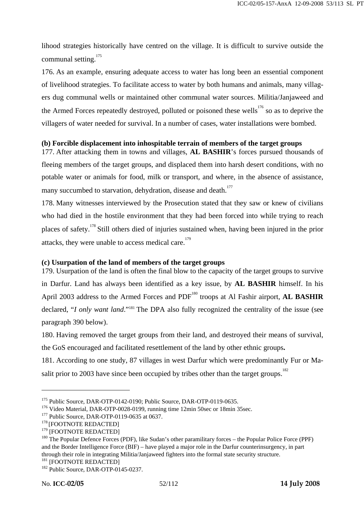lihood strategies historically have centred on the village. It is difficult to survive outside the communal setting.<sup>175</sup>

176. As an example, ensuring adequate access to water has long been an essential component of livelihood strategies. To facilitate access to water by both humans and animals, many villagers dug communal wells or maintained other communal water sources. Militia/Janjaweed and the Armed Forces repeatedly destroyed, polluted or poisoned these wells<sup>176</sup> so as to deprive the villagers of water needed for survival. In a number of cases, water installations were bombed.

### **(b) Forcible displacement into inhospitable terrain of members of the target groups**

177. After attacking them in towns and villages, **AL BASHIR**'s forces pursued thousands of fleeing members of the target groups, and displaced them into harsh desert conditions, with no potable water or animals for food, milk or transport, and where, in the absence of assistance, many succumbed to starvation, dehydration, disease and death.<sup>177</sup>

178. Many witnesses interviewed by the Prosecution stated that they saw or knew of civilians who had died in the hostile environment that they had been forced into while trying to reach places of safety.178 Still others died of injuries sustained when, having been injured in the prior attacks, they were unable to access medical care.<sup>179</sup>

## **(c) Usurpation of the land of members of the target groups**

179. Usurpation of the land is often the final blow to the capacity of the target groups to survive in Darfur. Land has always been identified as a key issue, by **AL BASHIR** himself. In his April 2003 address to the Armed Forces and PDF<sup>180</sup> troops at Al Fashir airport, **AL BASHIR** declared, "*I only want land*."<sup>181</sup> The DPA also fully recognized the centrality of the issue (see paragraph 390 below).

180. Having removed the target groups from their land, and destroyed their means of survival, the GoS encouraged and facilitated resettlement of the land by other ethnic groups**.**

181. According to one study, 87 villages in west Darfur which were predominantly Fur or Masalit prior to 2003 have since been occupied by tribes other than the target groups.<sup>182</sup>

<sup>&</sup>lt;sup>175</sup> Public Source, DAR-OTP-0142-0190; Public Source, DAR-OTP-0119-0635.<br><sup>176</sup> Video Material, DAR-OTP-0028-0199, running time 12min 50sec or 18min 35sec.<br><sup>177</sup> Public Source, DAR-OTP-0119-0635 at 0637.<br><sup>178</sup> [FOOTNOTE R

<sup>&</sup>lt;sup>180</sup> The Popular Defence Forces (PDF), like Sudan's other paramilitary forces – the Popular Police Force (PPF) and the Border Intelligence Force (BIF) – have played a major role in the Darfur counterinsurgency, in part through their role in integrating Militia/Janjaweed fighters into the formal state security structure.<br><sup>181</sup> [FOOTNOTE REDACTED]<br><sup>182</sup> Public Source, DAR-OTP-0145-0237.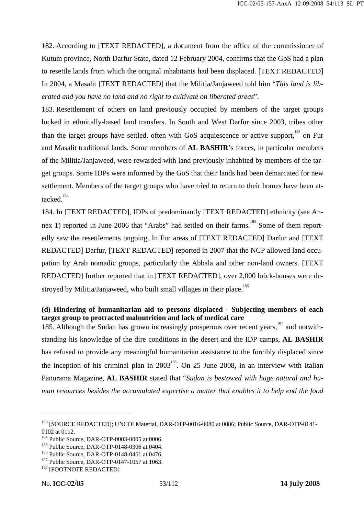182. According to [TEXT REDACTED], a document from the office of the commissioner of Kutum province, North Darfur State, dated 12 February 2004, confirms that the GoS had a plan to resettle lands from which the original inhabitants had been displaced. [TEXT REDACTED] In 2004, a Masalit [TEXT REDACTED] that the Militia/Janjaweed told him "*This land is liberated and you have no land and no right to cultivate on liberated areas*".

183. Resettlement of others on land previously occupied by members of the target groups locked in ethnically-based land transfers. In South and West Darfur since 2003, tribes other than the target groups have settled, often with GoS acquiescence or active support,<sup>183</sup> on Fur and Masalit traditional lands. Some members of **AL BASHIR**'s forces, in particular members of the Militia/Janjaweed, were rewarded with land previously inhabited by members of the target groups. Some IDPs were informed by the GoS that their lands had been demarcated for new settlement. Members of the target groups who have tried to return to their homes have been attacked. $184$ 

184. In [TEXT REDACTED], IDPs of predominantly [TEXT REDACTED] ethnicity (see Annex 1) reported in June 2006 that "Arabs" had settled on their farms.<sup>185</sup> Some of them reportedly saw the resettlements ongoing. In Fur areas of [TEXT REDACTED] Darfur and [TEXT REDACTED] Darfur, [TEXT REDACTED] reported in 2007 that the NCP allowed land occupation by Arab nomadic groups, particularly the Abbala and other non-land owners. [TEXT REDACTED] further reported that in [TEXT REDACTED], over 2,000 brick-houses were destroyed by Militia/Janjaweed, who built small villages in their place.<sup>186</sup>

# **(d) Hindering of humanitarian aid to persons displaced - Subjecting members of each target group to protracted malnutrition and lack of medical care**

185. Although the Sudan has grown increasingly prosperous over recent years,<sup>187</sup> and notwithstanding his knowledge of the dire conditions in the desert and the IDP camps, **AL BASHIR** has refused to provide any meaningful humanitarian assistance to the forcibly displaced since the inception of his criminal plan in  $2003^{188}$ . On 25 June 2008, in an interview with Italian Panorama Magazine, **AL BASHIR** stated that "*Sudan is bestowed with huge natural and human resources besides the accumulated expertise a matter that enables it to help end the food* 

<sup>&</sup>lt;sup>183</sup> [SOURCE REDACTED]; UNCOI Material, DAR-OTP-0016-0080 at 0086; Public Source, DAR-OTP-0141-0102 at 0112.<br><sup>184</sup> Public Source. DAR-OTP-0003-0005 at 0006.

<sup>&</sup>lt;sup>185</sup> Public Source, DAR-OTP-0148-0306 at 0404.<br><sup>186</sup> Public Source, DAR-OTP-0148-0461 at 0476.<br><sup>187</sup> Public Source, DAR-OTP-0147-1057 at 1063.<br><sup>188</sup> [FOOTNOTE REDACTED]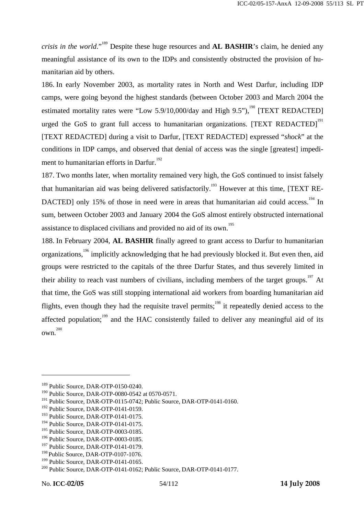*crisis in the world*."189 Despite these huge resources and **AL BASHIR**'s claim, he denied any meaningful assistance of its own to the IDPs and consistently obstructed the provision of humanitarian aid by others.

186. In early November 2003, as mortality rates in North and West Darfur, including IDP camps, were going beyond the highest standards (between October 2003 and March 2004 the estimated mortality rates were "Low 5.9/10,000/day and High 9.5"),<sup>190</sup> [TEXT REDACTED] urged the GoS to grant full access to humanitarian organizations. [TEXT REDACTED]<sup>191</sup> [TEXT REDACTED] during a visit to Darfur, [TEXT REDACTED] expressed "*shock*" at the conditions in IDP camps, and observed that denial of access was the single [greatest] impediment to humanitarian efforts in Darfur.<sup>192</sup>

187. Two months later, when mortality remained very high, the GoS continued to insist falsely that humanitarian aid was being delivered satisfactorily.<sup>193</sup> However at this time, [TEXT RE-DACTED] only 15% of those in need were in areas that humanitarian aid could access.<sup>194</sup> In sum, between October 2003 and January 2004 the GoS almost entirely obstructed international assistance to displaced civilians and provided no aid of its own.<sup>195</sup>

188. In February 2004, **AL BASHIR** finally agreed to grant access to Darfur to humanitarian organizations,196 implicitly acknowledging that he had previously blocked it. But even then, aid groups were restricted to the capitals of the three Darfur States, and thus severely limited in their ability to reach vast numbers of civilians, including members of the target groups.<sup>197</sup> At that time, the GoS was still stopping international aid workers from boarding humanitarian aid flights, even though they had the requisite travel permits;<sup>198</sup> it repeatedly denied access to the affected population; $\frac{199}{199}$  and the HAC consistently failed to deliver any meaningful aid of its own.200

<sup>&</sup>lt;sup>189</sup> Public Source, DAR-OTP-0150-0240.

<sup>190</sup> Public Source, DAR-OTP-0080-0542 at 0570-0571.

<sup>&</sup>lt;sup>191</sup> Public Source, DAR-OTP-0115-0742; Public Source, DAR-OTP-0141-0160.

<sup>&</sup>lt;sup>192</sup> Public Source, DAR-OTP-0141-0159.

<sup>&</sup>lt;sup>193</sup> Public Source, DAR-OTP-0141-0175.

<sup>&</sup>lt;sup>194</sup> Public Source, DAR-OTP-0141-0175.

<sup>&</sup>lt;sup>195</sup> Public Source, DAR-OTP-0003-0185.

<sup>&</sup>lt;sup>196</sup> Public Source, DAR-OTP-0003-0185.

<sup>&</sup>lt;sup>197</sup> Public Source, DAR-OTP-0141-0179.

<sup>&</sup>lt;sup>198</sup> Public Source, DAR-OTP-0107-1076.

<sup>&</sup>lt;sup>199</sup> Public Source, DAR-OTP-0141-0165.<br><sup>200</sup> Public Source, DAR-OTP-0141-0162; Public Source, DAR-OTP-0141-0177.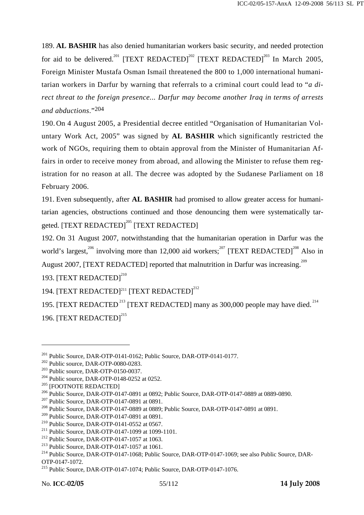189. **AL BASHIR** has also denied humanitarian workers basic security, and needed protection for aid to be delivered.<sup>201</sup> [TEXT REDACTED]<sup>202</sup> [TEXT REDACTED]<sup>203</sup> In March 2005, Foreign Minister Mustafa Osman Ismail threatened the 800 to 1,000 international humanitarian workers in Darfur by warning that referrals to a criminal court could lead to "*a direct threat to the foreign presence... Darfur may become another Iraq in terms of arrests and abductions*."204

190. On 4 August 2005, a Presidential decree entitled "Organisation of Humanitarian Voluntary Work Act, 2005" was signed by **AL BASHIR** which significantly restricted the work of NGOs, requiring them to obtain approval from the Minister of Humanitarian Affairs in order to receive money from abroad, and allowing the Minister to refuse them registration for no reason at all. The decree was adopted by the Sudanese Parliament on 18 February 2006.

191. Even subsequently, after **AL BASHIR** had promised to allow greater access for humanitarian agencies, obstructions continued and those denouncing them were systematically targeted. [TEXT REDACTED]<sup>205</sup> [TEXT REDACTED]

192. On 31 August 2007, notwithstanding that the humanitarian operation in Darfur was the world's largest,<sup>206</sup> involving more than 12,000 aid workers;<sup>207</sup> [TEXT REDACTED]<sup>208</sup> Also in August 2007, [TEXT REDACTED] reported that malnutrition in Darfur was increasing.<sup>209</sup> 193. [TEXT REDACTED]<sup>210</sup>

194. [TEXT REDACTED]<sup>211</sup> [TEXT REDACTED]<sup>212</sup>

195. [TEXT REDACTED<sup>213</sup> [TEXT REDACTED] many as 300,000 people may have died.<sup>214</sup> 196. [TEXT REDACTED]<sup>215</sup>

<sup>&</sup>lt;sup>201</sup> Public Source, DAR-OTP-0141-0162; Public Source, DAR-OTP-0141-0177.<br>
<sup>202</sup> Public source, DAR-OTP-0080-0283.<br>
<sup>203</sup> Public source, DAR-OTP-0150-0037.<br>
<sup>204</sup> Public source, DAR-OTP-0148-0252 at 0252.<br>
<sup>205</sup> [FOOTNOTE

<sup>&</sup>lt;sup>209</sup> Public Source, DAR-OTP-0147-0891 at 0891.<br>
<sup>210</sup> Public Source, DAR-OTP-0141-0552 at 0567.<br>
<sup>211</sup> Public Source, DAR-OTP-0147-1099 at 1099-1101.<br>
<sup>212</sup> Public Source, DAR-OTP-0147-1057 at 1063.<br>
<sup>213</sup> Public Source, OTP-0147-1072.

<sup>215</sup> Public Source, DAR-OTP-0147-1074; Public Source, DAR-OTP-0147-1076.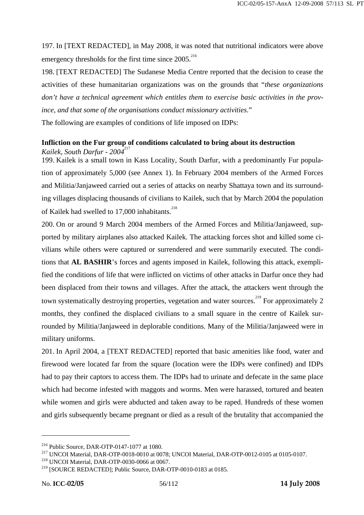197. In [TEXT REDACTED], in May 2008, it was noted that nutritional indicators were above emergency thresholds for the first time since 2005.<sup>216</sup>

198. [TEXT REDACTED] The Sudanese Media Centre reported that the decision to cease the activities of these humanitarian organizations was on the grounds that "*these organizations don't have a technical agreement which entitles them to exercise basic activities in the province, and that some of the organisations conduct missionary activities*."

The following are examples of conditions of life imposed on IDPs:

## **Infliction on the Fur group of conditions calculated to bring about its destruction**  *Kailek, South Darfur - 2004*<sup>217</sup>

199. Kailek is a small town in Kass Locality, South Darfur, with a predominantly Fur population of approximately 5,000 (see Annex 1). In February 2004 members of the Armed Forces and Militia/Janjaweed carried out a series of attacks on nearby Shattaya town and its surrounding villages displacing thousands of civilians to Kailek, such that by March 2004 the population of Kailek had swelled to  $17,000$  inhabitants.<sup>218</sup>

200. On or around 9 March 2004 members of the Armed Forces and Militia/Janjaweed, supported by military airplanes also attacked Kailek. The attacking forces shot and killed some civilians while others were captured or surrendered and were summarily executed. The conditions that **AL BASHIR**'s forces and agents imposed in Kailek, following this attack, exemplified the conditions of life that were inflicted on victims of other attacks in Darfur once they had been displaced from their towns and villages. After the attack, the attackers went through the town systematically destroying properties, vegetation and water sources.<sup>219</sup> For approximately 2 months, they confined the displaced civilians to a small square in the centre of Kailek surrounded by Militia/Janjaweed in deplorable conditions. Many of the Militia/Janjaweed were in military uniforms.

201. In April 2004, a [TEXT REDACTED] reported that basic amenities like food, water and firewood were located far from the square (location were the IDPs were confined) and IDPs had to pay their captors to access them. The IDPs had to urinate and defecate in the same place which had become infested with maggots and worms. Men were harassed, tortured and beaten while women and girls were abducted and taken away to be raped. Hundreds of these women and girls subsequently became pregnant or died as a result of the brutality that accompanied the

<sup>&</sup>lt;sup>216</sup> Public Source, DAR-OTP-0147-1077 at 1080.<br><sup>217</sup> UNCOI Material, DAR-OTP-0018-0010 at 0078; UNCOI Material, DAR-OTP-0012-0105 at 0105-0107.<br><sup>218</sup> UNCOI Material, DAR-OTP-0030-0066 at 0067.

<sup>219 [</sup>SOURCE REDACTED]; Public Source, DAR-OTP-0010-0183 at 0185.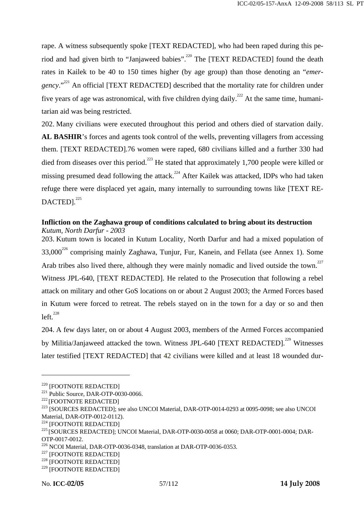rape. A witness subsequently spoke [TEXT REDACTED], who had been raped during this period and had given birth to "Janjaweed babies".<sup>220</sup> The [TEXT REDACTED] found the death rates in Kailek to be 40 to 150 times higher (by age group) than those denoting an "*emergency*."<sup>221</sup> An official [TEXT REDACTED] described that the mortality rate for children under five years of age was astronomical, with five children dying daily.<sup>222</sup> At the same time, humanitarian aid was being restricted.

202. Many civilians were executed throughout this period and others died of starvation daily. AL BASHIR's forces and agents took control of the wells, preventing villagers from accessing them. [TEXT REDACTED].76 women were raped, 680 civilians killed and a further 330 had died from diseases over this period.<sup>223</sup> He stated that approximately 1,700 people were killed or missing presumed dead following the attack.<sup>224</sup> After Kailek was attacked, IDPs who had taken refuge there were displaced yet again, many internally to surrounding towns like [TEXT RE- $DACTED1<sup>225</sup>$ 

#### **Infliction on the Zaghawa group of conditions calculated to bring about its destruction** *Kutum, North Darfur - 2003*

203. Kutum town is located in Kutum Locality, North Darfur and had a mixed population of  $33,000^{226}$  comprising mainly Zaghawa, Tunjur, Fur, Kanein, and Fellata (see Annex 1). Some Arab tribes also lived there, although they were mainly nomadic and lived outside the town.<sup>227</sup> Witness JPL-640, [TEXT REDACTED]. He related to the Prosecution that following a rebel attack on military and other GoS locations on or about 2 August 2003; the Armed Forces based in Kutum were forced to retreat. The rebels stayed on in the town for a day or so and then  $left.<sup>228</sup>$ 

204. A few days later, on or about 4 August 2003, members of the Armed Forces accompanied by Militia/Janjaweed attacked the town. Witness JPL-640 [TEXT REDACTED].<sup>229</sup> Witnesses later testified [TEXT REDACTED] that 42 civilians were killed and at least 18 wounded dur-

<sup>&</sup>lt;sup>220</sup> [FOOTNOTE REDACTED]<br><sup>221</sup> Public Source, DAR-OTP-0030-0066.<br><sup>222</sup> [FOOTNOTE REDACTED]<br><sup>223</sup> [SOURCES REDACTED]; see also UNCOI Material, DAR-OTP-0014-0293 at 0095-0098; see also UNCOI Material, DAR-OTP-0012-0112).<br><sup>224</sup> [FOOTNOTE REDACTED]

<sup>&</sup>lt;sup>225</sup> [SOURCES REDACTED]; UNCOI Material, DAR-OTP-0030-0058 at 0060; DAR-OTP-0001-0004; DAR-OTP-0017-0012.

<sup>&</sup>lt;sup>226</sup> NCOI Material, DAR-OTP-0036-0348, translation at DAR-OTP-0036-0353.<br><sup>227</sup> [FOOTNOTE REDACTED]<br><sup>228</sup> [FOOTNOTE REDACTED]

<sup>229 [</sup>FOOTNOTE REDACTED]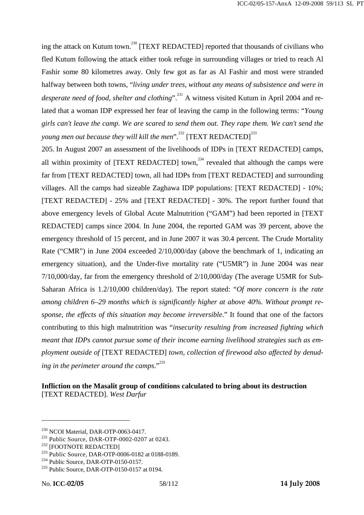ing the attack on Kutum town.<sup>230</sup> [TEXT REDACTED] reported that thousands of civilians who fled Kutum following the attack either took refuge in surrounding villages or tried to reach Al Fashir some 80 kilometres away. Only few got as far as Al Fashir and most were stranded halfway between both towns, "*living under trees, without any means of subsistence and were in desperate need of food, shelter and clothing*".<sup>231</sup> A witness visited Kutum in April 2004 and related that a woman IDP expressed her fear of leaving the camp in the following terms: "*Young girls can't leave the camp. We are scared to send them out. They rape them. We can't send the young men out because they will kill the men*".<sup>232</sup> [TEXT REDACTED]<sup>233</sup>

205. In August 2007 an assessment of the livelihoods of IDPs in [TEXT REDACTED] camps, all within proximity of [TEXT REDACTED] town,<sup>234</sup> revealed that although the camps were far from [TEXT REDACTED] town, all had IDPs from [TEXT REDACTED] and surrounding villages. All the camps had sizeable Zaghawa IDP populations: [TEXT REDACTED] - 10%; [TEXT REDACTED] - 25% and [TEXT REDACTED] - 30%. The report further found that above emergency levels of Global Acute Malnutrition ("GAM") had been reported in [TEXT REDACTED] camps since 2004. In June 2004, the reported GAM was 39 percent, above the emergency threshold of 15 percent, and in June 2007 it was 30.4 percent. The Crude Mortality Rate ("CMR") in June 2004 exceeded 2/10,000/day (above the benchmark of 1, indicating an emergency situation), and the Under-five mortality rate ("U5MR") in June 2004 was near 7/10,000/day, far from the emergency threshold of 2/10,000/day (The average U5MR for Sub-Saharan Africa is 1.2/10,000 children/day). The report stated: "*Of more concern is the rate among children 6–29 months which is significantly higher at above 40%. Without prompt response, the effects of this situation may become irreversible*." It found that one of the factors contributing to this high malnutrition was "*insecurity resulting from increased fighting which meant that IDPs cannot pursue some of their income earning livelihood strategies such as employment outside of* [TEXT REDACTED] *town, collection of firewood also affected by denud*ing in the perimeter around the camps."<sup>235</sup>

**Infliction on the Masalit group of conditions calculated to bring about its destruction** [TEXT REDACTED]. *West Darfur*

<sup>&</sup>lt;sup>230</sup> NCOI Material, DAR-OTP-0063-0417.<br>
<sup>231</sup> Public Source, DAR-OTP-0002-0207 at 0243.<br>
<sup>232</sup> [FOOTNOTE REDACTED]<br>
<sup>232</sup> Public Source, DAR-OTP-0006-0182 at 0188-0189.<br>
<sup>234</sup> Public Source, DAR-OTP-0150-0157.<br>
<sup>235</sup> Pub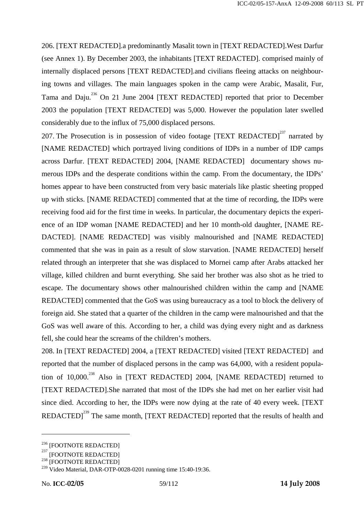206. [TEXT REDACTED].a predominantly Masalit town in [TEXT REDACTED].West Darfur (see Annex 1). By December 2003, the inhabitants [TEXT REDACTED]. comprised mainly of internally displaced persons [TEXT REDACTED].and civilians fleeing attacks on neighbouring towns and villages. The main languages spoken in the camp were Arabic, Masalit, Fur, Tama and Daju.<sup>236</sup> On 21 June 2004 [TEXT REDACTED] reported that prior to December 2003 the population [TEXT REDACTED] was 5,000. However the population later swelled considerably due to the influx of 75,000 displaced persons.

207. The Prosecution is in possession of video footage [TEXT REDACTED]<sup>237</sup> narrated by [NAME REDACTED] which portrayed living conditions of IDPs in a number of IDP camps across Darfur. [TEXT REDACTED] 2004, [NAME REDACTED] documentary shows numerous IDPs and the desperate conditions within the camp. From the documentary, the IDPs' homes appear to have been constructed from very basic materials like plastic sheeting propped up with sticks. [NAME REDACTED] commented that at the time of recording, the IDPs were receiving food aid for the first time in weeks. In particular, the documentary depicts the experience of an IDP woman [NAME REDACTED] and her 10 month-old daughter, [NAME RE-DACTED]. [NAME REDACTED] was visibly malnourished and [NAME REDACTED] commented that she was in pain as a result of slow starvation. [NAME REDACTED] herself related through an interpreter that she was displaced to Mornei camp after Arabs attacked her village, killed children and burnt everything. She said her brother was also shot as he tried to escape. The documentary shows other malnourished children within the camp and [NAME REDACTED] commented that the GoS was using bureaucracy as a tool to block the delivery of foreign aid. She stated that a quarter of the children in the camp were malnourished and that the GoS was well aware of this. According to her, a child was dying every night and as darkness fell, she could hear the screams of the children's mothers.

208. In [TEXT REDACTED] 2004, a [TEXT REDACTED] visited [TEXT REDACTED] and reported that the number of displaced persons in the camp was 64,000, with a resident population of  $10,000$ <sup>238</sup> Also in [TEXT REDACTED] 2004, [NAME REDACTED] returned to [TEXT REDACTED].She narrated that most of the IDPs she had met on her earlier visit had since died. According to her, the IDPs were now dying at the rate of 40 every week. [TEXT REDACTED]<sup>239</sup> The same month, [TEXT REDACTED] reported that the results of health and

 $^{236}$  [FOOTNOTE REDACTED]<br> $^{237}$  [FOOTNOTE REDACTED]

<sup>[</sup>FOOTNOTE REDACTED] 238 [FOOTNOTE REDACTED]

<sup>&</sup>lt;sup>239</sup> Video Material, DAR-OTP-0028-0201 running time 15:40-19:36.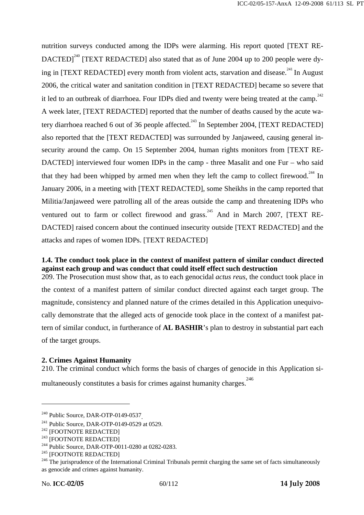nutrition surveys conducted among the IDPs were alarming. His report quoted [TEXT RE-DACTED<sup>240</sup> [TEXT REDACTED] also stated that as of June 2004 up to 200 people were dying in [TEXT REDACTED] every month from violent acts, starvation and disease.<sup>241</sup> In August 2006, the critical water and sanitation condition in [TEXT REDACTED] became so severe that it led to an outbreak of diarrhoea. Four IDPs died and twenty were being treated at the camp.<sup>242</sup> A week later, [TEXT REDACTED] reported that the number of deaths caused by the acute watery diarrhoea reached 6 out of 36 people affected.<sup>243</sup> In September 2004, [TEXT REDACTED] also reported that the [TEXT REDACTED] was surrounded by Janjaweed, causing general insecurity around the camp. On 15 September 2004, human rights monitors from [TEXT RE-DACTED] interviewed four women IDPs in the camp - three Masalit and one Fur – who said that they had been whipped by armed men when they left the camp to collect firewood.<sup>244</sup> In January 2006, in a meeting with [TEXT REDACTED], some Sheikhs in the camp reported that Militia/Janjaweed were patrolling all of the areas outside the camp and threatening IDPs who ventured out to farm or collect firewood and grass.<sup>245</sup> And in March 2007, [TEXT RE-DACTED] raised concern about the continued insecurity outside [TEXT REDACTED] and the attacks and rapes of women IDPs. [TEXT REDACTED]

## **1.4. The conduct took place in the context of manifest pattern of similar conduct directed against each group and was conduct that could itself effect such destruction**

209. The Prosecution must show that, as to each genocidal *actus reus*, the conduct took place in the context of a manifest pattern of similar conduct directed against each target group. The magnitude, consistency and planned nature of the crimes detailed in this Application unequivocally demonstrate that the alleged acts of genocide took place in the context of a manifest pattern of similar conduct, in furtherance of **AL BASHIR**'s plan to destroy in substantial part each of the target groups.

## **2. Crimes Against Humanity**

210. The criminal conduct which forms the basis of charges of genocide in this Application si-

multaneously constitutes a basis for crimes against humanity charges. 246

<sup>&</sup>lt;sup>240</sup> Public Source, DAR-OTP-0149-0537<sub>.</sub><br><sup>241</sup> Public Source, DAR-OTP-0149-0529 at 0529.<br><sup>242</sup> [FOOTNOTE REDACTED]<br><sup>243</sup> [FOOTNOTE REDACTED]<br><sup>244</sup> Public Source, DAR-OTP-0011-0280 at 0282-0283.<br><sup>245</sup> [FOOTNOTE REDACTED]<br><sup></sup> as genocide and crimes against humanity.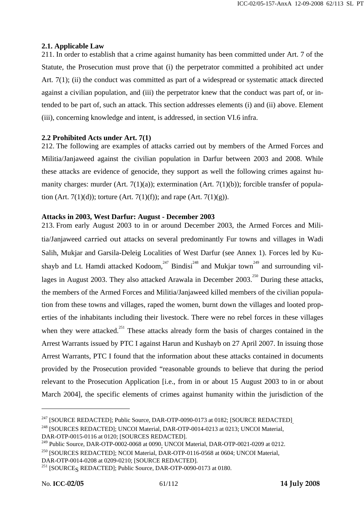## **2.1. Applicable Law**

211. In order to establish that a crime against humanity has been committed under Art. 7 of the Statute, the Prosecution must prove that (i) the perpetrator committed a prohibited act under Art. 7(1); (ii) the conduct was committed as part of a widespread or systematic attack directed against a civilian population, and (iii) the perpetrator knew that the conduct was part of, or intended to be part of, such an attack. This section addresses elements (i) and (ii) above. Element (iii), concerning knowledge and intent, is addressed, in section VI.6 infra.

### **2.2 Prohibited Acts under Art. 7(1)**

212. The following are examples of attacks carried out by members of the Armed Forces and Militia/Janjaweed against the civilian population in Darfur between 2003 and 2008. While these attacks are evidence of genocide, they support as well the following crimes against humanity charges: murder (Art. 7(1)(a)); extermination (Art. 7(1)(b)); forcible transfer of population (Art. 7(1)(d)); torture (Art. 7(1)(f)); and rape (Art. 7(1)(g)).

### **Attacks in 2003, West Darfur: August - December 2003**

213. From early August 2003 to in or around December 2003, the Armed Forces and Militia/Janjaweed carried out attacks on several predominantly Fur towns and villages in Wadi Salih, Mukjar and Garsila-Deleig Localities of West Darfur (see Annex 1). Forces led by Kushayb and Lt. Hamdi attacked Kodoom,<sup>247</sup> Bindisi<sup>248</sup> and Mukjar town<sup>249</sup> and surrounding villages in August 2003. They also attacked Arawala in December  $2003$ <sup>250</sup> During these attacks, the members of the Armed Forces and Militia/Janjaweed killed members of the civilian population from these towns and villages, raped the women, burnt down the villages and looted properties of the inhabitants including their livestock. There were no rebel forces in these villages when they were attacked.<sup>251</sup> These attacks already form the basis of charges contained in the Arrest Warrants issued by PTC I against Harun and Kushayb on 27 April 2007. In issuing those Arrest Warrants, PTC I found that the information about these attacks contained in documents provided by the Prosecution provided "reasonable grounds to believe that during the period relevant to the Prosecution Application [i.e., from in or about 15 August 2003 to in or about March 2004], the specific elements of crimes against humanity within the jurisdiction of the

<sup>&</sup>lt;sup>247</sup> [SOURCE REDACTED]; Public Source, DAR-OTP-0090-0173 at 0182; [SOURCE REDACTED]<sub>.</sub>  $^{248}$  [SOURCES REDACTED]; UNCOI Material, DAR-OTP-0014-0213 at 0213; UNCOI Material,

DAR-OTP-0015-0116 at 0120; [SOURCES REDACTED].

<sup>&</sup>lt;sup>249</sup> Public Source, DAR-OTP-0002-0068 at 0090<sub>;</sub> UNCOI Material, DAR-OTP-0021-0209 at 0212.

<sup>250 [</sup>SOURCES REDACTED]; NCOI Material, DAR-OTP-0116-0568 at 0604; UNCOI Material,

DAR-OTP-0014-0208 at 0209-0210; [SOURCE REDACTED].

<sup>&</sup>lt;sup>251</sup> [SOURCE<sub>S</sub> REDACTED]; Public Source, DAR-OTP-0090-0173 at 0180.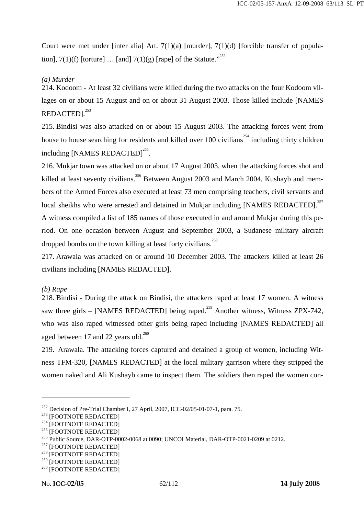Court were met under [inter alia] Art. 7(1)(a) [murder], 7(1)(d) [forcible transfer of population],  $7(1)(f)$  [torture] ... [and]  $7(1)(g)$  [rape] of the Statute."<sup>252</sup>

## *(a) Murder*

214. Kodoom - At least 32 civilians were killed during the two attacks on the four Kodoom villages on or about 15 August and on or about 31 August 2003. Those killed include [NAMES REDACTED].<sup>253</sup>

215. Bindisi was also attacked on or about 15 August 2003. The attacking forces went from house to house searching for residents and killed over 100 civilians<sup>254</sup> including thirty children including [NAMES REDACTED]<sup>255</sup>.

216. Mukjar town was attacked on or about 17 August 2003, when the attacking forces shot and killed at least seventy civilians.<sup>256</sup> Between August 2003 and March 2004, Kushayb and members of the Armed Forces also executed at least 73 men comprising teachers, civil servants and local sheikhs who were arrested and detained in Mukjar including [NAMES REDACTED].<sup>257</sup> A witness compiled a list of 185 names of those executed in and around Mukjar during this period. On one occasion between August and September 2003, a Sudanese military aircraft

dropped bombs on the town killing at least forty civilians.<sup>258</sup>

217. Arawala was attacked on or around 10 December 2003. The attackers killed at least 26 civilians including [NAMES REDACTED].

## *(b) Rape*

 $\overline{a}$ 

218. Bindisi - During the attack on Bindisi, the attackers raped at least 17 women. A witness saw three girls – [NAMES REDACTED] being raped.<sup>259</sup> Another witness, Witness ZPX-742, who was also raped witnessed other girls being raped including [NAMES REDACTED] all aged between 17 and 22 years old. $^{260}$ 

219. Arawala. The attacking forces captured and detained a group of women, including Witness TFM-320, [NAMES REDACTED] at the local military garrison where they stripped the women naked and Ali Kushayb came to inspect them. The soldiers then raped the women con-

<sup>&</sup>lt;sup>252</sup> Decision of Pre-Trial Chamber I, 27 April, 2007, ICC-02/05-01/07-1, para. 75.<br><sup>253</sup> [FOOTNOTE REDACTED]<br><sup>254</sup> [FOOTNOTE REDACTED]<br><sup>254</sup> [FOOTNOTE REDACTED]<br><sup>256</sup> Public Source, DAR-OTP-0002-0068 at 0090; UNCOI Mater

 $^{259}$  [FOOTNOTE REDACTED]<br> $^{260}$  [FOOTNOTE REDACTED]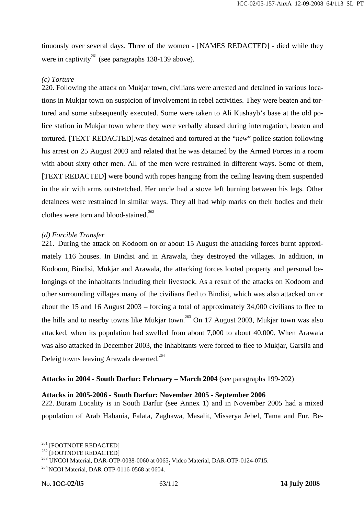tinuously over several days. Three of the women - [NAMES REDACTED] - died while they were in captivity<sup>261</sup> (see paragraphs 138-139 above).

### *(c) Torture*

220. Following the attack on Mukjar town, civilians were arrested and detained in various locations in Mukjar town on suspicion of involvement in rebel activities. They were beaten and tortured and some subsequently executed. Some were taken to Ali Kushayb's base at the old police station in Mukjar town where they were verbally abused during interrogation, beaten and tortured. [TEXT REDACTED].was detained and tortured at the "*new*" police station following his arrest on 25 August 2003 and related that he was detained by the Armed Forces in a room with about sixty other men. All of the men were restrained in different ways. Some of them, [TEXT REDACTED] were bound with ropes hanging from the ceiling leaving them suspended in the air with arms outstretched. Her uncle had a stove left burning between his legs. Other detainees were restrained in similar ways. They all had whip marks on their bodies and their clothes were torn and blood-stained.<sup>262</sup>

#### *(d) Forcible Transfer*

221. During the attack on Kodoom on or about 15 August the attacking forces burnt approximately 116 houses. In Bindisi and in Arawala, they destroyed the villages. In addition, in Kodoom, Bindisi, Mukjar and Arawala, the attacking forces looted property and personal belongings of the inhabitants including their livestock. As a result of the attacks on Kodoom and other surrounding villages many of the civilians fled to Bindisi, which was also attacked on or about the 15 and 16 August 2003 – forcing a total of approximately 34,000 civilians to flee to the hills and to nearby towns like Mukjar town.<sup>263</sup> On 17 August 2003, Mukjar town was also attacked, when its population had swelled from about 7,000 to about 40,000. When Arawala was also attacked in December 2003, the inhabitants were forced to flee to Mukjar, Garsila and Deleig towns leaving Arawala deserted.<sup>264</sup>

## **Attacks in 2004 - South Darfur: February – March 2004** (see paragraphs 199-202)

#### **Attacks in 2005-2006 - South Darfur: November 2005 - September 2006**

222. Buram Locality is in South Darfur (see Annex 1) and in November 2005 had a mixed population of Arab Habania, Falata, Zaghawa, Masalit, Misserya Jebel, Tama and Fur. Be-

<sup>&</sup>lt;sup>261</sup> [FOOTNOTE REDACTED]<br><sup>262</sup> [FOOTNOTE REDACTED]<br><sup>263</sup> UNCOI Material, DAR-OTP-0038-0060 at 0065<sub>;</sub> Video Material, DAR-OTP-0124-0715.

<sup>&</sup>lt;sup>264</sup> NCOI Material, DAR-OTP-0116-0568 at 0604.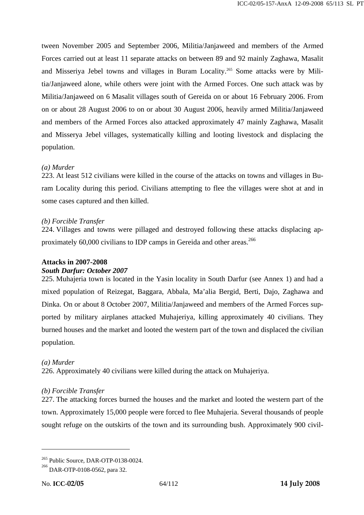tween November 2005 and September 2006, Militia/Janjaweed and members of the Armed Forces carried out at least 11 separate attacks on between 89 and 92 mainly Zaghawa, Masalit and Misseriya Jebel towns and villages in Buram Locality.<sup>265</sup> Some attacks were by Militia/Janjaweed alone, while others were joint with the Armed Forces. One such attack was by Militia/Janjaweed on 6 Masalit villages south of Gereida on or about 16 February 2006. From on or about 28 August 2006 to on or about 30 August 2006, heavily armed Militia/Janjaweed and members of the Armed Forces also attacked approximately 47 mainly Zaghawa, Masalit and Misserya Jebel villages, systematically killing and looting livestock and displacing the population.

## *(a) Murder*

223. At least 512 civilians were killed in the course of the attacks on towns and villages in Buram Locality during this period. Civilians attempting to flee the villages were shot at and in some cases captured and then killed.

### *(b) Forcible Transfer*

224. Villages and towns were pillaged and destroyed following these attacks displacing approximately 60,000 civilians to IDP camps in Gereida and other areas.<sup>266</sup>

## **Attacks in 2007-2008**

## *South Darfur: October 2007*

225. Muhajeria town is located in the Yasin locality in South Darfur (see Annex 1) and had a mixed population of Reizegat, Baggara, Abbala, Ma'alia Bergid, Berti, Dajo, Zaghawa and Dinka. On or about 8 October 2007, Militia/Janjaweed and members of the Armed Forces supported by military airplanes attacked Muhajeriya, killing approximately 40 civilians. They burned houses and the market and looted the western part of the town and displaced the civilian population.

## *(a) Murder*

226. Approximately 40 civilians were killed during the attack on Muhajeriya.

## *(b) Forcible Transfer*

227. The attacking forces burned the houses and the market and looted the western part of the town. Approximately 15,000 people were forced to flee Muhajeria. Several thousands of people sought refuge on the outskirts of the town and its surrounding bush. Approximately 900 civil-

 $265$  Public Source, DAR-OTP-0138-0024.

<sup>&</sup>lt;sup>266</sup> DAR-OTP-0108-0562, para 32.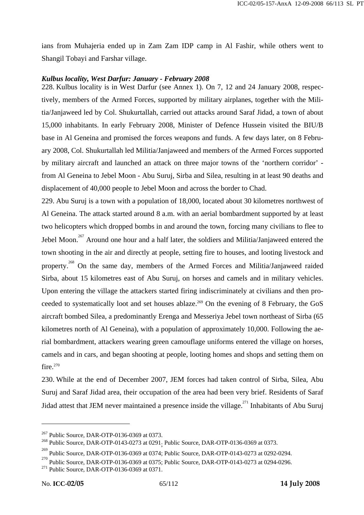ians from Muhajeria ended up in Zam Zam IDP camp in Al Fashir, while others went to Shangil Tobayi and Farshar village.

#### *Kulbus locality, West Darfur: January - February 2008*

228. Kulbus locality is in West Darfur (see Annex 1). On 7, 12 and 24 January 2008, respectively, members of the Armed Forces, supported by military airplanes, together with the Militia/Janjaweed led by Col. Shukurtallah, carried out attacks around Saraf Jidad, a town of about 15,000 inhabitants. In early February 2008, Minister of Defence Hussein visited the BIU/B base in Al Geneina and promised the forces weapons and funds. A few days later, on 8 February 2008, Col. Shukurtallah led Militia/Janjaweed and members of the Armed Forces supported by military aircraft and launched an attack on three major towns of the 'northern corridor' from Al Geneina to Jebel Moon - Abu Suruj, Sirba and Silea, resulting in at least 90 deaths and displacement of 40,000 people to Jebel Moon and across the border to Chad.

229. Abu Suruj is a town with a population of 18,000, located about 30 kilometres northwest of Al Geneina. The attack started around 8 a.m. with an aerial bombardment supported by at least two helicopters which dropped bombs in and around the town, forcing many civilians to flee to Jebel Moon.<sup>267</sup> Around one hour and a half later, the soldiers and Militia/Janjaweed entered the town shooting in the air and directly at people, setting fire to houses, and looting livestock and property.<sup>268</sup> On the same day, members of the Armed Forces and Militia/Janjaweed raided Sirba, about 15 kilometres east of Abu Suruj, on horses and camels and in military vehicles. Upon entering the village the attackers started firing indiscriminately at civilians and then proceeded to systematically loot and set houses ablaze.<sup>269</sup> On the evening of 8 February, the GoS aircraft bombed Silea, a predominantly Erenga and Messeriya Jebel town northeast of Sirba (65 kilometres north of Al Geneina), with a population of approximately 10,000. Following the aerial bombardment, attackers wearing green camouflage uniforms entered the village on horses, camels and in cars, and began shooting at people, looting homes and shops and setting them on fire.<sup>270</sup>

230. While at the end of December 2007, JEM forces had taken control of Sirba, Silea, Abu Suruj and Saraf Jidad area, their occupation of the area had been very brief. Residents of Saraf Jidad attest that JEM never maintained a presence inside the village.<sup>271</sup> Inhabitants of Abu Suruj

<sup>&</sup>lt;sup>267</sup> Public Source, DAR-OTP-0136-0369 at 0373.<br><sup>268</sup> Public Source, DAR-OTP-0143-0273 at 0291<sub>;</sub> Public Source, DAR-OTP-0136-0369 at 0373.

<sup>&</sup>lt;sup>269</sup> Public Source, DAR-OTP-0136-0369 at 0374; Public Source, DAR-OTP-0143-0273 at 0292-0294.

Public Source, DAR-OTP-0136-0369 at 0375; Public Source, DAR-OTP-0143-0273 at 0294-0296.<br><sup>271</sup> Public Source, DAR-OTP-0136-0369 at 0371.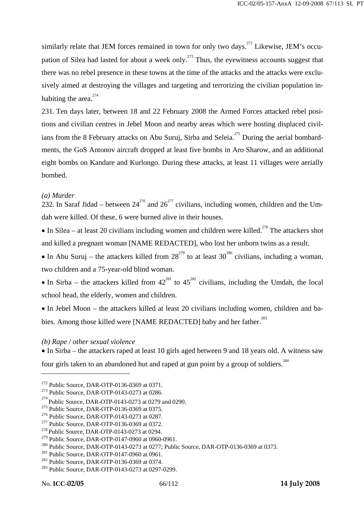similarly relate that JEM forces remained in town for only two days.<sup>272</sup> Likewise, JEM's occupation of Silea had lasted for about a week only.<sup>273</sup> Thus, the eyewitness accounts suggest that there was no rebel presence in these towns at the time of the attacks and the attacks were exclusively aimed at destroying the villages and targeting and terrorizing the civilian population inhabiting the area. $274$ 

231. Ten days later, between 18 and 22 February 2008 the Armed Forces attacked rebel positions and civilian centres in Jebel Moon and nearby areas which were hosting displaced civilians from the 8 February attacks on Abu Suruj, Sirba and Seleia.<sup>275</sup> During the aerial bombardments, the GoS Antonov aircraft dropped at least five bombs in Aro Sharow, and an additional eight bombs on Kandare and Kurlongo. During these attacks, at least 11 villages were aerially bombed.

#### *(a) Murder*

232. In Saraf Jidad – between  $24^{276}$  and  $26^{277}$  civilians, including women, children and the Umdah were killed. Of these, 6 were burned alive in their houses.

• In Silea – at least 20 civilians including women and children were killed.<sup>278</sup> The attackers shot and killed a pregnant woman [NAME REDACTED], who lost her unborn twins as a result.

• In Abu Suruj – the attackers killed from  $28^{279}$  to at least  $30^{280}$  civilians, including a woman, two children and a 75-year-old blind woman.

• In Sirba – the attackers killed from  $42^{281}$  to  $45^{282}$  civilians, including the Umdah, the local school head, the elderly, women and children.

• In Jebel Moon – the attackers killed at least 20 civilians including women, children and babies. Among those killed were [NAME REDACTED] baby and her father.<sup>283</sup>

#### *(b) Rape / other sexual violence*

• In Sirba – the attackers raped at least 10 girls aged between 9 and 18 years old. A witness saw

four girls taken to an abandoned hut and raped at gun point by a group of soldiers.<sup>284</sup>

<sup>&</sup>lt;sup>272</sup> Public Source, DAR-OTP-0136-0369 at 0371.<br><sup>273</sup> Public Source, DAR-OTP-0143-0273 at 0286.

 $^{274}$  Public Source, DAR-OTP-0143-0273 at 0279 and 0290.

<sup>&</sup>lt;sup>275</sup> Public Source, DAR-OTP-0136-0369 at 0375.<br><sup>276</sup> Public Source, DAR-OTP-0143-0273 at 0287.<br><sup>277</sup> Public Source, DAR-OTP-0143-0273 at 0294.<br><sup>279</sup> Public Source, DAR-OTP-0147-0960 at 0960-0961.

<sup>&</sup>lt;sup>280</sup> Public Source, DAR-OTP-0143-0273 at 0277; Public Source, DAR-OTP-0136-0369 at 0373.<br><sup>281</sup> Public Source, DAR-OTP-0147-0960 at 0961.<br><sup>282</sup> Public Source, DAR-OTP-0136-0369 at 0374.<br><sup>282</sup> Public Source, DAR-OTP-0143-0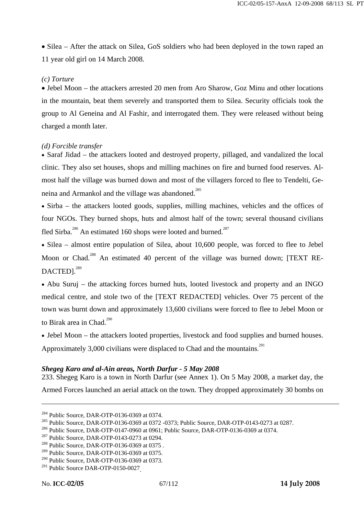• Silea – After the attack on Silea, GoS soldiers who had been deployed in the town raped an 11 year old girl on 14 March 2008.

### *(c) Torture*

• Jebel Moon – the attackers arrested 20 men from Aro Sharow, Goz Minu and other locations in the mountain, beat them severely and transported them to Silea. Security officials took the group to Al Geneina and Al Fashir, and interrogated them. They were released without being charged a month later.

### *(d) Forcible transfer*

• Saraf Jidad – the attackers looted and destroyed property, pillaged, and vandalized the local clinic. They also set houses, shops and milling machines on fire and burned food reserves. Almost half the village was burned down and most of the villagers forced to flee to Tendelti, Geneina and Armankol and the village was abandoned.<sup>285</sup>

• Sirba – the attackers looted goods, supplies, milling machines, vehicles and the offices of four NGOs. They burned shops, huts and almost half of the town; several thousand civilians fled Sirba.<sup>286</sup> An estimated 160 shops were looted and burned.<sup>287</sup>

• Silea – almost entire population of Silea, about 10,600 people, was forced to flee to Jebel Moon or Chad.<sup>288</sup> An estimated 40 percent of the village was burned down; [TEXT RE-DACTED1.<sup>289</sup>

• Abu Suruj – the attacking forces burned huts, looted livestock and property and an INGO medical centre, and stole two of the [TEXT REDACTED] vehicles. Over 75 percent of the town was burnt down and approximately 13,600 civilians were forced to flee to Jebel Moon or to Birak area in Chad.<sup>290</sup>

• Jebel Moon – the attackers looted properties, livestock and food supplies and burned houses.

Approximately 3,000 civilians were displaced to Chad and the mountains.<sup>291</sup>

#### *Shegeg Karo and al-Ain areas, North Darfur - 5 May 2008*

233. Shegeg Karo is a town in North Darfur (see Annex 1). On 5 May 2008, a market day, the Armed Forces launched an aerial attack on the town. They dropped approximately 30 bombs on

<sup>&</sup>lt;sup>284</sup> Public Source, DAR-OTP-0136-0369 at 0374.<br><sup>285</sup> Public Source, DAR-OTP-0136-0369 at 0372 -0373; Public Source, DAR-OTP-0143-0273 at 0287.<br><sup>286</sup> Public Source, DAR-OTP-0147-0960 at 0961; Public Source, DAR-OTP-0136-0

<sup>289</sup> Public Source, DAR-OTP-0136-0369 at 0375.

<sup>&</sup>lt;sup>290</sup> Public Source, DAR-OTP-0136-0369 at 0373.

<sup>&</sup>lt;sup>291</sup> Public Source DAR-OTP-0150-0027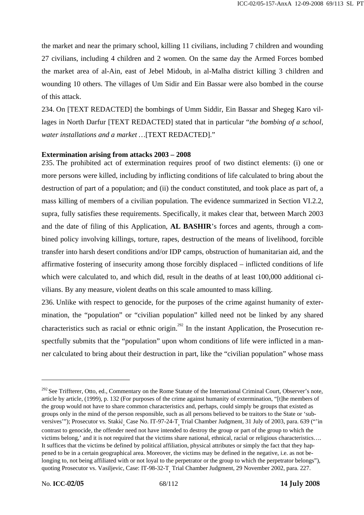the market and near the primary school, killing 11 civilians, including 7 children and wounding 27 civilians, including 4 children and 2 women. On the same day the Armed Forces bombed the market area of al-Ain, east of Jebel Midoub, in al-Malha district killing 3 children and wounding 10 others. The villages of Um Sidir and Ein Bassar were also bombed in the course of this attack.

234. On [TEXT REDACTED] the bombings of Umm Siddir, Ein Bassar and Shegeg Karo villages in North Darfur [TEXT REDACTED] stated that in particular "*the bombing of a school, water installations and a market …*[TEXT REDACTED]."

#### **Extermination arising from attacks 2003 – 2008**

235. The prohibited act of extermination requires proof of two distinct elements: (i) one or more persons were killed, including by inflicting conditions of life calculated to bring about the destruction of part of a population; and (ii) the conduct constituted, and took place as part of, a mass killing of members of a civilian population. The evidence summarized in Section VI.2.2, supra, fully satisfies these requirements. Specifically, it makes clear that, between March 2003 and the date of filing of this Application, **AL BASHIR**'s forces and agents, through a combined policy involving killings, torture, rapes, destruction of the means of livelihood, forcible transfer into harsh desert conditions and/or IDP camps, obstruction of humanitarian aid, and the affirmative fostering of insecurity among those forcibly displaced – inflicted conditions of life which were calculated to, and which did, result in the deaths of at least 100,000 additional civilians. By any measure, violent deaths on this scale amounted to mass killing.

236. Unlike with respect to genocide, for the purposes of the crime against humanity of extermination, the "population" or "civilian population" killed need not be linked by any shared characteristics such as racial or ethnic origin.<sup>292</sup> In the instant Application, the Prosecution respectfully submits that the "population" upon whom conditions of life were inflicted in a manner calculated to bring about their destruction in part, like the "civilian population" whose mass

<sup>&</sup>lt;sup>292</sup> See Triffterer, Otto, ed., Commentary on the Rome Statute of the International Criminal Court, Observer's note, article by article, (1999), p. 132 (For purposes of the crime against humanity of extermination, "[t]he members of the group would not have to share common characteristics and, perhaps, could simply be groups that existed as groups only in the mind of the person responsible, such as all persons believed to be traitors to the State or 'subversives'"); Prosecutor vs. Stakić<sub>,</sub> Case No. IT-97-24-T<sub>,</sub> Trial Chamber Judgment, 31 July of 2003, para. 639 ("'in contrast to genocide, the offender need not have intended to destroy the group or part of the group to which the victims belong,' and it is not required that the victims share national, ethnical, racial or religious characteristics…. It suffices that the victims be defined by political affiliation, physical attributes or simply the fact that they happened to be in a certain geographical area. Moreover, the victims may be defined in the negative, i.e. as not belonging to, not being affiliated with or not loyal to the perpetrator or the group to which the perpetrator belongs"), quoting Prosecutor vs. Vasiljevic, Case: IT-98-32-T, Trial Chamber Judgment, 29 November 2002, para. 227.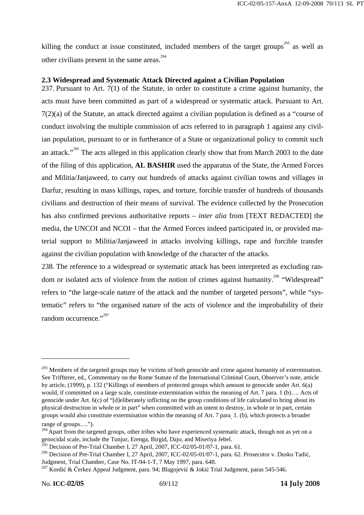killing the conduct at issue constituted, included members of the target groups<sup>293</sup> as well as other civilians present in the same areas.294

### **2.3 Widespread and Systematic Attack Directed against a Civilian Population**

237. Pursuant to Art. 7(1) of the Statute, in order to constitute a crime against humanity, the acts must have been committed as part of a widespread or systematic attack. Pursuant to Art. 7(2)(a) of the Statute, an attack directed against a civilian population is defined as a "course of conduct involving the multiple commission of acts referred to in paragraph 1 against any civilian population, pursuant to or in furtherance of a State or organizational policy to commit such an attack."<sup>295</sup> The acts alleged in this application clearly show that from March 2003 to the date of the filing of this application, **AL BASHIR** used the apparatus of the State, the Armed Forces and Militia/Janjaweed, to carry out hundreds of attacks against civilian towns and villages in Darfur, resulting in mass killings, rapes, and torture, forcible transfer of hundreds of thousands civilians and destruction of their means of survival. The evidence collected by the Prosecution has also confirmed previous authoritative reports – *inter alia* from [TEXT REDACTED] the media, the UNCOI and NCOI – that the Armed Forces indeed participated in, or provided material support to Militia/Janjaweed in attacks involving killings, rape and forcible transfer against the civilian population with knowledge of the character of the attacks.

238. The reference to a widespread or systematic attack has been interpreted as excluding random or isolated acts of violence from the notion of crimes against humanity.<sup>296</sup> "Widespread" refers to "the large-scale nature of the attack and the number of targeted persons", while "systematic" refers to "the organised nature of the acts of violence and the improbability of their random occurrence." $297$ 

<sup>&</sup>lt;sup>293</sup> Members of the targeted groups may be victims of both genocide and crime against humanity of extermination. See Triffterer, ed., Commentary on the Rome Statute of the International Criminal Court, Observer's note, article by article, (1999), p. 132 ("Killings of members of protected groups which amount to genocide under Art. 6(a) would, if committed on a large scale, constitute extermination within the meaning of Art. 7 para. 1 (b).... Acts of genocide under Art. 6(c) of "[d]eliberately inflicting on the group conditions of life calculated to bring about its physical destruction in whole or in part" when committed with an intent to destroy, in whole or in part, certain groups would also constitute extermination within the meaning of Art. 7 para. 1. (b), which protects a broader range of groups….").

<sup>&</sup>lt;sup>294</sup> Apart from the targeted groups, other tribes who have experienced systematic attack, though not as yet on a genocidal scale, include the Tunjur, Erenga, Birgid, Dajo, and Miseriya Jebel.

<sup>&</sup>lt;sup>295</sup> Decision of Pre-Trial Chamber I, 27 April, 2007, ICC-02/05-01/07-1, para. 61.

<sup>&</sup>lt;sup>296</sup> Decision of Pre-Trial Chamber I, 27 April, 2007, ICC-02/05-01/07-1, para. 62. Prosecutor v. Dusko Tadić, Judgment, Trial Chamber, Case No. IT-94-1-T, 7 May 1997, para. 648.

<sup>&</sup>lt;sup>297</sup> Kordić & Čerkez Appeal Judgment, para. 94; Blagojević & Jokić Trial Judgment, paras 545-546.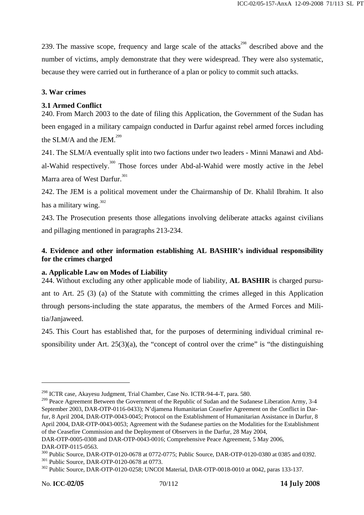239. The massive scope, frequency and large scale of the attacks<sup>298</sup> described above and the number of victims, amply demonstrate that they were widespread. They were also systematic, because they were carried out in furtherance of a plan or policy to commit such attacks.

## **3. War crimes**

# **3.1 Armed Conflict**

240. From March 2003 to the date of filing this Application, the Government of the Sudan has been engaged in a military campaign conducted in Darfur against rebel armed forces including the SLM/A and the JEM. $^{299}$ 

241. The SLM/A eventually split into two factions under two leaders - Minni Manawi and Abdal-Wahid respectively.<sup>300</sup> Those forces under Abd-al-Wahid were mostly active in the Jebel Marra area of West Darfur.<sup>301</sup>

242. The JEM is a political movement under the Chairmanship of Dr. Khalil Ibrahim. It also has a military wing.  $302$ 

243. The Prosecution presents those allegations involving deliberate attacks against civilians and pillaging mentioned in paragraphs 213-234.

# **4. Evidence and other information establishing AL BASHIR's individual responsibility for the crimes charged**

## **a. Applicable Law on Modes of Liability**

244. Without excluding any other applicable mode of liability, **AL BASHIR** is charged pursuant to Art. 25 (3) (a) of the Statute with committing the crimes alleged in this Application through persons-including the state apparatus, the members of the Armed Forces and Militia/Janjaweed.

245. This Court has established that, for the purposes of determining individual criminal responsibility under Art.  $25(3)(a)$ , the "concept of control over the crime" is "the distinguishing

<sup>298</sup> ICTR case, Akayesu Judgment, Trial Chamber, Case No. ICTR-94-4-T, para. 580.

<sup>&</sup>lt;sup>299</sup> Peace Agreement Between the Government of the Republic of Sudan and the Sudanese Liberation Army, 3-4 September 2003, DAR-OTP-0116-0433); N'djamena Humanitarian Ceasefire Agreement on the Conflict in Darfur, 8 April 2004, DAR-OTP-0043-0045; Protocol on the Establishment of Humanitarian Assistance in Darfur, 8 April 2004, DAR-OTP-0043-0053; Agreement with the Sudanese parties on the Modalities for the Establishment of the Ceasefire Commission and the Deployment of Observers in the Darfur, 28 May 2004,

DAR-OTP-0005-0308 and DAR-OTP-0043-0016; Comprehensive Peace Agreement, 5 May 2006, DAR-OTP-0115-0563.

<sup>&</sup>lt;sup>300</sup> Public Source, DAR-OTP-0120-0678 at 0772-0775; Public Source, DAR-OTP-0120-0380 at 0385 and 0392.<br><sup>301</sup> Public Source, DAR-OTP-0120-0678 at 0773.<br><sup>302</sup> Public Source, DAR-OTP-0120-0258; UNCOI Material, DAR-OTP-0018-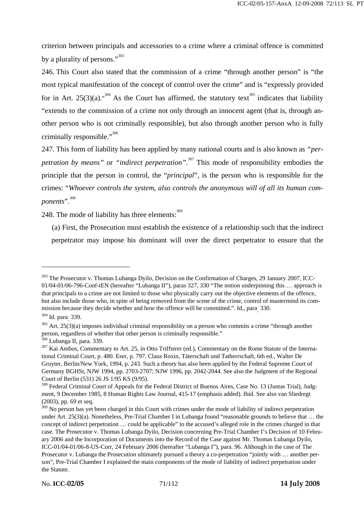criterion between principals and accessories to a crime where a criminal offence is committed by a plurality of persons."<sup>303</sup>

246. This Court also stated that the commission of a crime "through another person" is "the most typical manifestation of the concept of control over the crime" and is "expressly provided for in Art. 25(3)(a).<sup>304</sup> As the Court has affirmed, the statutory text<sup>305</sup> indicates that liability "extends to the commission of a crime not only through an innocent agent (that is, through another person who is not criminally responsible), but also through another person who is fully criminally responsible." $306$ 

247. This form of liability has been applied by many national courts and is also known as *"perpetration by means*" or *"indirect perpetration*".<sup>307</sup> This mode of responsibility embodies the principle that the person in control, the "*principal*", is the person who is responsible for the crimes: "*Whoever controls the system, also controls the anonymous will of all its human components*".308

248. The mode of liability has three elements: $\frac{309}{209}$ 

(a) First, the Prosecution must establish the existence of a relationship such that the indirect perpetrator may impose his dominant will over the direct perpetrator to ensure that the

<sup>&</sup>lt;sup>303</sup> The Prosecutor v. Thomas Lubanga Dyilo, Decision on the Confirmation of Charges, 29 January 2007, ICC-01/04-01/06-796-Conf-tEN (hereafter "Lubanga II"), paras 327, 330 "The notion underpinning this … approach is that principals to a crime are not limited to those who physically carry out the objective elements of the offence, but also include those who, in spite of being removed from the scene of the crime, control of mastermind its commission because they decide whether and how the offence will be committed.". Id., para. 330.

<sup>&</sup>lt;sup>304</sup> Id. para<sub>.</sub> 339.

 $305$  Art. 25(3)(a) imposes individual criminal responsibility on a person who commits a crime "through another person, regardless of whether that other person is criminally responsible."<br><sup>306</sup> Lubanga II, para. 339.

 $307$  Kai Ambos, Commentary to Art. 25, in Otto Triffterer (ed.), Commentary on the Rome Statute of the International Criminal Court, p. 480. Eser, p. 797. Claus Roxin, Täterschaft und Tatherrschaft, 6th ed., Walter De Gruyter, Berlin/New York, 1994, p. 243. Such a theory has also been applied by the Federal Supreme Court of Germany BGHSt, NJW 1994, pp. 2703-2707; NJW 1996, pp. 2042-2044. See also the Judgment of the Regional Court of Berlin (531) 26 JS 1/95 KS (9/95).

<sup>&</sup>lt;sup>308</sup> Federal Criminal Court of Appeals for the Federal District of Buenos Aires, Case No. 13 (Juntas Trial), Judgment, 9 December 1985, 8 Human Rights Law Journal, 415-17 (emphasis added). Ibid. See also van Sliedregt (2003), pp. 69 et seq.

<sup>&</sup>lt;sup>309</sup> No person has yet been charged in this Court with crimes under the mode of liability of indirect perpetration under Art. 25(3)(a). Nonetheless, Pre-Trial Chamber I in Lubanga found "reasonable grounds to believe that ... the concept of indirect perpetration … could be applicable" to the accused's alleged role in the crimes charged in that case. The Prosecutor v. Thomas Lubanga Dyilo, Decision concerning Pre-Trial Chamber I's Decision of 10 February 2006 and the Incorporation of Documents into the Record of the Case against Mr. Thomas Lubanga Dyilo, ICC-01/04-01/06-8-US-Corr, 24 February 2006 (hereafter "Lubanga I"), para. 96. Although in the case of The Prosecutor v. Lubanga the Prosecution ultimately pursued a theory a co-perpetration "jointly with … another person", Pre-Trial Chamber I explained the main components of the mode of liability of indirect perpetration under the Statute.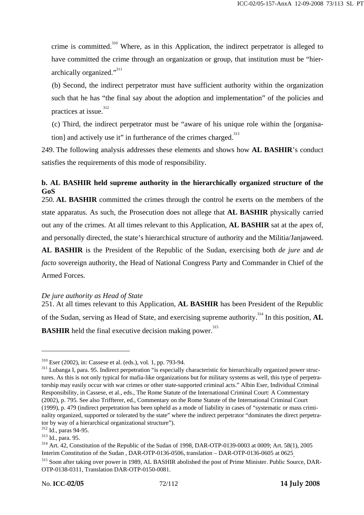crime is committed.310 Where, as in this Application, the indirect perpetrator is alleged to have committed the crime through an organization or group, that institution must be "hierarchically organized."<sup>311</sup>

(b) Second, the indirect perpetrator must have sufficient authority within the organization such that he has "the final say about the adoption and implementation" of the policies and practices at issue.<sup>312</sup>

(c) Third, the indirect perpetrator must be "aware of his unique role within the [organisation] and actively use it" in furtherance of the crimes charged.<sup>313</sup>

249. The following analysis addresses these elements and shows how **AL BASHIR**'s conduct satisfies the requirements of this mode of responsibility.

### **b. AL BASHIR held supreme authority in the hierarchically organized structure of the GoS**

250. **AL BASHIR** committed the crimes through the control he exerts on the members of the state apparatus. As such, the Prosecution does not allege that **AL BASHIR** physically carried out any of the crimes. At all times relevant to this Application, **AL BASHIR** sat at the apex of, and personally directed, the state's hierarchical structure of authority and the Militia/Janjaweed.

**AL BASHIR** is the President of the Republic of the Sudan, exercising both *de jure* and *de facto* sovereign authority, the Head of National Congress Party and Commander in Chief of the Armed Forces.

### *De jure authority as Head of State*

251. At all times relevant to this Application, **AL BASHIR** has been President of the Republic of the Sudan, serving as Head of State, and exercising supreme authority.<sup>314</sup> In this position, **AL BASHIR** held the final executive decision making power.<sup>315</sup>

 $310$  Eser (2002), in: Cassese et al. (eds.), vol. 1, pp. 793-94.<br> $311$  Lubanga I, para. 95. Indirect perpetration "is especially characteristic for hierarchically organized power structures. As this is not only typical for mafia-like organizations but for military systems as well, this type of perpetratorship may easily occur with war crimes or other state-supported criminal acts." Albin Eser, Individual Criminal Responsibility, in Cassese, et al., eds., The Rome Statute of the International Criminal Court: A Commentary (2002), p. 795. See also Triffterer, ed., Commentary on the Rome Statute of the International Criminal Court (1999), p. 479 (indirect perpetration has been upheld as a mode of liability in cases of "systematic or mass criminality organized, supported or tolerated by the state" where the indirect perpetrator "dominates the direct perpetrator by way of a hierarchical organizational structure").<br><sup>312</sup> Id., paras 94-95.<br><sup>313</sup> Id., para. 95.<br><sup>314</sup> Art. 42, Constitution of the Republic of the Sudan of 1998, DAR-OTP-0139-0003 at 0009; Art. 58(1), 2005

Interim Constitution of the Sudan , DAR-OTP-0136-0506, translation – DAR-OTP-0136-0605 at 0625.<br><sup>315</sup> Soon after taking over power in 1989, AL BASHIR abolished the post of Prime Minister. Public Source, DAR-

OTP-0138-0311, Translation DAR-OTP-0150-0081.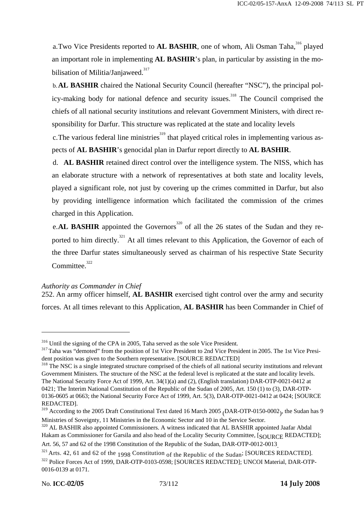a.Two Vice Presidents reported to AL BASHIR, one of whom, Ali Osman Taha,<sup>316</sup> played an important role in implementing **AL BASHIR**'s plan, in particular by assisting in the mobilisation of Militia/Janjaweed.<sup>317</sup>

b.**AL BASHIR** chaired the National Security Council (hereafter "NSC"), the principal policy-making body for national defence and security issues.<sup>318</sup> The Council comprised the chiefs of all national security institutions and relevant Government Ministers, with direct responsibility for Darfur. This structure was replicated at the state and locality levels

c. The various federal line ministries<sup>319</sup> that played critical roles in implementing various aspects of **AL BASHIR**'s genocidal plan in Darfur report directly to **AL BASHIR**.

d. **AL BASHIR** retained direct control over the intelligence system. The NISS, which has an elaborate structure with a network of representatives at both state and locality levels, played a significant role, not just by covering up the crimes committed in Darfur, but also by providing intelligence information which facilitated the commission of the crimes charged in this Application.

e.**AL BASHIR** appointed the Governors<sup>320</sup> of all the 26 states of the Sudan and they reported to him directly.<sup>321</sup> At all times relevant to this Application, the Governor of each of the three Darfur states simultaneously served as chairman of his respective State Security Committee.<sup>322</sup>

### *Authority as Commander in Chief*

252. An army officer himself, **AL BASHIR** exercised tight control over the army and security forces. At all times relevant to this Application, **AL BASHIR** has been Commander in Chief of

 $316$  Until the signing of the CPA in 2005, Taha served as the sole Vice President.<br> $317$  Taha was "demoted" from the position of 1st Vice President to 2nd Vice President in 2005. The 1st Vice President position was given to the Southern representative. [SOURCE REDACTED]<br><sup>318</sup> The NSC is a single integrated structure comprised of the chiefs of all national security institutions and relevant

Government Ministers. The structure of the NSC at the federal level is replicated at the state and locality levels. The National Security Force Act of 1999, Art. 34(1)(a) and (2), (English translation) DAR-OTP-0021-0412 at 0421; The Interim National Constitution of the Republic of the Sudan of 2005, Art. 150 (1) to (3), DAR-OTP-0136-0605 at 0663; the National Security Force Act of 1999, Art. 5(3), DAR-OTP-0021-0412 at 0424; [SOURCE REDACTED].

<sup>&</sup>lt;sup>319</sup> According to the 2005 Draft Constitutional Text dated 16 March 2005 (DAR-OTP-0150-0002), the Sudan has 9 Ministries of Soveignty, 11 Ministries in the Economic Sector and 10 in the Service Sector.

<sup>&</sup>lt;sup>320</sup> AL BASHIR also appointed Commissioners. A witness indicated that AL BASHIR appointed Jaafar Abdal Hakam as Commissioner for Garsila and also head of the Locality Security Committee, [SOURCE REDACTED];<br>Art. 56, 57 and 62 of the 1998 Constitution of the Republic of the Sudan, DAR-OTP-0012-0013

 $321$  Arts. 42, 61 and 62 of the 1998 Constitution of the Republic of the Sudan; [SOURCES REDACTED]. <sup>322</sup> Police Forces Act of 1999, DAR-OTP-0103-0598; [SOURCES REDACTED]; UNCOI Material, DAR-OTP-0016-0139 at 0171.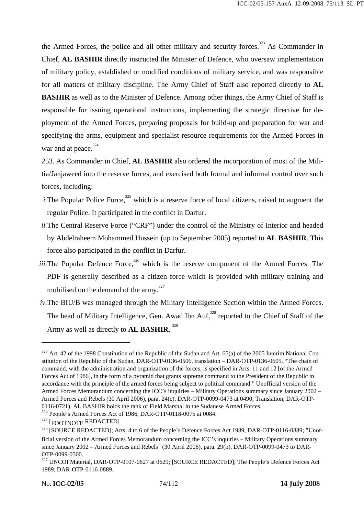the Armed Forces, the police and all other military and security forces.<sup>323</sup> As Commander in Chief, **AL BASHIR** directly instructed the Minister of Defence, who oversaw implementation of military policy, established or modified conditions of military service, and was responsible for all matters of military discipline. The Army Chief of Staff also reported directly to **AL BASHIR** as well as to the Minister of Defence. Among other things, the Army Chief of Staff is responsible for issuing operational instructions, implementing the strategic directive for deployment of the Armed Forces, preparing proposals for build-up and preparation for war and specifying the arms, equipment and specialist resource requirements for the Armed Forces in war and at peace. $324$ 

253. As Commander in Chief, **AL BASHIR** also ordered the incorporation of most of the Militia/Janjaweed into the reserve forces, and exercised both formal and informal control over such forces, including:

- *i.* The Popular Police Force,<sup>325</sup> which is a reserve force of local citizens, raised to augment the regular Police. It participated in the conflict in Darfur.
- *ii.*The Central Reserve Force ("CRF") under the control of the Ministry of Interior and headed by Abdelraheem Mohammed Hussein (up to September 2005) reported to **AL BASHIR**. This force also participated in the conflict in Darfur.
- *iii.*The Popular Defence Force, $326$  which is the reserve component of the Armed Forces. The PDF is generally described as a citizen force which is provided with military training and mobilised on the demand of the army.<sup>327</sup>
- *iv.*The BIU/B was managed through the Military Intelligence Section within the Armed Forces. The head of Military Intelligence, Gen. Awad Ibn Auf.<sup>328</sup> reported to the Chief of Staff of the Army as well as directly to **AL BASHIR**. 329

<sup>&</sup>lt;sup>323</sup> Art. 42 of the 1998 Constitution of the Republic of the Sudan and Art. 65(a) of the 2005 Interim National Constitution of the Republic of the Sudan, DAR-OTP-0136-0506, translation – DAR-OTP-0136-0605. "The chain of command, with the administration and organization of the forces, is specified in Arts. 11 and 12 [of the Armed Forces Act of 1986], in the form of a pyramid that grants supreme command to the President of the Republic in accordance with the principle of the armed forces being subject to political command." Unofficial version of the Armed Forces Memorandum concerning the ICC's inquiries – Military Operations summary since January 2002 – Armed Forces and Rebels (30 April 2006), para. 24(c), DAR-OTP-0099-0473 at 0490, Translation, DAR-OTP-0116-0721). AL BASHIR holds the rank of Field Marshal in the Sudanese Armed Forces.

 $324$  People's Armed Forces Act of 1986, DAR-OTP-0118-0075 at 0084.<br> $325$  [FOOTNOTE REDACTED]

<sup>&</sup>lt;sup>326</sup> [SOURCE REDACTED]; Arts 4 to 6 of the People's Defence Forces Act 1989, DAR-OTP-0116-0889; "Unofficial version of the Armed Forces Memorandum concerning the ICC's inquiries – Military Operations summary since January 2002 – Armed Forces and Rebels" (30 April 2006), para. 29(b), DAR-OTP-0099-0473 to DAR-OTP-0099-0500.

<sup>&</sup>lt;sup>327</sup> UNCOI Material, DAR-OTP-0107-0627 at 0629; [SOURCE REDACTED]; The People's Defence Forces Act 1989, DAR-OTP-0116-0889.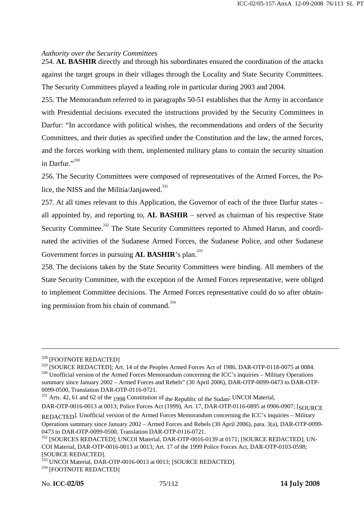#### *Authority over the Security Committees*

254. **AL BASHIR** directly and through his subordinates ensured the coordination of the attacks against the target groups in their villages through the Locality and State Security Committees. The Security Committees played a leading role in particular during 2003 and 2004.

255. The Memorandum referred to in paragraphs 50-51 establishes that the Army in accordance with Presidential decisions executed the instructions provided by the Security Committees in Darfur: "In accordance with political wishes, the recommendations and orders of the Security Committees, and their duties as specified under the Constitution and the law, the armed forces, and the forces working with them, implemented military plans to contain the security situation in Darfur."<sup>330</sup>

256. The Security Committees were composed of representatives of the Armed Forces, the Police, the NISS and the Militia/Janjaweed. $331$ 

257. At all times relevant to this Application, the Governor of each of the three Darfur states – all appointed by, and reporting to, **AL BASHIR** – served as chairman of his respective State Security Committee.<sup>332</sup> The State Security Committees reported to Ahmed Harun, and coordinated the activities of the Sudanese Armed Forces, the Sudanese Police, and other Sudanese Government forces in pursuing **AL BASHIR**'s plan.<sup>333</sup>

258. The decisions taken by the State Security Committees were binding. All members of the State Security Committee, with the exception of the Armed Forces representative, were obliged to implement Committee decisions. The Armed Forces representative could do so after obtaining permission from his chain of command. $334$ 

 $328$  [FOOTNOTE REDACTED]<br> $329$  [SOURCE REDACTED]; Art. 14 of the Peoples Armed Forces Act of 1986, DAR-OTP-0118-0075 at 0084.  $330$  Unofficial version of the Armed Forces Memorandum concerning the ICC's inquiries – Military Operations summary since January 2002 – Armed Forces and Rebels" (30 April 2006), DAR-OTP-0099-0473 to DAR-OTP-0099-0500, Translation DAR-OTP-0116-0721.

<sup>&</sup>lt;sup>331</sup> Arts. 42, 61 and 62 of the <sub>1998</sub> Constitution of the Republic of the Sudan<sup>;</sup> UNCOI Material,

DAR-OTP-0016-0013 at 0013; Police Forces Act (1999), Art. 17, DAR-OTP-0116-0895 at 0906-0907; [SOURCE REDACTED]. Unofficial version of the Armed Forces Memorandum concerning the ICC's inquiries – Military Operations summary since January 2002 – Armed Forces and Rebels (30 April 2006), para. 3(a), DAR-OTP-0099- 0473 to DAR-OTP-0099-0500, Translation DAR-OTP-0116-0721.

<sup>332</sup> [SOURCES REDACTED]; UNCOI Material, DAR-OTP-0016-0139 at 0171; [SOURCE REDACTED]; UN-COI Material, DAR-OTP-0016-0013 at 0013; Art. 17 of the 1999 Police Forces Act, DAR-OTP-0103-0598; [SOURCE REDACTED].

<sup>&</sup>lt;sup>333</sup> UNCOI Material, DAR-OTP-0016-0013 at 0013; [SOURCE REDACTED].<br><sup>334</sup> [FOOTNOTE REDACTED]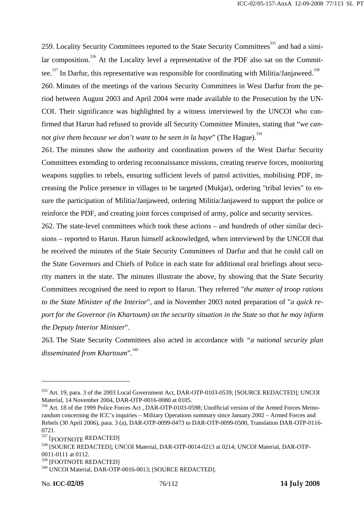259. Locality Security Committees reported to the State Security Committees<sup>335</sup> and had a similar composition.<sup>336</sup> At the Locality level a representative of the PDF also sat on the Committee.<sup>337</sup> In Darfur, this representative was responsible for coordinating with Militia/Janjaweed.<sup>338</sup> 260. Minutes of the meetings of the various Security Committees in West Darfur from the period between August 2003 and April 2004 were made available to the Prosecution by the UN-COI. Their significance was highlighted by a witness interviewed by the UNCOI who confirmed that Harun had refused to provide all Security Committee Minutes, stating that "*we cannot give them because we don't want to be seen in la haye*" (The Hague).<sup>339</sup>

261. The minutes show the authority and coordination powers of the West Darfur Security Committees extending to ordering reconnaissance missions, creating reserve forces, monitoring weapons supplies to rebels, ensuring sufficient levels of patrol activities, mobilising PDF, increasing the Police presence in villages to be targeted (Mukjar), ordering "tribal levies" to ensure the participation of Militia/Janjaweed, ordering Militia/Janjaweed to support the police or reinforce the PDF, and creating joint forces comprised of army, police and security services.

262. The state-level committees which took these actions – and hundreds of other similar decisions – reported to Harun. Harun himself acknowledged, when interviewed by the UNCOI that he received the minutes of the State Security Committees of Darfur and that he could call on the State Governors and Chiefs of Police in each state for additional oral briefings about security matters in the state. The minutes illustrate the above, by showing that the State Security Committees recognised the need to report to Harun. They referred "*the matter of troop rations to the State Minister of the Interior*", and in November 2003 noted preparation of "*a quick report for the Governor (in Khartoum) on the security situation in the State so that he may inform the Deputy Interior Minister*".

263. The State Security Committees also acted in accordance with *"a national security plan disseminated from Khartoum*".<sup>340</sup>

<sup>&</sup>lt;sup>335</sup> Art. 19, para. 3 of the 2003 Local Government Act, DAR-OTP-0103-0539; [SOURCE REDACTED]; UNCOI Material, 14 November 2004, DAR-OTP-0016-0080 at 0105.

<sup>336</sup> Art. 18 of the 1999 Police Forces Act, DAR-OTP-0103-0598; Unofficial version of the Armed Forces Memorandum concerning the ICC's inquiries – Military Operations summary since January 2002 – Armed Forces and Rebels (30 April 2006), para. 3 (a), DAR-OTP-0099-0473 to DAR-OTP-0099-0500, Translation DAR-OTP-0116- 0721.

<sup>337 [</sup>FOOTNOTE REDACTED]

<sup>338 [</sup>SOURCE REDACTED]; UNCOI Material, DAR-OTP-0014-0213 at 0214; UNCOI Material, DAR-OTP-0011-0111 at 0112.

<sup>&</sup>lt;sup>339</sup> [FOOTNOTE REDACTED]<br><sup>340</sup> UNCOI Material, DAR-OTP-0016-0013; [SOURCE REDACTED].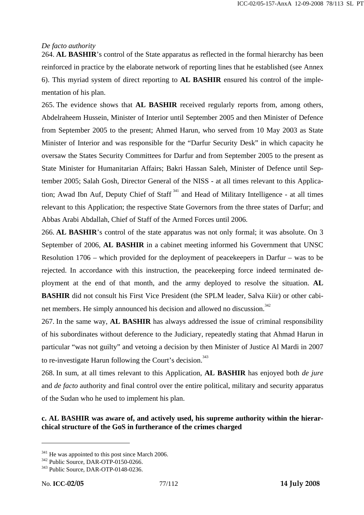### *De facto authority*

264. **AL BASHIR**'s control of the State apparatus as reflected in the formal hierarchy has been reinforced in practice by the elaborate network of reporting lines that he established (see Annex 6). This myriad system of direct reporting to **AL BASHIR** ensured his control of the implementation of his plan.

265. The evidence shows that **AL BASHIR** received regularly reports from, among others, Abdelraheem Hussein, Minister of Interior until September 2005 and then Minister of Defence from September 2005 to the present; Ahmed Harun, who served from 10 May 2003 as State Minister of Interior and was responsible for the "Darfur Security Desk" in which capacity he oversaw the States Security Committees for Darfur and from September 2005 to the present as State Minister for Humanitarian Affairs; Bakri Hassan Saleh, Minister of Defence until September 2005; Salah Gosh, Director General of the NISS - at all times relevant to this Application; Awad Ibn Auf, Deputy Chief of Staff<sup>341</sup> and Head of Military Intelligence - at all times relevant to this Application; the respective State Governors from the three states of Darfur; and Abbas Arabi Abdallah, Chief of Staff of the Armed Forces until 2006.

266. **AL BASHIR**'s control of the state apparatus was not only formal; it was absolute. On 3 September of 2006, **AL BASHIR** in a cabinet meeting informed his Government that UNSC Resolution 1706 – which provided for the deployment of peacekeepers in Darfur – was to be rejected. In accordance with this instruction, the peacekeeping force indeed terminated deployment at the end of that month, and the army deployed to resolve the situation. **AL BASHIR** did not consult his First Vice President (the SPLM leader, Salva Kiir) or other cabinet members. He simply announced his decision and allowed no discussion.<sup>342</sup>

267. In the same way, **AL BASHIR** has always addressed the issue of criminal responsibility of his subordinates without deference to the Judiciary, repeatedly stating that Ahmad Harun in particular "was not guilty" and vetoing a decision by then Minister of Justice Al Mardi in 2007 to re-investigate Harun following the Court's decision.<sup>343</sup>

268. In sum, at all times relevant to this Application, **AL BASHIR** has enjoyed both *de jure* and *de facto* authority and final control over the entire political, military and security apparatus of the Sudan who he used to implement his plan.

### **c. AL BASHIR was aware of, and actively used, his supreme authority within the hierarchical structure of the GoS in furtherance of the crimes charged**

 $341$  He was appointed to this post since March 2006.<br> $342$  Public Source, DAR-OTP-0150-0266.<br> $343$  Public Source, DAR-OTP-0148-0236.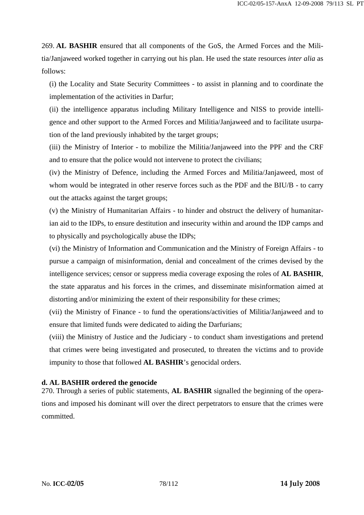269. **AL BASHIR** ensured that all components of the GoS, the Armed Forces and the Militia/Janjaweed worked together in carrying out his plan. He used the state resources *inter alia* as follows:

(i) the Locality and State Security Committees - to assist in planning and to coordinate the implementation of the activities in Darfur;

(ii) the intelligence apparatus including Military Intelligence and NISS to provide intelligence and other support to the Armed Forces and Militia/Janjaweed and to facilitate usurpation of the land previously inhabited by the target groups;

(iii) the Ministry of Interior - to mobilize the Militia/Janjaweed into the PPF and the CRF and to ensure that the police would not intervene to protect the civilians;

(iv) the Ministry of Defence, including the Armed Forces and Militia/Janjaweed, most of whom would be integrated in other reserve forces such as the PDF and the BIU/B - to carry out the attacks against the target groups;

(v) the Ministry of Humanitarian Affairs - to hinder and obstruct the delivery of humanitarian aid to the IDPs, to ensure destitution and insecurity within and around the IDP camps and to physically and psychologically abuse the IDPs;

(vi) the Ministry of Information and Communication and the Ministry of Foreign Affairs - to pursue a campaign of misinformation, denial and concealment of the crimes devised by the intelligence services; censor or suppress media coverage exposing the roles of **AL BASHIR**, the state apparatus and his forces in the crimes, and disseminate misinformation aimed at distorting and/or minimizing the extent of their responsibility for these crimes;

(vii) the Ministry of Finance - to fund the operations/activities of Militia/Janjaweed and to ensure that limited funds were dedicated to aiding the Darfurians;

(viii) the Ministry of Justice and the Judiciary - to conduct sham investigations and pretend that crimes were being investigated and prosecuted, to threaten the victims and to provide impunity to those that followed **AL BASHIR**'s genocidal orders.

### **d. AL BASHIR ordered the genocide**

270. Through a series of public statements, **AL BASHIR** signalled the beginning of the operations and imposed his dominant will over the direct perpetrators to ensure that the crimes were committed.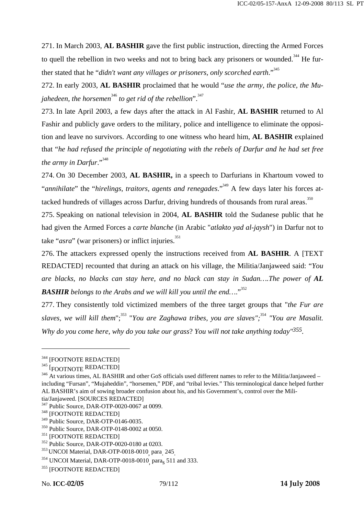271. In March 2003, **AL BASHIR** gave the first public instruction, directing the Armed Forces to quell the rebellion in two weeks and not to bring back any prisoners or wounded.<sup>344</sup> He further stated that he "*didn't want any villages or prisoners, only scorched earth*."345

272. In early 2003, **AL BASHIR** proclaimed that he would "*use the army, the police, the Mujahedeen, the horsemen*<sup>346</sup> to get rid of the rebellion".<sup>347</sup>

273. In late April 2003, a few days after the attack in Al Fashir, **AL BASHIR** returned to Al Fashir and publicly gave orders to the military, police and intelligence to eliminate the opposition and leave no survivors. According to one witness who heard him, **AL BASHIR** explained that "*he had refused the principle of negotiating with the rebels of Darfur and he had set free the army in Darfur*."348

274. On 30 December 2003, **AL BASHIR,** in a speech to Darfurians in Khartoum vowed to "*annihilate*" the "*hirelings, traitors, agents and renegades*."349 A few days later his forces attacked hundreds of villages across Darfur, driving hundreds of thousands from rural areas.<sup>350</sup>

275. Speaking on national television in 2004, **AL BASHIR** told the Sudanese public that he had given the Armed Forces a *carte blanche* (in Arabic "*atlakto yad al-jaysh*") in Darfur not to take "*asra*" (war prisoners) or inflict injuries.<sup>351</sup>

276. The attackers expressed openly the instructions received from **AL BASHIR**. A [TEXT REDACTED] recounted that during an attack on his village, the Militia/Janjaweed said: "*You are blacks, no blacks can stay here, and no black can stay in Sudan....The power of AL* **BASHIR** belongs to the Arabs and we will kill you until the end...."<sup>352</sup>

277. They consistently told victimized members of the three target groups that "*the Fur are*  slaves, we will kill them";<sup>353</sup> "You are Zaghawa tribes, you are slaves";<sup>354</sup> "You are Masalit. *Why do you come here, why do you take our grass*? *You will not take anything today"355.*

 $344   
 [FOOTNOTE REDACTERED  
345   
 [FOOTNOTE BEDACTERED]$ 

<sup>&</sup>lt;sup>346</sup> At various times, AL BASHIR and other GoS officials used different names to refer to the Militia/Janjaweed – including "Fursan", "Mujaheddin", "horsemen," PDF, and "tribal levies." This terminological dance helped further AL BASHIR's aim of sowing broader confusion about his, and his Government's, control over the Militia/Janjaweed. [SOURCES REDACTED]

<sup>&</sup>lt;sup>347</sup> Public Source, DAR-OTP-0020-0067 at 0099.<br><sup>348</sup> [FOOTNOTE REDACTED]

<sup>&</sup>lt;sup>349</sup> Public Source, DAR-OTP-0146-0035.<br><sup>350</sup> Public Source, DAR-OTP-0148-0002 at 0050.<br><sup>351</sup> [FOOTNOTE REDACTED]<br><sup>352</sup> Public Source, DAR-OTP-0020-0180 at 0203.<br><sup>353</sup> UNCOI Material, DAR-OTP-0018-0010<sub>,</sub> para<sub>.</sub>

 $^{353}$  UNCOI Material, DAR-OTP-0018-0010<sub>,</sub> para<sub>s</sub> 245<sub>.</sub><br> $^{354}$  UNCOI Material, DAR-OTP-0018-0010<sub>,</sub> para<sub>s</sub> 511 and 333.

<sup>&</sup>lt;sup>355</sup> [FOOTNOTE REDACTED]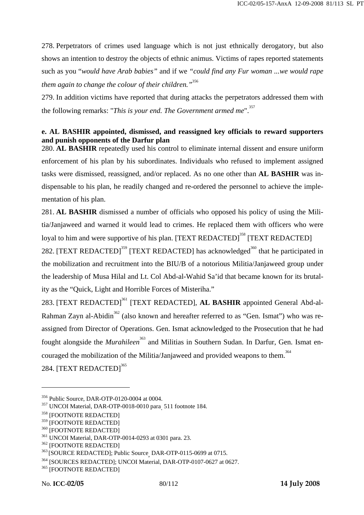278. Perpetrators of crimes used language which is not just ethnically derogatory, but also shows an intention to destroy the objects of ethnic animus. Victims of rapes reported statements such as you "*would have Arab babies"* and if we *"could find any Fur woman ...we would rape them again to change the colour of their children."*<sup>356</sup>

279. In addition victims have reported that during attacks the perpetrators addressed them with the following remarks: "This is your end. The Government armed me".<sup>357</sup>

### **e. AL BASHIR appointed, dismissed, and reassigned key officials to reward supporters and punish opponents of the Darfur plan**

280. **AL BASHIR** repeatedly used his control to eliminate internal dissent and ensure uniform enforcement of his plan by his subordinates. Individuals who refused to implement assigned tasks were dismissed, reassigned, and/or replaced. As no one other than **AL BASHIR** was indispensable to his plan, he readily changed and re-ordered the personnel to achieve the implementation of his plan.

281. **AL BASHIR** dismissed a number of officials who opposed his policy of using the Militia/Janjaweed and warned it would lead to crimes. He replaced them with officers who were loyal to him and were supportive of his plan. [TEXT REDACTED]<sup>358</sup> [TEXT REDACTED]

282. [TEXT REDACTED]<sup>359</sup> [TEXT REDACTED] has acknowledged<sup>360</sup> that he participated in the mobilization and recruitment into the BIU/B of a notorious Militia/Janjaweed group under the leadership of Musa Hilal and Lt. Col Abd-al-Wahid Sa'id that became known for its brutality as the "Quick, Light and Horrible Forces of Misteriha."

283. [TEXT REDACTED]<sup>361</sup> [TEXT REDACTED], **AL BASHIR** appointed General Abd-al-Rahman Zayn al-Abidin<sup>362</sup> (also known and hereafter referred to as "Gen. Ismat") who was reassigned from Director of Operations. Gen. Ismat acknowledged to the Prosecution that he had fought alongside the *Murahileen*<sup>363</sup> and Militias in Southern Sudan. In Darfur, Gen. Ismat encouraged the mobilization of the Militia/Janjaweed and provided weapons to them.<sup>364</sup> 284. [TEXT REDACTED]<sup>365</sup>

<sup>&</sup>lt;sup>356</sup> Public Source, DAR-OTP-0120-0004 at 0004.<br><sup>357</sup> UNCOI Material, DAR-OTP-0018-0010 para<sub>.</sub> 511 footnote 184.

<sup>&</sup>lt;sup>358</sup> [FOOTNOTE REDACTED]<br><sup>359</sup> [FOOTNOTE REDACTED]

<sup>&</sup>lt;sup>359</sup> [FOOTNOTE REDACTED]<br><sup>360</sup> [FOOTNOTE REDACTED]<br><sup>361</sup> UNCOI Material, DAR-OTP-0014-0293 at 0301 para. 23.<br><sup>362</sup> [FOOTNOTE REDACTED]; Public Source<sub>,</sub> DAR-OTP-0115-0699 at 0715.

<sup>&</sup>lt;sup>364</sup> [SOURCES REDACTED]; UNCOI Material, DAR-OTP-0107-0627 at 0627.<br><sup>365</sup> [FOOTNOTE REDACTED]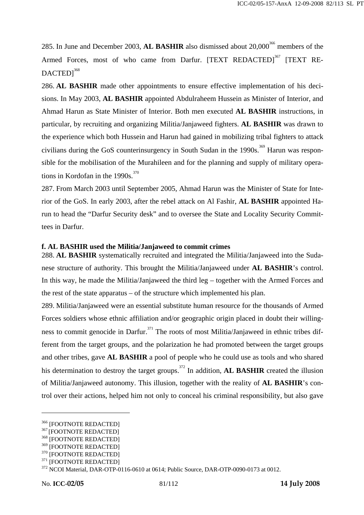285. In June and December 2003, AL BASHIR also dismissed about 20,000<sup>366</sup> members of the Armed Forces, most of who came from Darfur. [TEXT REDACTED]<sup>367</sup> [TEXT RE- $DACTED1<sup>368</sup>$ 

286. **AL BASHIR** made other appointments to ensure effective implementation of his decisions. In May 2003, **AL BASHIR** appointed Abdulraheem Hussein as Minister of Interior, and Ahmad Harun as State Minister of Interior. Both men executed **AL BASHIR** instructions, in particular, by recruiting and organizing Militia/Janjaweed fighters. **AL BASHIR** was drawn to the experience which both Hussein and Harun had gained in mobilizing tribal fighters to attack civilians during the GoS counterinsurgency in South Sudan in the 1990s.<sup>369</sup> Harun was responsible for the mobilisation of the Murahileen and for the planning and supply of military operations in Kordofan in the  $1990s$ .<sup>370</sup>

287. From March 2003 until September 2005, Ahmad Harun was the Minister of State for Interior of the GoS. In early 2003, after the rebel attack on Al Fashir, **AL BASHIR** appointed Harun to head the "Darfur Security desk" and to oversee the State and Locality Security Committees in Darfur.

### **f. AL BASHIR used the Militia/Janjaweed to commit crimes**

288. **AL BASHIR** systematically recruited and integrated the Militia/Janjaweed into the Sudanese structure of authority. This brought the Militia/Janjaweed under **AL BASHIR**'s control. In this way, he made the Militia/Janjaweed the third leg – together with the Armed Forces and the rest of the state apparatus – of the structure which implemented his plan.

289. Militia/Janjaweed were an essential substitute human resource for the thousands of Armed Forces soldiers whose ethnic affiliation and/or geographic origin placed in doubt their willingness to commit genocide in Darfur.<sup>371</sup> The roots of most Militia/Janjaweed in ethnic tribes different from the target groups, and the polarization he had promoted between the target groups and other tribes, gave **AL BASHIR** a pool of people who he could use as tools and who shared his determination to destroy the target groups.372 In addition, **AL BASHIR** created the illusion of Militia/Janjaweed autonomy. This illusion, together with the reality of **AL BASHIR**'s control over their actions, helped him not only to conceal his criminal responsibility, but also gave

 $^{366}$  [FOOTNOTE REDACTED]  $^{367}$  [FOOTNOTE REDACTED]

<sup>&</sup>lt;sup>369</sup> [FOOTNOTE REDACTED]<br><sup>370</sup> [FOOTNOTE REDACTED]<br><sup>371</sup> [FOOTNOTE REDACTED]<br><sup>372</sup> NCOI Material, DAR-OTP-0116-0610 at 0614; Public Source, DAR-OTP-0090-0173 at 0012.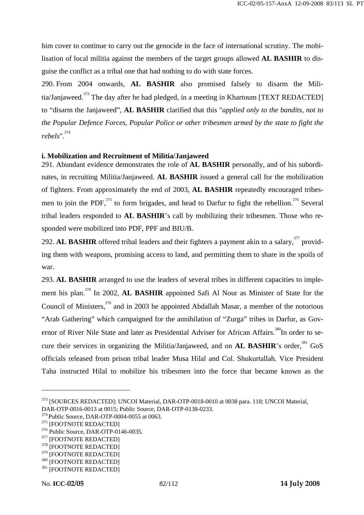him cover to continue to carry out the genocide in the face of international scrutiny. The mobilisation of local militia against the members of the target groups allowed **AL BASHIR** to disguise the conflict as a tribal one that had nothing to do with state forces.

290. From 2004 onwards, **AL BASHIR** also promised falsely to disarm the Militia/Janjaweed.<sup>373</sup> The day after he had pledged, in a meeting in Khartoum [TEXT REDACTED] to "disarm the Janjaweed", **AL BASHIR** clarified that this "*applied only to the bandits, not to the Popular Defence Forces, Popular Police or other tribesmen armed by the state to fight the rebels*".374

#### **i. Mobilization and Recruitment of Militia/Janjaweed**

291. Abundant evidence demonstrates the role of **AL BASHIR** personally, and of his subordinates, in recruiting Militia/Janjaweed. **AL BASHIR** issued a general call for the mobilization of fighters. From approximately the end of 2003, **AL BASHIR** repeatedly encouraged tribesmen to join the PDF,  $375$  to form brigades, and head to Darfur to fight the rebellion.  $376$  Several tribal leaders responded to **AL BASHIR**'s call by mobilizing their tribesmen. Those who responded were mobilized into PDF, PPF and BIU/B.

292. AL BASHIR offered tribal leaders and their fighters a payment akin to a salary,<sup>377</sup> providing them with weapons, promising access to land, and permitting them to share in the spoils of war.

293. **AL BASHIR** arranged to use the leaders of several tribes in different capacities to implement his plan.378 In 2002, **AL BASHIR** appointed Safi Al Nour as Minister of State for the Council of Ministers,<sup>379</sup> and in 2003 he appointed Abdallah Masar, a member of the notorious "Arab Gathering" which campaigned for the annihilation of "Zurga" tribes in Darfur, as Governor of River Nile State and later as Presidential Adviser for African Affairs.<sup>380</sup>In order to secure their services in organizing the Militia/Janjaweed, and on **AL BASHIR**'s order,<sup>381</sup> GoS officials released from prison tribal leader Musa Hilal and Col. Shukurtallah. Vice President Taha instructed Hilal to mobilize his tribesmen into the force that became known as the

<sup>373 [</sup>SOURCES REDACTED]; UNCOI Material, DAR-OTP-0018-0010 at 0038 para. 118; UNCOI Material, DAR-OTP-0016-0013 at 0015; Public Source, DAR-OTP-0138-0233.

<sup>&</sup>lt;sup>374</sup> Public Source, DAR-OTP-0004-0055 at 0063.<br><sup>375</sup> [FOOTNOTE REDACTED]<br><sup>376</sup> Public Source, DAR-OTP-0146-0035.<br><sup>377</sup> [FOOTNOTE REDACTED]<br><sup>378</sup> [FOOTNOTE REDACTED]

 $\begin{array}{c} 379 \text{ } [\text{FOOTNOTE RED} \\ 380 \text{ } [\text{FOOTNOTE RED} \\ 381 \text{ } [\text{FOOTNOTE RED} \\ \end{array}$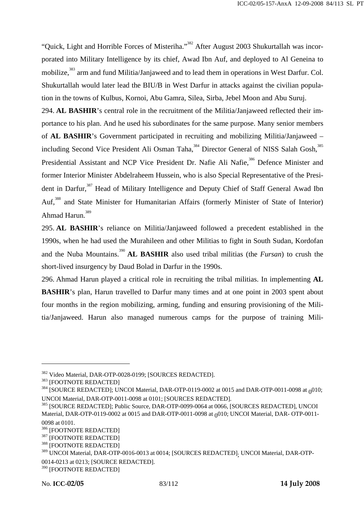"Quick, Light and Horrible Forces of Misteriha."<sup>382</sup> After August 2003 Shukurtallah was incorporated into Military Intelligence by its chief, Awad Ibn Auf, and deployed to Al Geneina to mobilize,<sup>383</sup> arm and fund Militia/Janjaweed and to lead them in operations in West Darfur. Col. Shukurtallah would later lead the BIU/B in West Darfur in attacks against the civilian population in the towns of Kulbus, Kornoi, Abu Gamra, Silea, Sirba, Jebel Moon and Abu Suruj. 294. **AL BASHIR**'s central role in the recruitment of the Militia/Janjaweed reflected their importance to his plan. And he used his subordinates for the same purpose. Many senior members of **AL BASHIR**'s Government participated in recruiting and mobilizing Militia/Janjaweed – including Second Vice President Ali Osman Taha,<sup>384</sup> Director General of NISS Salah Gosh,<sup>385</sup>

Presidential Assistant and NCP Vice President Dr. Nafie Ali Nafie,<sup>386</sup> Defence Minister and former Interior Minister Abdelraheem Hussein, who is also Special Representative of the President in Darfur,<sup>387</sup> Head of Military Intelligence and Deputy Chief of Staff General Awad Ibn Auf,<sup>388</sup> and State Minister for Humanitarian Affairs (formerly Minister of State of Interior) Ahmad Harun.<sup>389</sup>

295. **AL BASHIR**'s reliance on Militia/Janjaweed followed a precedent established in the 1990s, when he had used the Murahileen and other Militias to fight in South Sudan, Kordofan and the Nuba Mountains.<sup>390</sup> **AL BASHIR** also used tribal militias (the *Fursan*) to crush the short-lived insurgency by Daud Bolad in Darfur in the 1990s.

296. Ahmad Harun played a critical role in recruiting the tribal militias. In implementing **AL BASHIR**'s plan, Harun travelled to Darfur many times and at one point in 2003 spent about four months in the region mobilizing, arming, funding and ensuring provisioning of the Militia/Janjaweed. Harun also managed numerous camps for the purpose of training Mili-

<sup>&</sup>lt;sup>382</sup> Video Material, DAR-OTP-0028-0199; [SOURCES REDACTED].<br><sup>383</sup> [FOOTNOTE REDACTED]<br><sup>384</sup> [SOURCE REDACTED]; UNCOI Material, DAR-OTP-0119-0002 at 0015 and DAR-OTP-0011-0098 at <sub>0</sub>010;<br>UNCOI Material, DAR-OTP-0011-0098

<sup>385 [</sup>SOURCE REDACTED]; Public Source, DAR-OTP-0099-0064 at 0066, [SOURCES REDACTED], UNCOI Material, DAR-OTP-0119-0002 at 0015 and DAR-OTP-0011-0098 at 0010; UNCOI Material, DAR-OTP-0011-0098 at 0101.

<sup>&</sup>lt;sup>386</sup> [FOOTNOTE REDACTED]<br><sup>387</sup> [FOOTNOTE REDACTED]<br><sup>388</sup> [FOOTNOTE REDACTED]

<sup>&</sup>lt;sup>389</sup> UNCOI Material, DAR-OTP-0016-0013 at 0014; [SOURCES REDACTED]<sub>;</sub> UNCOI Material, DAR-OTP-0014-0213 at 0213; [SOURCE REDACTED].

<sup>390 [</sup>FOOTNOTE REDACTED]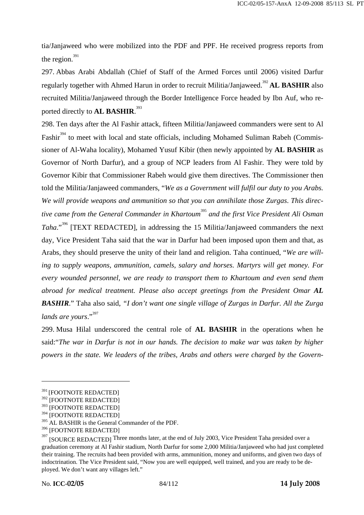tia/Janjaweed who were mobilized into the PDF and PPF. He received progress reports from the region. $391$ 

297. Abbas Arabi Abdallah (Chief of Staff of the Armed Forces until 2006) visited Darfur regularly together with Ahmed Harun in order to recruit Militia/Janjaweed.<sup>392</sup> **AL BASHIR** also recruited Militia/Janjaweed through the Border Intelligence Force headed by Ibn Auf, who reported directly to **AL BASHIR**. 393

298. Ten days after the Al Fashir attack, fifteen Militia/Janjaweed commanders were sent to Al Fashir<sup>394</sup> to meet with local and state officials, including Mohamed Suliman Rabeh (Commissioner of Al-Waha locality), Mohamed Yusuf Kibir (then newly appointed by **AL BASHIR** as Governor of North Darfur), and a group of NCP leaders from Al Fashir. They were told by Governor Kibir that Commissioner Rabeh would give them directives. The Commissioner then told the Militia/Janjaweed commanders, "*We as a Government will fulfil our duty to you Arabs. We will provide weapons and ammunition so that you can annihilate those Zurgas*. *This directive came from the General Commander in Khartoum*<sup>395</sup> *and the first Vice President Ali Osman Taha*."396 [TEXT REDACTED], in addressing the 15 Militia/Janjaweed commanders the next day, Vice President Taha said that the war in Darfur had been imposed upon them and that, as Arabs, they should preserve the unity of their land and religion. Taha continued, "*We are willing to supply weapons, ammunition, camels, salary and horses. Martyrs will get money. For every wounded personnel, we are ready to transport them to Khartoum and even send them abroad for medical treatment. Please also accept greetings from the President Omar AL BASHIR*." Taha also said, *"I don't want one single village of Zurgas in Darfur. All the Zurga*  lands are yours."<sup>397</sup>

299. Musa Hilal underscored the central role of **AL BASHIR** in the operations when he said:"*The war in Darfur is not in our hands. The decision to make war was taken by higher powers in the state. We leaders of the tribes, Arabs and others were charged by the Govern-*

<sup>391 [</sup>FOOTNOTE REDACTED]

<sup>&</sup>lt;sup>392</sup> [FOOTNOTE REDACTED]

<sup>393 [</sup>FOOTNOTE REDACTED]

<sup>394 [</sup>FOOTNOTE REDACTED]

<sup>&</sup>lt;sup>395</sup> AL BASHIR is the General Commander of the PDF.

<sup>396 [</sup>FOOTNOTE REDACTED]

<sup>397</sup> [SOURCE REDACTED] Three months later, at the end of July 2003, Vice President Taha presided over a graduation ceremony at Al Fashir stadium, North Darfur for some 2,000 Militia/Janjaweed who had just completed their training. The recruits had been provided with arms, ammunition, money and uniforms, and given two days of indoctrination. The Vice President said, "Now you are well equipped, well trained, and you are ready to be deployed. We don't want any villages left."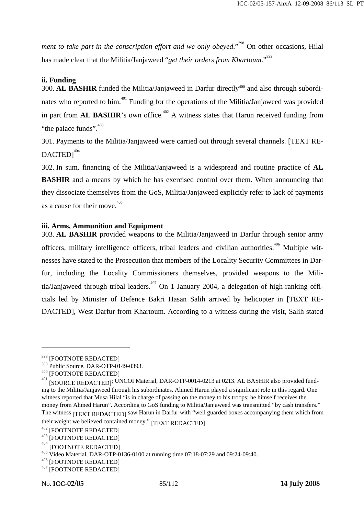*ment to take part in the conscription effort and we only obeyed.*"<sup>398</sup> On other occasions, Hilal has made clear that the Militia/Janjaweed "*get their orders from Khartoum*."<sup>399</sup>

#### **ii. Funding**

300. AL BASHIR funded the Militia/Janjaweed in Darfur directly<sup>400</sup> and also through subordinates who reported to him.<sup>401</sup> Funding for the operations of the Militia/Janjaweed was provided in part from **AL BASHIR**'s own office.<sup> $402$ </sup> A witness states that Harun received funding from "the palace funds". $403$ 

301. Payments to the Militia/Janjaweed were carried out through several channels. [TEXT RE-DACTED1404

302. In sum, financing of the Militia/Janjaweed is a widespread and routine practice of **AL BASHIR** and a means by which he has exercised control over them. When announcing that they dissociate themselves from the GoS, Militia/Janjaweed explicitly refer to lack of payments as a cause for their move.  $405$ 

#### **iii. Arms, Ammunition and Equipment**

303. **AL BASHIR** provided weapons to the Militia/Janjaweed in Darfur through senior army officers, military intelligence officers, tribal leaders and civilian authorities.<sup>406</sup> Multiple witnesses have stated to the Prosecution that members of the Locality Security Committees in Darfur, including the Locality Commissioners themselves, provided weapons to the Militia/Janjaweed through tribal leaders.<sup>407</sup> On 1 January 2004, a delegation of high-ranking officials led by Minister of Defence Bakri Hasan Salih arrived by helicopter in [TEXT RE-DACTED], West Darfur from Khartoum. According to a witness during the visit, Salih stated

<sup>398 [</sup>FOOTNOTE REDACTED]

<sup>&</sup>lt;sup>399</sup> Public Source, DAR-OTP-0149-0393.<br><sup>400</sup> [FOOTNOTE REDACTED]

<sup>&</sup>lt;sup>401</sup> [SOURCE REDACTED]; UNCOI Material, DAR-OTP-0014-0213 at 0213. AL BASHIR also provided funding to the Militia/Janjaweed through his subordinates. Ahmed Harun played a significant role in this regard. One witness reported that Musa Hilal "is in charge of passing on the money to his troops; he himself receives the money from Ahmed Harun". According to GoS funding to Militia/Janjaweed was transmitted "by cash transfers." The witness [TEXT REDACTED] saw Harun in Darfur with "well guarded boxes accompanying them which from their weight we believed contained money." [TEXT REDACTED]<br>
<sup>402</sup> [FOOTNOTE REDACTED]<br>
<sup>403</sup> [FOOTNOTE REDACTED]<br>
<sup>404</sup> [FOOTNOTE REDACTED]

<sup>&</sup>lt;sup>405</sup> Video Material, DAR-OTP-0136-0100 at running time 07:18-07:29 and 09:24-09:40.<br><sup>406</sup> [FOOTNOTE REDACTED]<br><sup>407</sup> [FOOTNOTE REDACTED]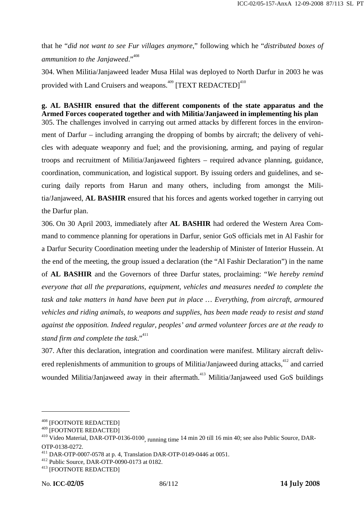that he "*did not want to see Fur villages anymore*," following which he "*distributed boxes of ammunition to the Janjaweed.*"<sup>408</sup>

304. When Militia/Janjaweed leader Musa Hilal was deployed to North Darfur in 2003 he was provided with Land Cruisers and weapons.<sup>409</sup> [TEXT REDACTED]<sup>410</sup>

### **g. AL BASHIR ensured that the different components of the state apparatus and the Armed Forces cooperated together and with Militia/Janjaweed in implementing his plan**

305. The challenges involved in carrying out armed attacks by different forces in the environment of Darfur – including arranging the dropping of bombs by aircraft; the delivery of vehicles with adequate weaponry and fuel; and the provisioning, arming, and paying of regular troops and recruitment of Militia/Janjaweed fighters – required advance planning, guidance, coordination, communication, and logistical support. By issuing orders and guidelines, and securing daily reports from Harun and many others, including from amongst the Militia/Janjaweed, **AL BASHIR** ensured that his forces and agents worked together in carrying out the Darfur plan.

306. On 30 April 2003, immediately after **AL BASHIR** had ordered the Western Area Command to commence planning for operations in Darfur, senior GoS officials met in Al Fashir for a Darfur Security Coordination meeting under the leadership of Minister of Interior Hussein. At the end of the meeting, the group issued a declaration (the "Al Fashir Declaration") in the name of **AL BASHIR** and the Governors of three Darfur states, proclaiming: "*We hereby remind everyone that all the preparations, equipment, vehicles and measures needed to complete the task and take matters in hand have been put in place … Everything, from aircraft, armoured vehicles and riding animals, to weapons and supplies, has been made ready to resist and stand against the opposition. Indeed regular, peoples' and armed volunteer forces are at the ready to stand firm and complete the task*."411

307. After this declaration, integration and coordination were manifest. Military aircraft delivered replenishments of ammunition to groups of Militia/Janjaweed during attacks,<sup>412</sup> and carried wounded Militia/Janjaweed away in their aftermath.<sup>413</sup> Militia/Janjaweed used GoS buildings

<sup>&</sup>lt;sup>408</sup> [FOOTNOTE REDACTED]<br><sup>409</sup> [FOOTNOTE REDACTED]

 $^{410}$  Video Material, DAR-OTP-0136-0100, running time 14 min 20 till 16 min 40; see also Public Source, DAR-OTP-0138-0272.

<sup>&</sup>lt;sup>411</sup> DAR-OTP-0007-0578 at p. 4, Translation DAR-OTP-0149-0446 at 0051.<br><sup>412</sup> Public Source, DAR-OTP-0090-0173 at 0182.<br><sup>413</sup> [FOOTNOTE REDACTED]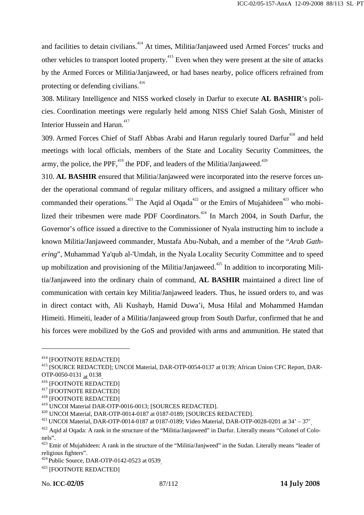and facilities to detain civilians.<sup>414</sup> At times, Militia/Janjaweed used Armed Forces' trucks and other vehicles to transport looted property.<sup>415</sup> Even when they were present at the site of attacks by the Armed Forces or Militia/Janjaweed, or had bases nearby, police officers refrained from protecting or defending civilians.<sup>416</sup>

308. Military Intelligence and NISS worked closely in Darfur to execute **AL BASHIR**'s policies. Coordination meetings were regularly held among NISS Chief Salah Gosh, Minister of Interior Hussein and Harun.<sup>417</sup>

309. Armed Forces Chief of Staff Abbas Arabi and Harun regularly toured Darfur<sup>418</sup> and held meetings with local officials, members of the State and Locality Security Committees, the army, the police, the PPF,  $^{419}$  the PDF, and leaders of the Militia/Janjaweed.<sup> $^{420}$ </sup>

310. **AL BASHIR** ensured that Militia/Janjaweed were incorporated into the reserve forces under the operational command of regular military officers, and assigned a military officer who commanded their operations.<sup>421</sup> The Aqid al Oqada<sup>422</sup> or the Emirs of Mujahideen<sup>423</sup> who mobilized their tribesmen were made PDF Coordinators.<sup>424</sup> In March 2004, in South Darfur, the Governor's office issued a directive to the Commissioner of Nyala instructing him to include a known Militia/Janjaweed commander, Mustafa Abu-Nubah, and a member of the "*Arab Gathering*", Muhammad Ya'qub al-'Umdah, in the Nyala Locality Security Committee and to speed up mobilization and provisioning of the Militia/Janjaweed.<sup> $425$ </sup> In addition to incorporating Militia/Janjaweed into the ordinary chain of command, **AL BASHIR** maintained a direct line of communication with certain key Militia/Janjaweed leaders. Thus, he issued orders to, and was in direct contact with, Ali Kushayb, Hamid Duwa'i, Musa Hilal and Mohammed Hamdan Himeiti. Himeiti, leader of a Militia/Janjaweed group from South Darfur, confirmed that he and his forces were mobilized by the GoS and provided with arms and ammunition. He stated that

<sup>&</sup>lt;sup>414</sup> [FOOTNOTE REDACTED]<br><sup>415</sup> [SOURCE REDACTED]; UNCOI Material, DAR-OTP-0054-0137 at 0139; African Union CFC Report, DAR-

OTP-0050-0131 <sub>at</sub> 0138<sub>.</sub><br><sup>416</sup> [FOOTNOTE REDACTED]<br><sup>417</sup> [FOOTNOTE REDACTED]<br><sup>418</sup> [FOOTNOTE REDACTED]

<sup>&</sup>lt;sup>419</sup> UNCOI Material DAR-OTP-0016-0013; [SOURCES REDACTED].<br><sup>420</sup> UNCOI Material, DAR-OTP-0014-0187 at 0187-0189; [SOURCES REDACTED].<br><sup>421</sup> UNCOI Material, DAR-OTP-0014-0187 at 0187-0189; Video Material, DAR-OTP-0028-0201

<sup>&</sup>lt;sup>422</sup> Agid al Ogada: A rank in the structure of the "Militia/Janjaweed" in Darfur. Literally means "Colonel of Colonels".

 $423$  Emir of Mujahideen: A rank in the structure of the "Militia/Janjweed" in the Sudan. Literally means "leader of religious fighters".

 $424$  Public Source, DAR-OTP-0142-0523 at 0539.<br> $425$  [FOOTNOTE REDACTED]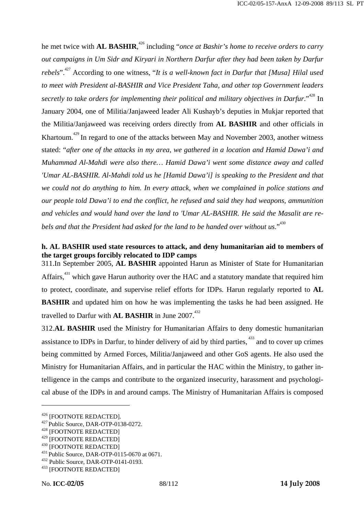he met twice with **AL BASHIR**,<sup>426</sup> including "*once at Bashir's home to receive orders to carry out campaigns in Um Sidr and Kiryari in Northern Darfur after they had been taken by Darfur rebels*".<sup>427</sup> According to one witness, "*It is a well-known fact in Darfur that [Musa] Hilal used to meet with President al-BASHIR and Vice President Taha, and other top Government leaders secretly to take orders for implementing their political and military objectives in Darfur.*"<sup>428</sup> In January 2004, one of Militia/Janjaweed leader Ali Kushayb's deputies in Mukjar reported that the Militia/Janjaweed was receiving orders directly from **AL BASHIR** and other officials in Khartoum.<sup> $429$ </sup> In regard to one of the attacks between May and November 2003, another witness stated: "*after one of the attacks in my area, we gathered in a location and Hamid Dawa'i and Muhammad Al-Mahdi were also there… Hamid Dawa'i went some distance away and called 'Umar AL-BASHIR. Al-Mahdi told us he [Hamid Dawa'i] is speaking to the President and that we could not do anything to him. In every attack, when we complained in police stations and our people told Dawa'i to end the conflict, he refused and said they had weapons, ammunition and vehicles and would hand over the land to 'Umar AL-BASHIR. He said the Masalit are rebels and that the President had asked for the land to be handed over without us.*<sup>430</sup>

### **h. AL BASHIR used state resources to attack, and deny humanitarian aid to members of the target groups forcibly relocated to IDP camps**

311.In September 2005, **AL BASHIR** appointed Harun as Minister of State for Humanitarian Affairs,<sup>431</sup> which gave Harun authority over the HAC and a statutory mandate that required him to protect, coordinate, and supervise relief efforts for IDPs. Harun regularly reported to **AL BASHIR** and updated him on how he was implementing the tasks he had been assigned. He travelled to Darfur with **AL BASHIR** in June 2007.<sup>432</sup>

312.**AL BASHIR** used the Ministry for Humanitarian Affairs to deny domestic humanitarian assistance to IDPs in Darfur, to hinder delivery of aid by third parties, <sup>433</sup> and to cover up crimes being committed by Armed Forces, Militia/Janjaweed and other GoS agents. He also used the Ministry for Humanitarian Affairs, and in particular the HAC within the Ministry, to gather intelligence in the camps and contribute to the organized insecurity, harassment and psychological abuse of the IDPs in and around camps. The Ministry of Humanitarian Affairs is composed

<sup>&</sup>lt;sup>426</sup> [FOOTNOTE REDACTED].<br><sup>427</sup> Public Source, DAR-OTP-0138-0272.<br><sup>428</sup> [FOOTNOTE REDACTED]<br><sup>429</sup> [FOOTNOTE REDACTED]

<sup>&</sup>lt;sup>430</sup> [FOOTNOTE REDACTED]<br><sup>431</sup> Public Source, DAR-OTP-0115-0670 at 0671.<br><sup>432</sup> Public Source, DAR-OTP-0141-0193.<br><sup>433</sup> [FOOTNOTE REDACTED]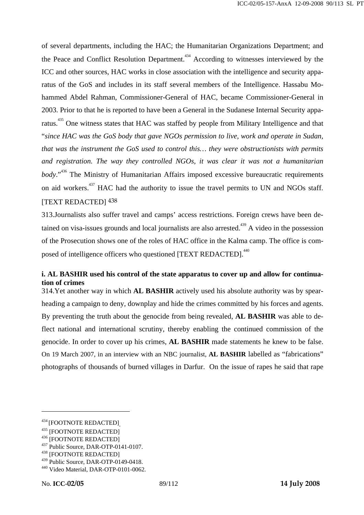of several departments, including the HAC; the Humanitarian Organizations Department; and the Peace and Conflict Resolution Department.<sup>434</sup> According to witnesses interviewed by the ICC and other sources, HAC works in close association with the intelligence and security apparatus of the GoS and includes in its staff several members of the Intelligence. Hassabu Mohammed Abdel Rahman, Commissioner-General of HAC, became Commissioner-General in 2003. Prior to that he is reported to have been a General in the Sudanese Internal Security apparatus.<sup>435</sup> One witness states that HAC was staffed by people from Military Intelligence and that "*since HAC was the GoS body that gave NGOs permission to live, work and operate in Sudan, that was the instrument the GoS used to control this… they were obstructionists with permits and registration. The way they controlled NGOs, it was clear it was not a humanitarian body*."436 The Ministry of Humanitarian Affairs imposed excessive bureaucratic requirements on aid workers.<sup>437</sup> HAC had the authority to issue the travel permits to UN and NGOs staff. [TEXT REDACTED]  $438$ 

313.Journalists also suffer travel and camps' access restrictions. Foreign crews have been detained on visa-issues grounds and local journalists are also arrested.<sup> $439$ </sup> A video in the possession of the Prosecution shows one of the roles of HAC office in the Kalma camp. The office is composed of intelligence officers who questioned [TEXT REDACTED]. $^{440}$ 

### **i. AL BASHIR used his control of the state apparatus to cover up and allow for continuation of crimes**

314.Yet another way in which **AL BASHIR** actively used his absolute authority was by spearheading a campaign to deny, downplay and hide the crimes committed by his forces and agents. By preventing the truth about the genocide from being revealed, **AL BASHIR** was able to deflect national and international scrutiny, thereby enabling the continued commission of the genocide. In order to cover up his crimes, **AL BASHIR** made statements he knew to be false. On 19 March 2007, in an interview with an NBC journalist, **AL BASHIR** labelled as "fabrications" photographs of thousands of burned villages in Darfur. On the issue of rapes he said that rape

<sup>&</sup>lt;sup>434</sup> [FOOTNOTE REDACTED]<br><sup>435</sup> [FOOTNOTE REDACTED]<br><sup>436</sup> [FOOTNOTE REDACTED]<br><sup>437</sup> Public Source, DAR-OTP-0141-0107.<br><sup>438</sup> [FOOTNOTE REDACTED]

<sup>&</sup>lt;sup>439</sup> Public Source, DAR-OTP-0149-0418.<br><sup>440</sup> Video Material, DAR-OTP-0101-0062.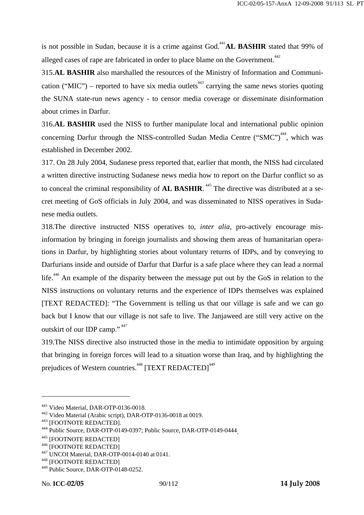is not possible in Sudan, because it is a crime against God.<sup>441</sup>**AL BASHIR** stated that 99% of alleged cases of rape are fabricated in order to place blame on the Government.<sup>442</sup>

315.**AL BASHIR** also marshalled the resources of the Ministry of Information and Communication ("MIC") – reported to have six media outlets<sup> $443$ </sup> carrying the same news stories quoting the SUNA state-run news agency - to censor media coverage or disseminate disinformation about crimes in Darfur.

316.**AL BASHIR** used the NISS to further manipulate local and international public opinion concerning Darfur through the NISS-controlled Sudan Media Centre ("SMC")<sup> $^{444}$ </sup>, which was established in December 2002.

317. On 28 July 2004, Sudanese press reported that, earlier that month, the NISS had circulated a written directive instructing Sudanese news media how to report on the Darfur conflict so as to conceal the criminal responsibility of **AL BASHIR**.<sup>445</sup> The directive was distributed at a secret meeting of GoS officials in July 2004, and was disseminated to NISS operatives in Sudanese media outlets.

318.The directive instructed NISS operatives to, *inter alia,* pro-actively encourage misinformation by bringing in foreign journalists and showing them areas of humanitarian operations in Darfur, by highlighting stories about voluntary returns of IDPs, and by conveying to Darfurians inside and outside of Darfur that Darfur is a safe place where they can lead a normal life.<sup>446</sup> An example of the disparity between the message put out by the GoS in relation to the NISS instructions on voluntary returns and the experience of IDPs themselves was explained [TEXT REDACTED]: "The Government is telling us that our village is safe and we can go back but I know that our village is not safe to live. The Janjaweed are still very active on the outskirt of our IDP camp." <sup>447</sup>

319.The NISS directive also instructed those in the media to intimidate opposition by arguing that bringing in foreign forces will lead to a situation worse than Iraq, and by highlighting the prejudices of Western countries.<sup>448</sup> [TEXT REDACTED]<sup>449</sup>

<sup>&</sup>lt;sup>441</sup> Video Material, DAR-OTP-0136-0018.<br><sup>442</sup> Video Material (Arabic script), DAR-OTP-0136-0018 at 0019.<br><sup>443</sup> [FOOTNOTE REDACTED].<br><sup>444</sup> Public Source, DAR-OTP-0149-0397; Public Source, DAR-OTP-0149-0444<sub>.</sub><br><sup>445</sup> [FOOTN

<sup>449</sup> Public Source, DAR-OTP-0148-0252.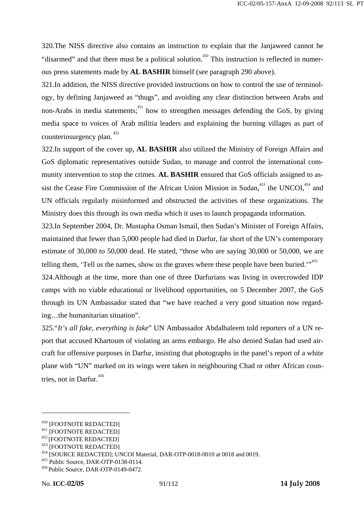320.The NISS directive also contains an instruction to explain that the Janjaweed cannot be "disarmed" and that there must be a political solution.<sup>450</sup> This instruction is reflected in numerous press statements made by **AL BASHIR** himself (see paragraph 290 above).

321.In addition, the NISS directive provided instructions on how to control the use of terminology, by defining Janjaweed as "thugs", and avoiding any clear distinction between Arabs and non-Arabs in media statements;  $451$  how to strengthen messages defending the GoS, by giving media space to voices of Arab militia leaders and explaining the burning villages as part of counterinsurgency plan.<sup>452</sup>

322.In support of the cover up, **AL BASHIR** also utilized the Ministry of Foreign Affairs and GoS diplomatic representatives outside Sudan, to manage and control the international community intervention to stop the crimes. **AL BASHIR** ensured that GoS officials assigned to assist the Cease Fire Commission of the African Union Mission in Sudan,  $453$  the UNCOI,  $454$  and UN officials regularly misinformed and obstructed the activities of these organizations. The Ministry does this through its own media which it uses to launch propaganda information.

323.In September 2004, Dr. Mustapha Osman Ismail, then Sudan's Minister of Foreign Affairs, maintained that fewer than 5,000 people had died in Darfur, far short of the UN's contemporary estimate of 30,000 to 50,000 dead. He stated, "those who are saying 30,000 or 50,000, we are telling them, 'Tell us the names, show us the graves where these people have been buried.' $1^{1.455}$ 

324.Although at the time, more than one of three Darfurians was living in overcrowded IDP camps with no viable educational or livelihood opportunities, on 5 December 2007, the GoS through its UN Ambassador stated that "we have reached a very good situation now regarding…the humanitarian situation".

325."*It's all fake, everything is fake*" UN Ambassador Abdalhaleem told reporters of a UN report that accused Khartoum of violating an arms embargo. He also denied Sudan had used aircraft for offensive purposes in Darfur, insisting that photographs in the panel's report of a white plane with "UN" marked on its wings were taken in neighbouring Chad or other African countries, not in Darfur.<sup>456</sup>

<sup>&</sup>lt;sup>451</sup> [FOOTNOTE REDACTED]<br><sup>451</sup> [FOOTNOTE REDACTED]<br><sup>452</sup> [FOOTNOTE REDACTED]<br><sup>452</sup> [FOOTNOTE REDACTED]<br><sup>454</sup> [SOURCE REDACTED]; UNCOI Material, DAR-OTP-0018-0010 at 0018 and 0019.<br><sup>455</sup> Public Source, DAR-OTP-0138-0114.<br>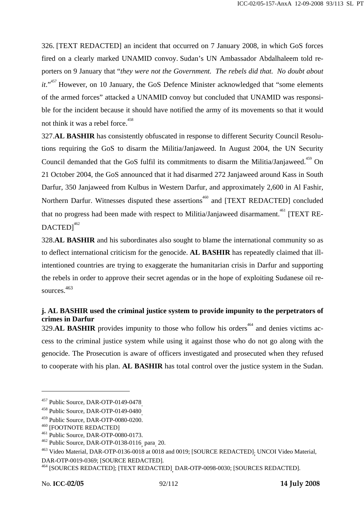326. [TEXT REDACTED] an incident that occurred on 7 January 2008, in which GoS forces fired on a clearly marked UNAMID convoy. Sudan's UN Ambassador Abdalhaleem told reporters on 9 January that "*they were not the Government. The rebels did that. No doubt about it.*"<sup>457</sup> However, on 10 January, the GoS Defence Minister acknowledged that "some elements of the armed forces" attacked a UNAMID convoy but concluded that UNAMID was responsible for the incident because it should have notified the army of its movements so that it would not think it was a rebel force.<sup>458</sup>

327.**AL BASHIR** has consistently obfuscated in response to different Security Council Resolutions requiring the GoS to disarm the Militia/Janjaweed. In August 2004, the UN Security Council demanded that the GoS fulfil its commitments to disarm the Militia/Janjaweed.<sup>459</sup> On 21 October 2004, the GoS announced that it had disarmed 272 Janjaweed around Kass in South Darfur, 350 Janjaweed from Kulbus in Western Darfur, and approximately 2,600 in Al Fashir, Northern Darfur. Witnesses disputed these assertions<sup>460</sup> and [TEXT REDACTED] concluded that no progress had been made with respect to Militia/Janjaweed disarmament.<sup>461</sup> [TEXT RE- $DACTED1<sup>462</sup>$ 

328.**AL BASHIR** and his subordinates also sought to blame the international community so as to deflect international criticism for the genocide. **AL BASHIR** has repeatedly claimed that illintentioned countries are trying to exaggerate the humanitarian crisis in Darfur and supporting the rebels in order to approve their secret agendas or in the hope of exploiting Sudanese oil resources<sup>463</sup>

### **j. AL BASHIR used the criminal justice system to provide impunity to the perpetrators of crimes in Darfur**

329.AL BASHIR provides impunity to those who follow his orders<sup>464</sup> and denies victims access to the criminal justice system while using it against those who do not go along with the genocide. The Prosecution is aware of officers investigated and prosecuted when they refused to cooperate with his plan. **AL BASHIR** has total control over the justice system in the Sudan.

DAR-OTP-0019-0369; [SOURCE REDACTED].

<sup>&</sup>lt;sup>457</sup> Public Source, DAR-OTP-0149-0478<sub>.</sub><br><sup>458</sup> Public Source, DAR-OTP-0149-0480<sub>.</sub><br><sup>459</sup> Public Source, DAR-OTP-0080-0200.<br><sup>460</sup> [FOOTNOTE REDACTED]<br><sup>461</sup> Public Source, DAR-OTP-0080-0173.<br><sup>462</sup> Public Source, DAR-OTP-013

<sup>&</sup>lt;sup>463</sup> Video Material, DAR-OTP-0136-0018 at 0018 and 0019; [SOURCE REDACTED]<sub>;</sub> UNCOI Video Material,

<sup>464 [</sup>SOURCES REDACTED]; [TEXT REDACTED], DAR-OTP-0098-0030; [SOURCES REDACTED].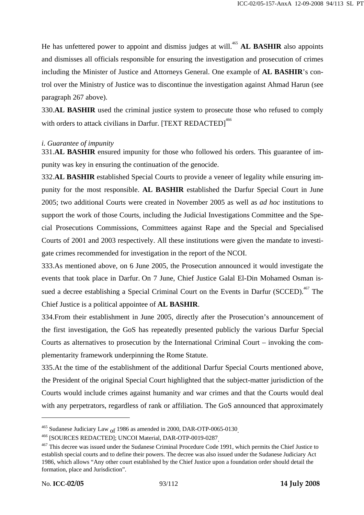He has unfettered power to appoint and dismiss judges at will.<sup>465</sup> **AL BASHIR** also appoints and dismisses all officials responsible for ensuring the investigation and prosecution of crimes including the Minister of Justice and Attorneys General. One example of **AL BASHIR**'s control over the Ministry of Justice was to discontinue the investigation against Ahmad Harun (see paragraph 267 above).

330.**AL BASHIR** used the criminal justice system to prosecute those who refused to comply with orders to attack civilians in Darfur. [TEXT REDACTED]<sup>466</sup>

#### *i. Guarantee of impunity*

331.**AL BASHIR** ensured impunity for those who followed his orders. This guarantee of impunity was key in ensuring the continuation of the genocide.

332.**AL BASHIR** established Special Courts to provide a veneer of legality while ensuring impunity for the most responsible. **AL BASHIR** established the Darfur Special Court in June 2005; two additional Courts were created in November 2005 as well as *ad hoc* institutions to support the work of those Courts, including the Judicial Investigations Committee and the Special Prosecutions Commissions, Committees against Rape and the Special and Specialised Courts of 2001 and 2003 respectively. All these institutions were given the mandate to investigate crimes recommended for investigation in the report of the NCOI.

333.As mentioned above, on 6 June 2005, the Prosecution announced it would investigate the events that took place in Darfur. On 7 June, Chief Justice Galal El-Din Mohamed Osman issued a decree establishing a Special Criminal Court on the Events in Darfur (SCCED).<sup>467</sup> The Chief Justice is a political appointee of **AL BASHIR**.

334.From their establishment in June 2005, directly after the Prosecution's announcement of the first investigation, the GoS has repeatedly presented publicly the various Darfur Special Courts as alternatives to prosecution by the International Criminal Court – invoking the complementarity framework underpinning the Rome Statute.

335.At the time of the establishment of the additional Darfur Special Courts mentioned above, the President of the original Special Court highlighted that the subject-matter jurisdiction of the Courts would include crimes against humanity and war crimes and that the Courts would deal with any perpetrators, regardless of rank or affiliation. The GoS announced that approximately

<sup>&</sup>lt;sup>465</sup> Sudanese Judiciary Law <sub>of</sub> 1986 as amended in 2000, DAR-OTP-0065-0130<sub>.</sub><br><sup>466</sup> [SOURCES REDACTED]; UNCOI Material, DAR-OTP-0019-0287<sub>]</sub><br><sup>467</sup> This decree was issued under the Sudanese Criminal Procedure Code 1991, establish special courts and to define their powers. The decree was also issued under the Sudanese Judiciary Act 1986, which allows "Any other court established by the Chief Justice upon a foundation order should detail the formation, place and Jurisdiction".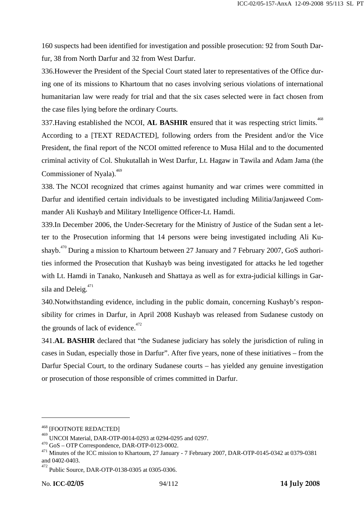160 suspects had been identified for investigation and possible prosecution: 92 from South Darfur, 38 from North Darfur and 32 from West Darfur.

336.However the President of the Special Court stated later to representatives of the Office during one of its missions to Khartoum that no cases involving serious violations of international humanitarian law were ready for trial and that the six cases selected were in fact chosen from the case files lying before the ordinary Courts.

337. Having established the NCOI, AL BASHIR ensured that it was respecting strict limits.<sup>468</sup> According to a [TEXT REDACTED], following orders from the President and/or the Vice President, the final report of the NCOI omitted reference to Musa Hilal and to the documented criminal activity of Col. Shukutallah in West Darfur, Lt. Hagaw in Tawila and Adam Jama (the Commissioner of Nyala). $469$ 

338. The NCOI recognized that crimes against humanity and war crimes were committed in Darfur and identified certain individuals to be investigated including Militia/Janjaweed Commander Ali Kushayb and Military Intelligence Officer-Lt. Hamdi.

339.In December 2006, the Under-Secretary for the Ministry of Justice of the Sudan sent a letter to the Prosecution informing that 14 persons were being investigated including Ali Kushayb.<sup>470</sup> During a mission to Khartoum between 27 January and 7 February 2007, GoS authorities informed the Prosecution that Kushayb was being investigated for attacks he led together with Lt. Hamdi in Tanako, Nankuseh and Shattaya as well as for extra-judicial killings in Garsila and Deleig. $471$ 

340.Notwithstanding evidence, including in the public domain, concerning Kushayb's responsibility for crimes in Darfur, in April 2008 Kushayb was released from Sudanese custody on the grounds of lack of evidence.<sup>472</sup>

341.**AL BASHIR** declared that "the Sudanese judiciary has solely the jurisdiction of ruling in cases in Sudan, especially those in Darfur". After five years, none of these initiatives – from the Darfur Special Court, to the ordinary Sudanese courts – has yielded any genuine investigation or prosecution of those responsible of crimes committed in Darfur.

<sup>468 [</sup>FOOTNOTE REDACTED]

<sup>469&</sup>lt;br>UNCOI Material, DAR-OTP-0014-0293 at 0294-0295 and 0297.

<sup>&</sup>lt;sup>470</sup> GoS – OTP Correspondence, DAR-OTP-0123-0002.<br><sup>471</sup> Minutes of the ICC mission to Khartoum, 27 January - 7 February 2007, DAR-OTP-0145-0342 at 0379-0381 and 0402-0403.

<sup>472</sup> Public Source, DAR-OTP-0138-0305 at 0305-0306.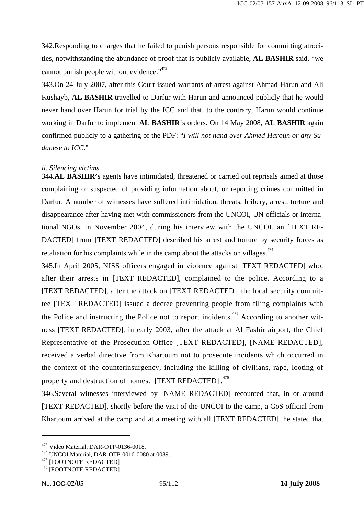342.Responding to charges that he failed to punish persons responsible for committing atrocities, notwithstanding the abundance of proof that is publicly available, **AL BASHIR** said, "we cannot punish people without evidence."<sup>473</sup>

343.On 24 July 2007, after this Court issued warrants of arrest against Ahmad Harun and Ali Kushayb, **AL BASHIR** travelled to Darfur with Harun and announced publicly that he would never hand over Harun for trial by the ICC and that, to the contrary, Harun would continue working in Darfur to implement **AL BASHIR**'s orders. On 14 May 2008, **AL BASHIR** again confirmed publicly to a gathering of the PDF: "*I will not hand over Ahmed Haroun or any Sudanese to ICC*."

### *ii. Silencing victims*

344.**AL BASHIR'**s agents have intimidated, threatened or carried out reprisals aimed at those complaining or suspected of providing information about, or reporting crimes committed in Darfur. A number of witnesses have suffered intimidation, threats, bribery, arrest, torture and disappearance after having met with commissioners from the UNCOI, UN officials or international NGOs. In November 2004, during his interview with the UNCOI, an [TEXT RE-DACTED] from [TEXT REDACTED] described his arrest and torture by security forces as retaliation for his complaints while in the camp about the attacks on villages. $474$ 

345.In April 2005, NISS officers engaged in violence against [TEXT REDACTED] who, after their arrests in [TEXT REDACTED], complained to the police. According to a [TEXT REDACTED], after the attack on [TEXT REDACTED], the local security committee [TEXT REDACTED] issued a decree preventing people from filing complaints with the Police and instructing the Police not to report incidents.<sup> $475$ </sup> According to another witness [TEXT REDACTED], in early 2003, after the attack at Al Fashir airport, the Chief Representative of the Prosecution Office [TEXT REDACTED], [NAME REDACTED], received a verbal directive from Khartoum not to prosecute incidents which occurred in the context of the counterinsurgency, including the killing of civilians, rape, looting of property and destruction of homes. [TEXT REDACTED].<sup>476</sup>

346.Several witnesses interviewed by [NAME REDACTED] recounted that, in or around [TEXT REDACTED], shortly before the visit of the UNCOI to the camp, a GoS official from Khartoum arrived at the camp and at a meeting with all [TEXT REDACTED], he stated that

<sup>&</sup>lt;sup>473</sup> Video Material, DAR-OTP-0136-0018.<br><sup>474</sup> UNCOI Material, DAR-OTP-0016-0080 at 0089.<br><sup>475</sup> [FOOTNOTE REDACTED]<br><sup>476</sup> [FOOTNOTE REDACTED]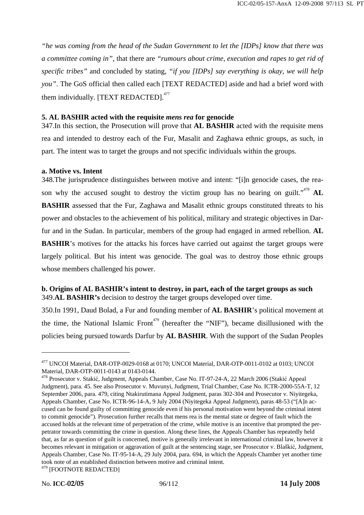*"he was coming from the head of the Sudan Government to let the [IDPs] know that there was a committee coming in"*, that there are *"rumours about crime, execution and rapes to get rid of specific tribes"* and concluded by stating, *"if you [IDPs] say everything is okay, we will help you*". The GoS official then called each [TEXT REDACTED] aside and had a brief word with them individually. [TEXT REDACTED].<sup>477</sup>

#### **5. AL BASHIR acted with the requisite** *mens rea* **for genocide**

347.In this section, the Prosecution will prove that **AL BASHIR** acted with the requisite mens rea and intended to destroy each of the Fur, Masalit and Zaghawa ethnic groups, as such, in part. The intent was to target the groups and not specific individuals within the groups.

### **a. Motive vs. Intent**

348.The jurisprudence distinguishes between motive and intent: "[i]n genocide cases, the reason why the accused sought to destroy the victim group has no bearing on guilt."<sup>478</sup> AL **BASHIR** assessed that the Fur, Zaghawa and Masalit ethnic groups constituted threats to his power and obstacles to the achievement of his political, military and strategic objectives in Darfur and in the Sudan. In particular, members of the group had engaged in armed rebellion. **AL BASHIR**'s motives for the attacks his forces have carried out against the target groups were largely political. But his intent was genocide. The goal was to destroy those ethnic groups whose members challenged his power.

### **b. Origins of AL BASHIR's intent to destroy, in part, each of the target groups as such**  349.**AL BASHIR's** decision to destroy the target groups developed over time.

350.In 1991, Daud Bolad, a Fur and founding member of **AL BASHIR**'s political movement at the time, the National Islamic  $Front^{479}$  (hereafter the "NIF"), became disillusioned with the policies being pursued towards Darfur by **AL BASHIR**. With the support of the Sudan Peoples

<sup>477</sup> UNCOI Material, DAR-OTP-0029-0168 at 0170; UNCOI Material, DAR-OTP-0011-0102 at 0103; UNCOI Material, DAR-OTP-0011-0143 at 0143-0144.

<sup>478</sup> Prosecutor v. Stakić, Judgment, Appeals Chamber, Case No. IT-97-24-A, 22 March 2006 (Stakić Appeal Judgment), para. 45. See also Prosecutor v. Muvunyi, Judgment, Trial Chamber, Case No. ICTR-2000-55A-T, 12 September 2006, para. 479, citing Ntakirutimana Appeal Judgment, paras 302-304 and Prosecutor v. Niyitegeka, Appeals Chamber, Case No. ICTR-96-14-A, 9 July 2004 (Niyitegeka Appeal Judgment), paras 48-53 ("[A]n accused can be found guilty of committing genocide even if his personal motivation went beyond the criminal intent to commit genocide"). Prosecution further recalls that mens rea is the mental state or degree of fault which the accused holds at the relevant time of perpetration of the crime, while motive is an incentive that prompted the perpetrator towards committing the crime in question. Along these lines, the Appeals Chamber has repeatedly held that, as far as question of guilt is concerned, motive is generally irrelevant in international criminal law, however it becomes relevant in mitigation or aggravation of guilt at the sentencing stage, see Prosecutor v. Blaškić, Judgment, Appeals Chamber, Case No. IT-95-14-A, 29 July 2004, para. 694, in which the Appeals Chamber yet another time took note of an established distinction between motive and criminal intent. 479 [FOOTNOTE REDACTED]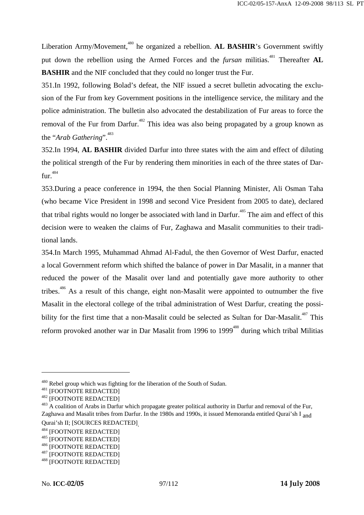Liberation Army/Movement,<sup>480</sup> he organized a rebellion. **AL BASHIR**'s Government swiftly put down the rebellion using the Armed Forces and the *fursan* militias.<sup>481</sup> Thereafter AL **BASHIR** and the NIF concluded that they could no longer trust the Fur.

351.In 1992, following Bolad's defeat, the NIF issued a secret bulletin advocating the exclusion of the Fur from key Government positions in the intelligence service, the military and the police administration. The bulletin also advocated the destabilization of Fur areas to force the removal of the Fur from Darfur.<sup>482</sup> This idea was also being propagated by a group known as the "*Arab Gathering*".<sup>483</sup>

352.In 1994, **AL BASHIR** divided Darfur into three states with the aim and effect of diluting the political strength of the Fur by rendering them minorities in each of the three states of Dar $fur<sup>.484</sup>$ 

353.During a peace conference in 1994, the then Social Planning Minister, Ali Osman Taha (who became Vice President in 1998 and second Vice President from 2005 to date), declared that tribal rights would no longer be associated with land in Darfur.<sup>485</sup> The aim and effect of this decision were to weaken the claims of Fur, Zaghawa and Masalit communities to their traditional lands.

354.In March 1995, Muhammad Ahmad Al-Fadul, the then Governor of West Darfur, enacted a local Government reform which shifted the balance of power in Dar Masalit, in a manner that reduced the power of the Masalit over land and potentially gave more authority to other tribes.<sup>486</sup> As a result of this change, eight non-Masalit were appointed to outnumber the five Masalit in the electoral college of the tribal administration of West Darfur, creating the possibility for the first time that a non-Masalit could be selected as Sultan for Dar-Masalit.<sup>487</sup> This reform provoked another war in Dar Masalit from 1996 to 1999<sup>488</sup> during which tribal Militias

<sup>&</sup>lt;sup>480</sup> Rebel group which was fighting for the liberation of the South of Sudan.<br><sup>481</sup> [FOOTNOTE REDACTED]<br><sup>482</sup> [FOOTNOTE REDACTED]<br><sup>482</sup> [FOOTNOTE REDACTED]<br><sup>483</sup> A coalition of Arabs in Darfur which propagate greater pol Zaghawa and Masalit tribes from Darfur. In the 1980s and 1990s, it issued Memoranda entitled Qurai'sh I and Qurai'sh II; [SOURCES REDACTED]<br><sup>484</sup> [FOOTNOTE REDACTED]<br><sup>485</sup> [FOOTNOTE REDACTED]<br><sup>486</sup> [FOOTNOTE REDACTED]<br><sup>487</sup> [FOOTNOTE REDACTED]<br><sup>488</sup> [FOOTNOTE REDACTED]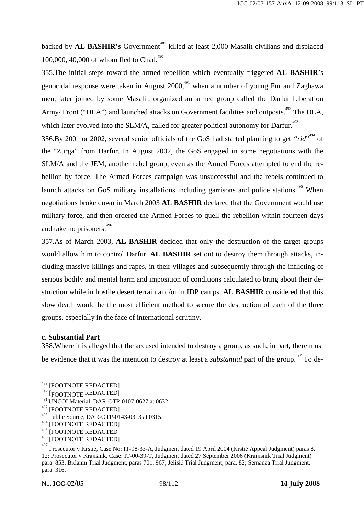backed by **AL BASHIR's** Government<sup>489</sup> killed at least 2,000 Masalit civilians and displaced 100,000, 40,000 of whom fled to Chad.<sup>490</sup>

355.The initial steps toward the armed rebellion which eventually triggered **AL BASHIR**'s genocidal response were taken in August  $2000$ ,  $491$  when a number of young Fur and Zaghawa men, later joined by some Masalit, organized an armed group called the Darfur Liberation Army/ Front ("DLA") and launched attacks on Government facilities and outposts.<sup> $492$ </sup> The DLA, which later evolved into the SLM/A, called for greater political autonomy for Darfur.<sup>493</sup>

356.By 2001 or 2002, several senior officials of the GoS had started planning to get "rid"<sup>494</sup> of the "Zurga" from Darfur. In August 2002, the GoS engaged in some negotiations with the SLM/A and the JEM, another rebel group, even as the Armed Forces attempted to end the rebellion by force. The Armed Forces campaign was unsuccessful and the rebels continued to launch attacks on GoS military installations including garrisons and police stations.<sup>495</sup> When negotiations broke down in March 2003 **AL BASHIR** declared that the Government would use military force, and then ordered the Armed Forces to quell the rebellion within fourteen days and take no prisoners.<sup>496</sup>

357.As of March 2003, **AL BASHIR** decided that only the destruction of the target groups would allow him to control Darfur. **AL BASHIR** set out to destroy them through attacks, including massive killings and rapes, in their villages and subsequently through the inflicting of serious bodily and mental harm and imposition of conditions calculated to bring about their destruction while in hostile desert terrain and/or in IDP camps. **AL BASHIR** considered that this slow death would be the most efficient method to secure the destruction of each of the three groups, especially in the face of international scrutiny.

#### **c. Substantial Part**

 $\overline{a}$ 

358.Where it is alleged that the accused intended to destroy a group, as such, in part, there must be evidence that it was the intention to destroy at least a *substantial* part of the group.<sup>497</sup> To de-

<sup>489 [</sup>FOOTNOTE REDACTED]

<sup>&</sup>lt;sup>490</sup> [FOOTNOTE REDACTED]

<sup>491</sup> UNCOI Material, DAR-OTP-0107-0627 at 0632.

<sup>492 [</sup>FOOTNOTE REDACTED]

<sup>493</sup> Public Source, DAR-OTP-0143-0313 at 0315.

<sup>494 [</sup>FOOTNOTE REDACTED]

<sup>495 [</sup>FOOTNOTE REDACTED

<sup>496 [</sup>FOOTNOTE REDACTED]

<sup>497</sup> Prosecutor v Krstić, Case No: IT-98-33-A, Judgment dated 19 April 2004 (Krstić Appeal Judgment) paras 8, 12; Prosecutor v Krajišnik, Case: IT-00-39-T, Judgment dated 27 September 2006 (Kraijisnik Trial Judgment) para. 853, Brđanin Trial Judgment, paras 701, 967; Jelisić Trial Judgment, para. 82; Semanza Trial Judgment, para. 316.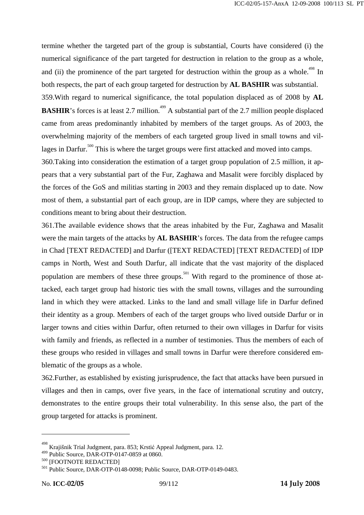termine whether the targeted part of the group is substantial, Courts have considered (i) the numerical significance of the part targeted for destruction in relation to the group as a whole, and (ii) the prominence of the part targeted for destruction within the group as a whole.<sup>498</sup> In both respects, the part of each group targeted for destruction by **AL BASHIR** was substantial. 359.With regard to numerical significance, the total population displaced as of 2008 by **AL** 

**BASHIR**'s forces is at least 2.7 million.<sup>499</sup> A substantial part of the 2.7 million people displaced came from areas predominantly inhabited by members of the target groups. As of 2003, the overwhelming majority of the members of each targeted group lived in small towns and villages in Darfur.<sup>500</sup> This is where the target groups were first attacked and moved into camps.

360.Taking into consideration the estimation of a target group population of 2.5 million, it appears that a very substantial part of the Fur, Zaghawa and Masalit were forcibly displaced by the forces of the GoS and militias starting in 2003 and they remain displaced up to date. Now most of them, a substantial part of each group, are in IDP camps, where they are subjected to conditions meant to bring about their destruction.

361.The available evidence shows that the areas inhabited by the Fur, Zaghawa and Masalit were the main targets of the attacks by **AL BASHIR**'s forces. The data from the refugee camps in Chad [TEXT REDACTED] and Darfur ([TEXT REDACTED] [TEXT REDACTED] of IDP camps in North, West and South Darfur, all indicate that the vast majority of the displaced population are members of these three groups.<sup>501</sup> With regard to the prominence of those attacked, each target group had historic ties with the small towns, villages and the surrounding land in which they were attacked. Links to the land and small village life in Darfur defined their identity as a group. Members of each of the target groups who lived outside Darfur or in larger towns and cities within Darfur, often returned to their own villages in Darfur for visits with family and friends, as reflected in a number of testimonies. Thus the members of each of these groups who resided in villages and small towns in Darfur were therefore considered emblematic of the groups as a whole.

362.Further, as established by existing jurisprudence, the fact that attacks have been pursued in villages and then in camps, over five years, in the face of international scrutiny and outcry, demonstrates to the entire groups their total vulnerability. In this sense also, the part of the group targeted for attacks is prominent.

<sup>498</sup> <sup>498</sup> Krajišnik Trial Judgment, para. 853; Krstić Appeal Judgment, para. 12.<br><sup>499</sup> Public Source, DAR-OTP-0147-0859 at 0860.

 $^{500}$  [FOOTNOTE REDACTED]<br> $^{501}$  Public Source, DAR-OTP-0148-0098; Public Source, DAR-OTP-0149-0483.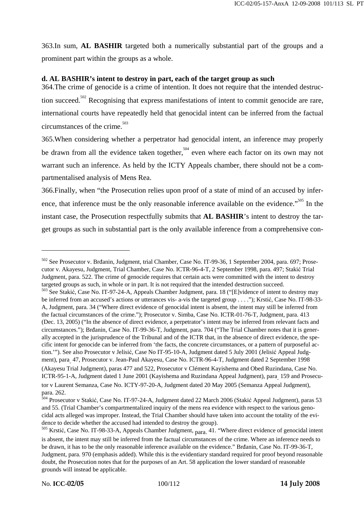363.In sum, **AL BASHIR** targeted both a numerically substantial part of the groups and a prominent part within the groups as a whole.

#### **d. AL BASHIR's intent to destroy in part, each of the target group as such**

364.The crime of genocide is a crime of intention. It does not require that the intended destruction succeed.<sup>502</sup> Recognising that express manifestations of intent to commit genocide are rare, international courts have repeatedly held that genocidal intent can be inferred from the factual circumstances of the crime.<sup>503</sup>

365.When considering whether a perpetrator had genocidal intent, an inference may properly be drawn from all the evidence taken together, <sup>504</sup> even where each factor on its own may not warrant such an inference. As held by the ICTY Appeals chamber, there should not be a compartmentalised analysis of Mens Rea.

366.Finally, when "the Prosecution relies upon proof of a state of mind of an accused by inference, that inference must be the only reasonable inference available on the evidence."<sup>505</sup> In the instant case, the Prosecution respectfully submits that **AL BASHIR**'s intent to destroy the target groups as such in substantial part is the only available inference from a comprehensive con-

<sup>502</sup> See Prosecutor v. Brđanin, Judgment, trial Chamber, Case No. IT-99-36, 1 September 2004, para. 697; Prosecutor v. Akayesu, Judgment, Trial Chamber, Case No. ICTR-96-4-T, 2 September 1998, para. 497; Stakić Trial Judgment, para. 522. The crime of genocide requires that certain acts were committed with the intent to destroy targeted groups as such, in whole or in part. It is not required that the intended destruction succeed.<br><sup>503</sup> See Stakić, Case No. IT-97-24-A, Appeals Chamber Judgment, para. 18 ("[E]vidence of intent to destroy may

be inferred from an accused's actions or utterances vis- a-vis the targeted group . . . ."); Krstić, Case No. IT-98-33- A, Judgment, para. 34 ("Where direct evidence of genocidal intent is absent, the intent may still be inferred from the factual circumstances of the crime."); Prosecutor v. Simba, Case No. ICTR-01-76-T, Judgment, para. 413 (Dec. 13, 2005) ("In the absence of direct evidence, a perpetrator's intent may be inferred from relevant facts and circumstances."); Brđanin, Case No. IT-99-36-T, Judgment, para. 704 ("The Trial Chamber notes that it is generally accepted in the jurisprudence of the Tribunal and of the ICTR that, in the absence of direct evidence, the specific intent for genocide can be inferred from 'the facts, the concrete circumstances, or a pattern of purposeful action.'"). See also Prosecutor v Jelisić, Case No IT-95-10-A, Judgment dated 5 July 2001 (Jelisić Appeal Judgment), para. 47, Prosecutor v. Jean-Paul Akayesu, Case No. ICTR-96-4-T, Judgment dated 2 September 1998 (Akayesu Trial Judgment), paras 477 and 522, Prosecutor v Clément Kayishema and Obed Ruzindana, Case No. ICTR-95-1-A, Judgment dated 1 June 2001 (Kayishema and Ruzindana Appeal Judgment), para. 159 and Prosecutor v Laurent Semanza, Case No. ICTY-97-20-A, Judgment dated 20 May 2005 (Semanza Appeal Judgment), para. 262.

<sup>504</sup> Prosecutor v Stakić, Case No. IT-97-24-A, Judgment dated 22 March 2006 (Stakić Appeal Judgment), paras 53 and 55. (Trial Chamber's compartmentalized inquiry of the mens rea evidence with respect to the various genocidal acts alleged was improper. Instead, the Trial Chamber should have taken into account the totality of the evidence to decide whether the accused had intended to destroy the group).

 $505$  Krstić, Case No. IT-98-33-A, Appeals Chamber Judgment,  $_{\text{para}}$  41. "Where direct evidence of genocidal intent is absent, the intent may still be inferred from the factual circumstances of the crime. Where an inference needs to be drawn, it has to be the only reasonable inference available on the evidence." Brđanin, Case No. IT-99-36-T, Judgment, para. 970 (emphasis added). While this is the evidentiary standard required for proof beyond reasonable doubt, the Prosecution notes that for the purposes of an Art. 58 application the lower standard of reasonable grounds will instead be applicable.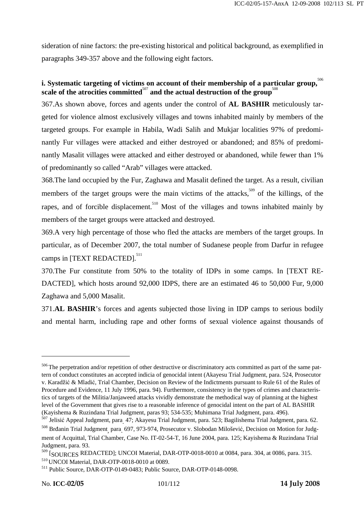sideration of nine factors: the pre-existing historical and political background, as exemplified in paragraphs 349-357 above and the following eight factors.

## **i.** Systematic targeting of victims on account of their membership of a particular group,  $506$ scale of the atrocities committed<sup>507</sup> and the actual destruction of the group<sup>508</sup>

367.As shown above, forces and agents under the control of **AL BASHIR** meticulously targeted for violence almost exclusively villages and towns inhabited mainly by members of the targeted groups. For example in Habila, Wadi Salih and Mukjar localities 97% of predominantly Fur villages were attacked and either destroyed or abandoned; and 85% of predominantly Masalit villages were attacked and either destroyed or abandoned, while fewer than 1% of predominantly so called "Arab" villages were attacked.

368.The land occupied by the Fur, Zaghawa and Masalit defined the target. As a result, civilian members of the target groups were the main victims of the attacks,<sup>509</sup> of the killings, of the rapes, and of forcible displacement.<sup>510</sup> Most of the villages and towns inhabited mainly by members of the target groups were attacked and destroyed.

369.A very high percentage of those who fled the attacks are members of the target groups. In particular, as of December 2007, the total number of Sudanese people from Darfur in refugee camps in [TEXT REDACTED].<sup>511</sup>

370.The Fur constitute from 50% to the totality of IDPs in some camps. In [TEXT RE-DACTED], which hosts around 92,000 IDPS, there are an estimated 46 to 50,000 Fur, 9,000 Zaghawa and 5,000 Masalit.

371.**AL BASHIR**'s forces and agents subjected those living in IDP camps to serious bodily and mental harm, including rape and other forms of sexual violence against thousands of

<sup>&</sup>lt;sup>506</sup> The perpetration and/or repetition of other destructive or discriminatory acts committed as part of the same pattern of conduct constitutes an accepted indicia of genocidal intent (Akayesu Trial Judgment, para. 524, Prosecutor v. Karadžić & Mladić, Trial Chamber, Decision on Review of the Indictments pursuant to Rule 61 of the Rules of Procedure and Evidence, 11 July 1996, para. 94). Furthermore, consistency in the types of crimes and characteristics of targets of the Militia/Janjaweed attacks vividly demonstrate the methodical way of planning at the highest level of the Government that gives rise to a reasonable inference of genocidal intent on the part of AL BASHIR (Kayishema & Ruzindana Trial Judgment, paras 93; 534-535; Muhimana Trial Judgment, para. 496).

<sup>&</sup>lt;sup>507</sup> Jelisić Appeal Judgment, para<sub>.</sub> 47; Akayesu Trial Judgment, para. 523; Bagilishema Trial Judgment, para. 62.

<sup>&</sup>lt;sup>507</sup> Jelisić Appeal Judgment, para<sub>.</sub> 47; Akayesu Trial Judgment, para. 523; Bagilishema Trial Judgment, para. 62.<br><sup>508</sup> Brđanin Trial Judgment<sub>,</sub> para<sub>.</sub> 697, 973-974, Prosecutor v. Slobodan Milošević, Decision on Motion ment of Acquittal, Trial Chamber, Case No. IT-02-54-T, 16 June 2004, para. 125; Kayishema & Ruzindana Trial Judgment, para. 93.

 $^{509}$  [SOURCES REDACTED]; UNCOI Material, DAR-OTP-0018-0010 at 0084, para. 304, at 0086, para. 315.<br> $^{510}$  UNCOI Material, DAR-OTP-0018-0010 at 0089.

 $511$  Public Source, DAR-OTP-0149-0483; Public Source, DAR-OTP-0148-0098.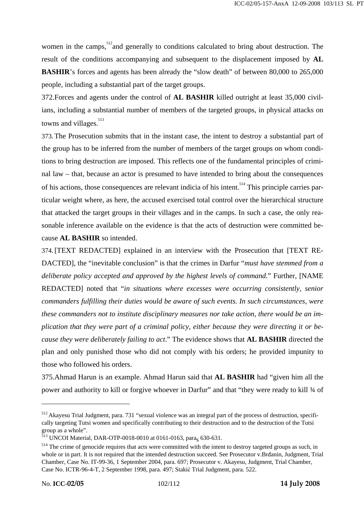women in the camps,  $\frac{512}{2}$  and generally to conditions calculated to bring about destruction. The result of the conditions accompanying and subsequent to the displacement imposed by **AL BASHIR**'s forces and agents has been already the "slow death" of between 80,000 to 265,000 people, including a substantial part of the target groups.

372.Forces and agents under the control of **AL BASHIR** killed outright at least 35,000 civilians, including a substantial number of members of the targeted groups, in physical attacks on towns and villages.<sup>513</sup>

373.The Prosecution submits that in the instant case, the intent to destroy a substantial part of the group has to be inferred from the number of members of the target groups on whom conditions to bring destruction are imposed. This reflects one of the fundamental principles of criminal law – that, because an actor is presumed to have intended to bring about the consequences of his actions, those consequences are relevant indicia of his intent.<sup>514</sup> This principle carries particular weight where, as here, the accused exercised total control over the hierarchical structure that attacked the target groups in their villages and in the camps. In such a case, the only reasonable inference available on the evidence is that the acts of destruction were committed because **AL BASHIR** so intended.

374.[TEXT REDACTED] explained in an interview with the Prosecution that [TEXT RE-DACTED], the "inevitable conclusion" is that the crimes in Darfur "*must have stemmed from a deliberate policy accepted and approved by the highest levels of command*." Further, [NAME REDACTED] noted that "*in situations where excesses were occurring consistently, senior commanders fulfilling their duties would be aware of such events. In such circumstances, were these commanders not to institute disciplinary measures nor take action, there would be an implication that they were part of a criminal policy, either because they were directing it or because they were deliberately failing to act*." The evidence shows that **AL BASHIR** directed the plan and only punished those who did not comply with his orders; he provided impunity to those who followed his orders.

375.Ahmad Harun is an example. Ahmad Harun said that **AL BASHIR** had "given him all the power and authority to kill or forgive whoever in Darfur" and that "they were ready to kill ¾ of

<sup>512</sup> Akayesu Trial Judgment, para. 731 "sexual violence was an integral part of the process of destruction, specifically targeting Tutsi women and specifically contributing to their destruction and to the destruction of the Tutsi group as a whole".

 $^{513}$  UNCOI Material, DAR-OTP-0018-0010 at 0161-0163, para<sub>s</sub> 630-631.

<sup>&</sup>lt;sup>514</sup> The crime of genocide requires that acts were committed with the intent to destroy targeted groups as such, in whole or in part. It is not required that the intended destruction succeed. See Prosecutor v.Brđanin, Judgment, Trial Chamber, Case No. IT-99-36, 1 September 2004, para. 697; Prosecutor v. Akayesu, Judgment, Trial Chamber, Case No. ICTR-96-4-T, 2 September 1998, para. 497; Stakić Trial Judgment, para. 522.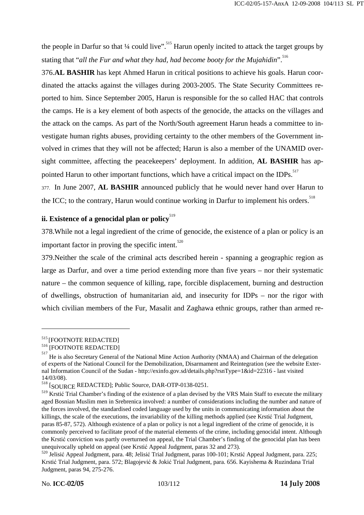the people in Darfur so that  $\frac{1}{4}$  could live".<sup>515</sup> Harun openly incited to attack the target groups by stating that "*all the Fur and what they had, had become booty for the Mujahidin*".<sup>516</sup>

376.**AL BASHIR** has kept Ahmed Harun in critical positions to achieve his goals. Harun coordinated the attacks against the villages during 2003-2005. The State Security Committees reported to him. Since September 2005, Harun is responsible for the so called HAC that controls the camps. He is a key element of both aspects of the genocide, the attacks on the villages and the attack on the camps. As part of the North/South agreement Harun heads a committee to investigate human rights abuses, providing certainty to the other members of the Government involved in crimes that they will not be affected; Harun is also a member of the UNAMID oversight committee, affecting the peacekeepers' deployment. In addition, **AL BASHIR** has appointed Harun to other important functions, which have a critical impact on the IDPs.<sup>517</sup>

377. In June 2007, **AL BASHIR** announced publicly that he would never hand over Harun to the ICC; to the contrary, Harun would continue working in Darfur to implement his orders.<sup>518</sup>

# **ii. Existence of a genocidal plan or policy**<sup>519</sup>

378.While not a legal ingredient of the crime of genocide, the existence of a plan or policy is an important factor in proving the specific intent. $520$ 

379.Neither the scale of the criminal acts described herein - spanning a geographic region as large as Darfur, and over a time period extending more than five years – nor their systematic nature – the common sequence of killing, rape, forcible displacement, burning and destruction of dwellings, obstruction of humanitarian aid, and insecurity for IDPs – nor the rigor with which civilian members of the Fur, Masalit and Zaghawa ethnic groups, rather than armed re-

<sup>&</sup>lt;sup>515</sup> [FOOTNOTE REDACTED]<br><sup>516</sup> [FOOTNOTE REDACTED]

 $^{517}$  He is also Secretary General of the National Mine Action Authority (NMAA) and Chairman of the delegation of experts of the National Council for the Demobilization, Disarmament and Reintegration (see the website External Information Council of the Sudan - http://exinfo.gov.sd/details.php?rsnType=1&id=22316 - last visited 14/03/08).

<sup>518 [</sup>SOURCE REDACTED]; Public Source, DAR-OTP-0138-0251.

<sup>519</sup> Krstić Trial Chamber's finding of the existence of a plan devised by the VRS Main Staff to execute the military aged Bosnian Muslim men in Srebrenica involved: a number of considerations including the number and nature of the forces involved, the standardised coded language used by the units in communicating information about the killings, the scale of the executions, the invariability of the killing methods applied (see Krstić Trial Judgment, paras 85-87, 572). Although existence of a plan or policy is not a legal ingredient of the crime of genocide, it is commonly perceived to facilitate proof of the material elements of the crime, including genocidal intent. Although the Krstić conviction was partly overturned on appeal, the Trial Chamber's finding of the genocidal plan has been unequivocally upheld on appeal (see Krstić Appeal Judgment, paras 32 and 273).<br><sup>520</sup> Jelisić Appeal Judgment, para. 48; Jelisić Trial Judgment, paras 100-101; Krstić Appeal Judgment, para. 225;

Krstić Trial Judgment, para. 572; Blagojević & Jokić Trial Judgment, para. 656. Kayishema & Ruzindana Trial Judgment, paras 94, 275-276.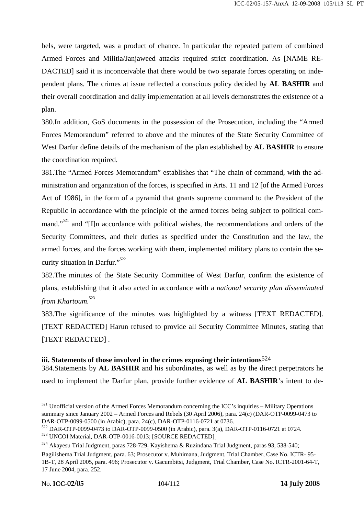bels, were targeted, was a product of chance. In particular the repeated pattern of combined Armed Forces and Militia/Janjaweed attacks required strict coordination. As [NAME RE-DACTED] said it is inconceivable that there would be two separate forces operating on independent plans. The crimes at issue reflected a conscious policy decided by **AL BASHIR** and their overall coordination and daily implementation at all levels demonstrates the existence of a plan.

380.In addition, GoS documents in the possession of the Prosecution, including the "Armed Forces Memorandum" referred to above and the minutes of the State Security Committee of West Darfur define details of the mechanism of the plan established by **AL BASHIR** to ensure the coordination required.

381.The "Armed Forces Memorandum" establishes that "The chain of command, with the administration and organization of the forces, is specified in Arts. 11 and 12 [of the Armed Forces Act of 1986], in the form of a pyramid that grants supreme command to the President of the Republic in accordance with the principle of the armed forces being subject to political command."<sup>521</sup> and "[I]n accordance with political wishes, the recommendations and orders of the Security Committees, and their duties as specified under the Constitution and the law, the armed forces, and the forces working with them, implemented military plans to contain the security situation in Darfur."<sup>522</sup>

382.The minutes of the State Security Committee of West Darfur, confirm the existence of plans, establishing that it also acted in accordance with a *national security plan disseminated from Khartoum.*<sup>523</sup>

383.The significance of the minutes was highlighted by a witness [TEXT REDACTED]. [TEXT REDACTED] Harun refused to provide all Security Committee Minutes, stating that [TEXT REDACTED] .

#### **iii. Statements of those involved in the crimes exposing their intentions**524

384.Statements by **AL BASHIR** and his subordinates, as well as by the direct perpetrators he used to implement the Darfur plan, provide further evidence of **AL BASHIR**'s intent to de-

 $521$  Unofficial version of the Armed Forces Memorandum concerning the ICC's inquiries – Military Operations summary since January 2002 – Armed Forces and Rebels (30 April 2006), para. 24(c) (DAR-OTP-0099-0473 to DAR-OTP-0099-0500 (in Arabic), para. 24(c), DAR-OTP-0116-0721 at 0736.<br><sup>522</sup> DAR-OTP-0099-0473 to DAR-OTP-0099-0500 (in Arabic), para. 3(a), DAR-OTP-0116-0721 at 0724.

 $^{522}$  DAR-OTP-0099-0473 to DAR-OTP-0099-0500 (in Arabic), para. 3(a), DAR-OTP-0116-0721 at 0724.<br> $^{523}$  UNCOI Material, DAR-OTP-0016-0013; [SOURCE REDACTED]<sub>.</sub><br> $^{524}$  Akayesu Trial Judgment, paras 728-729<sub>;</sub> Kayishema

Bagilishema Trial Judgment, para. 63; Prosecutor v. Muhimana, Judgment, Trial Chamber, Case No. ICTR- 95- 1B-T, 28 April 2005, para. 496; Prosecutor v. Gacumbitsi, Judgment, Trial Chamber, Case No. ICTR-2001-64-T, 17 June 2004, para. 252.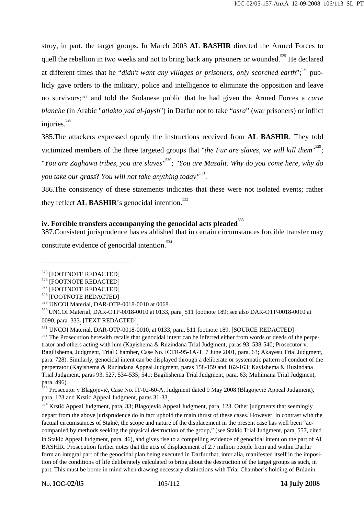stroy, in part, the target groups. In March 2003 **AL BASHIR** directed the Armed Forces to quell the rebellion in two weeks and not to bring back any prisoners or wounded.<sup>525</sup> He declared at different times that he "*didn't want any villages or prisoners, only scorched earth*";<sup>526</sup> publicly gave orders to the military, police and intelligence to eliminate the opposition and leave no survivors;527 and told the Sudanese public that he had given the Armed Forces a *carte blanche* (in Arabic "*atlakto yad al-jaysh*") in Darfur not to take "*asra*" (war prisoners) or inflict injuries. $528$ 

385.The attackers expressed openly the instructions received from **AL BASHIR**. They told victimized members of the three targeted groups that "*the Fur are slaves, we will kill them*"<sup>529</sup>; "*You are Zaghawa tribes, you are slaves"*<sup>530</sup>*; "You are Masalit. Why do you come here, why do you take our grass*? *You will not take anything today"*<sup>531</sup> *.*

386.The consistency of these statements indicates that these were not isolated events; rather they reflect **AL BASHIR**'s genocidal intention.<sup>532</sup>

### iv. Forcible transfers accompanying the genocidal acts pleaded<sup>533</sup>

387.Consistent jurisprudence has established that in certain circumstances forcible transfer may

constitute evidence of genocidal intention.  $534$ 

 $\begin{array}{l} 525 \ 525 \ \ {\rm [FOOTNOTE REDACTERED)}\\ 526 \ \ {\rm [FOOTNOTE REDACTERED)}\\ 527 \ \ {\rm [FOOTNOTE REDACTERED)}\\ 528 \ \ {\rm [FOOTNOTE REDACEED]} \end{array}$ 

<sup>&</sup>lt;sup>529</sup> UNCOI Material, DAR-OTP-0018-0010 at 0068.<br><sup>530</sup> UNCOI Material, DAR-OTP-0018-0010 at 0133, para<sub>.</sub> 511 footnote 189; see also DAR-OTP-0018-0010 at 0090, para<sub>.</sub> 333<sub>;</sub>

 $^{531}$  UNCOI Material, DAR-OTP-0018-0010, at 0133, para. 511 footnote 189. [SOURCE REDACTED]  $^{532}$  The Prosecution herewith recalls that genocidal intent can be inferred either from words or deeds of the perpetrator and others acting with him (Kayishema & Ruzindana Trial Judgment, paras 93, 538-540; Prosecutor v. Bagilishema, Judgment, Trial Chamber, Case No. ICTR-95-1A-T, 7 June 2001, para. 63; Akayesu Trial Judgment, para. 728). Similarly, genocidal intent can be displayed through a deliberate or systematic pattern of conduct of the perpetrator (Kayishema & Ruzindana Appeal Judgment, paras 158-159 and 162-163; Kayishema & Ruzindana Trial Judgment, paras 93, 527, 534-535; 541; Bagilishema Trial Judgment, para. 63; Muhimana Trial Judgment, para. 496).

<sup>533</sup> Prosecutor v Blagojević, Case No. IT-02-60-A, Judgment dated 9 May 2008 (Blagojević Appeal Judgment), para 123 and Krstic Appeal Judgment, paras 31-33

para<sub>.</sub> 123 and Krstic Appeal Judgment, paras 31-33<sub>.</sub><br><sup>534</sup> Krstić Appeal Judgment, para<sub>.</sub> 33; Blagojević Appeal Judgment, para<sub>.</sub> 123. Other judgments that seemingly depart from the above jurisprudence do in fact uphold the main thrust of these cases. However, in contrast with the factual circumstances of Stakić, the scope and nature of the displacement in the present case has well been "accompanied by methods seeking the physical destruction of the group," (see Stakić Trial Judgment, para. 557, cited in Stakić Appeal Judgment, para. 46), and gives rise to a compelling evidence of genocidal intent on the part of AL BASHIR. Prosecution further notes that the acts of displacement of 2.7 million people from and within Darfur form an integral part of the genocidal plan being executed in Darfur that, inter alia, manifested itself in the imposition of the conditions of life deliberately calculated to bring about the destruction of the target groups as such, in part. This must be borne in mind when drawing necessary distinctions with Trial Chamber's holding of Brđanin.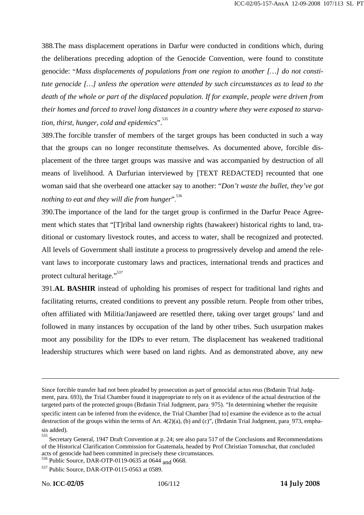388.The mass displacement operations in Darfur were conducted in conditions which, during the deliberations preceding adoption of the Genocide Convention, were found to constitute genocide: "*Mass displacements of populations from one region to another […] do not constitute genocide […] unless the operation were attended by such circumstances as to lead to the death of the whole or part of the displaced population. If for example, people were driven from their homes and forced to travel long distances in a country where they were exposed to starvation, thirst, hunger, cold and epidemics*".535

389.The forcible transfer of members of the target groups has been conducted in such a way that the groups can no longer reconstitute themselves. As documented above, forcible displacement of the three target groups was massive and was accompanied by destruction of all means of livelihood. A Darfurian interviewed by [TEXT REDACTED] recounted that one woman said that she overheard one attacker say to another: "*Don't waste the bullet, they've got nothing to eat and they will die from hunger*". 536

390.The importance of the land for the target group is confirmed in the Darfur Peace Agreement which states that "[T]ribal land ownership rights (hawakeer) historical rights to land, traditional or customary livestock routes, and access to water, shall be recognized and protected. All levels of Government shall institute a process to progressively develop and amend the relevant laws to incorporate customary laws and practices, international trends and practices and protect cultural heritage."<sup>537</sup>

391.**AL BASHIR** instead of upholding his promises of respect for traditional land rights and facilitating returns, created conditions to prevent any possible return. People from other tribes, often affiliated with Militia/Janjaweed are resettled there, taking over target groups' land and followed in many instances by occupation of the land by other tribes. Such usurpation makes moot any possibility for the IDPs to ever return. The displacement has weakened traditional leadership structures which were based on land rights. And as demonstrated above, any new

Since forcible transfer had not been pleaded by prosecution as part of genocidal actus reus (Brđanin Trial Judgment, para. 693), the Trial Chamber found it inappropriate to rely on it as evidence of the actual destruction of the targeted parts of the protected groups (Brđanin Trial Judgment, para. 975). "In determining whether the requisite specific intent can be inferred from the evidence, the Trial Chamber [had to] examine the evidence as to the actual destruction of the groups within the terms of Art. 4(2)(a), (b) and (c)", (Brđanin Trial Judgment, para<sub>.</sub> 973, emphasis added).

<sup>535</sup> Secretary General, 1947 Draft Convention at p. 24; see also para 517 of the Conclusions and Recommendations of the Historical Clarification Commission for Guatemala, headed by Prof Christian Tomuschat, that concluded

 $\frac{536}{9}$  Public Source, DAR-OTP-0119-0635 at 0644 and 0668.

<sup>537</sup> Public Source, DAR-OTP-0115-0563 at 0589.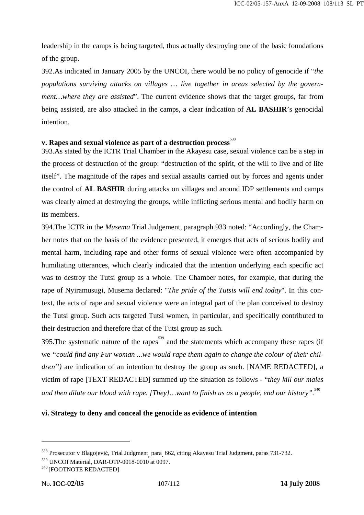leadership in the camps is being targeted, thus actually destroying one of the basic foundations of the group.

392.As indicated in January 2005 by the UNCOI, there would be no policy of genocide if "*the populations surviving attacks on villages … live together in areas selected by the government…where they are assisted*". The current evidence shows that the target groups, far from being assisted, are also attacked in the camps, a clear indication of **AL BASHIR**'s genocidal intention.

# v. Rapes and sexual violence as part of a destruction process<sup>538</sup>

393.As stated by the ICTR Trial Chamber in the Akayesu case, sexual violence can be a step in the process of destruction of the group: "destruction of the spirit, of the will to live and of life itself". The magnitude of the rapes and sexual assaults carried out by forces and agents under the control of **AL BASHIR** during attacks on villages and around IDP settlements and camps was clearly aimed at destroying the groups, while inflicting serious mental and bodily harm on its members.

394.The ICTR in the *Musema* Trial Judgement, paragraph 933 noted: "Accordingly, the Chamber notes that on the basis of the evidence presented, it emerges that acts of serious bodily and mental harm, including rape and other forms of sexual violence were often accompanied by humiliating utterances, which clearly indicated that the intention underlying each specific act was to destroy the Tutsi group as a whole. The Chamber notes, for example, that during the rape of Nyiramusugi, Musema declared: "*The pride of the Tutsis will end today*". In this context, the acts of rape and sexual violence were an integral part of the plan conceived to destroy the Tutsi group. Such acts targeted Tutsi women, in particular, and specifically contributed to their destruction and therefore that of the Tutsi group as such.

395. The systematic nature of the rapes<sup>539</sup> and the statements which accompany these rapes (if we *"could find any Fur woman ...we would rape them again to change the colour of their children*") are indication of an intention to destroy the group as such. [NAME REDACTED], a victim of rape [TEXT REDACTED] summed up the situation as follows - "*they kill our males*  and then dilute our blood with rape. [They]...want to finish us as a people, end our history".<sup>540</sup>

### **vi. Strategy to deny and conceal the genocide as evidence of intention**

<sup>538</sup> Prosecutor v Blagojević, Trial Judgment, para. 662, citing Akayesu Trial Judgment, paras 731-732.

<sup>&</sup>lt;sup>539</sup> UNCOI Material, DAR-OTP-0018-0010 at 0097.<br><sup>540</sup> [FOOTNOTE REDACTED]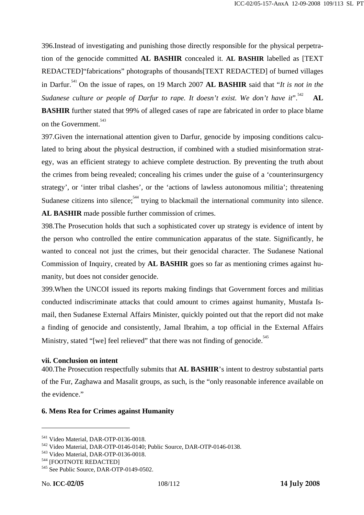396.Instead of investigating and punishing those directly responsible for the physical perpetration of the genocide committed **AL BASHIR** concealed it. **AL BASHIR** labelled as [TEXT REDACTED]"fabrications" photographs of thousands[TEXT REDACTED] of burned villages in Darfur.541 On the issue of rapes, on 19 March 2007 **AL BASHIR** said that "*It is not in the Sudanese culture or people of Darfur to rape. It doesn't exist. We don't have it*<sup>".542</sup> **AL** 

**BASHIR** further stated that 99% of alleged cases of rape are fabricated in order to place blame on the Government.<sup>543</sup>

397.Given the international attention given to Darfur, genocide by imposing conditions calculated to bring about the physical destruction, if combined with a studied misinformation strategy, was an efficient strategy to achieve complete destruction. By preventing the truth about the crimes from being revealed; concealing his crimes under the guise of a 'counterinsurgency strategy', or 'inter tribal clashes', or the 'actions of lawless autonomous militia'; threatening Sudanese citizens into silence;  $544$  trying to blackmail the international community into silence. **AL BASHIR** made possible further commission of crimes.

398.The Prosecution holds that such a sophisticated cover up strategy is evidence of intent by the person who controlled the entire communication apparatus of the state. Significantly, he wanted to conceal not just the crimes, but their genocidal character. The Sudanese National Commission of Inquiry, created by **AL BASHIR** goes so far as mentioning crimes against humanity, but does not consider genocide.

399.When the UNCOI issued its reports making findings that Government forces and militias conducted indiscriminate attacks that could amount to crimes against humanity, Mustafa Ismail, then Sudanese External Affairs Minister, quickly pointed out that the report did not make a finding of genocide and consistently, Jamal Ibrahim, a top official in the External Affairs Ministry, stated "[we] feel relieved" that there was not finding of genocide.<sup>545</sup>

# **vii. Conclusion on intent**

400.The Prosecution respectfully submits that **AL BASHIR**'s intent to destroy substantial parts of the Fur, Zaghawa and Masalit groups, as such, is the "only reasonable inference available on the evidence."

# **6. Mens Rea for Crimes against Humanity**

<sup>&</sup>lt;sup>541</sup> Video Material, DAR-OTP-0136-0018.<br><sup>542</sup> Video Material, DAR-OTP-0146-0140; Public Source, DAR-OTP-0146-0138.<br><sup>543</sup> Video Material, DAR-OTP-0136-0018.<br><sup>544</sup> [FOOTNOTE REDACTED]<br><sup>545</sup> See Public Source, DAR-OTP-0149-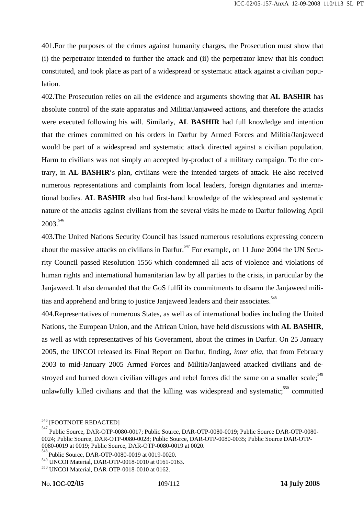401.For the purposes of the crimes against humanity charges, the Prosecution must show that (i) the perpetrator intended to further the attack and (ii) the perpetrator knew that his conduct constituted, and took place as part of a widespread or systematic attack against a civilian population.

402.The Prosecution relies on all the evidence and arguments showing that **AL BASHIR** has absolute control of the state apparatus and Militia/Janjaweed actions, and therefore the attacks were executed following his will. Similarly, **AL BASHIR** had full knowledge and intention that the crimes committed on his orders in Darfur by Armed Forces and Militia/Janjaweed would be part of a widespread and systematic attack directed against a civilian population. Harm to civilians was not simply an accepted by-product of a military campaign. To the contrary, in **AL BASHIR**'s plan, civilians were the intended targets of attack. He also received numerous representations and complaints from local leaders, foreign dignitaries and international bodies. **AL BASHIR** also had first-hand knowledge of the widespread and systematic nature of the attacks against civilians from the several visits he made to Darfur following April 2003.<sup>546</sup>

403.The United Nations Security Council has issued numerous resolutions expressing concern about the massive attacks on civilians in Darfur.<sup>547</sup> For example, on 11 June 2004 the UN Security Council passed Resolution 1556 which condemned all acts of violence and violations of human rights and international humanitarian law by all parties to the crisis, in particular by the Janjaweed. It also demanded that the GoS fulfil its commitments to disarm the Janjaweed militias and apprehend and bring to justice Janjaweed leaders and their associates.<sup>548</sup>

404.Representatives of numerous States, as well as of international bodies including the United Nations, the European Union, and the African Union, have held discussions with **AL BASHIR**, as well as with representatives of his Government, about the crimes in Darfur. On 25 January 2005, the UNCOI released its Final Report on Darfur, finding, *inter alia*, that from February 2003 to mid-January 2005 Armed Forces and Militia/Janjaweed attacked civilians and destroyed and burned down civilian villages and rebel forces did the same on a smaller scale:<sup>549</sup> unlawfully killed civilians and that the killing was widespread and systematic; $\frac{550}{50}$  committed

<sup>&</sup>lt;sup>546</sup> [FOOTNOTE REDACTED]

Public Source, DAR-OTP-0080-0017; Public Source, DAR-OTP-0080-0019; Public Source DAR-OTP-0080- 0024; Public Source, DAR-OTP-0080-0028; Public Source, DAR-OTP-0080-0035; Public Source DAR-OTP-0080-0019 at 0019; Public Source, DAR-OTP-0080-0019 at 0020.

<sup>548</sup>  Public Source, DAR-OTP-0080-0019 at 0019-0020.

<sup>&</sup>lt;sup>549</sup> UNCOI Material, DAR-OTP-0018-0010 at 0161-0163.<br><sup>550</sup> UNCOI Material, DAR-OTP-0018-0010 at 0162.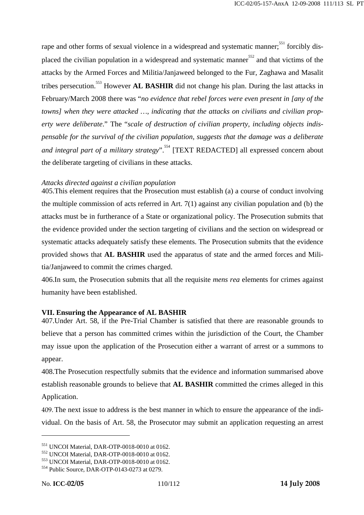rape and other forms of sexual violence in a widespread and systematic manner;<sup>551</sup> forcibly displaced the civilian population in a widespread and systematic manner $552$  and that victims of the attacks by the Armed Forces and Militia/Janjaweed belonged to the Fur, Zaghawa and Masalit tribes persecution.<sup>553</sup> However **AL BASHIR** did not change his plan. During the last attacks in February/March 2008 there was "*no evidence that rebel forces were even present in [any of the towns] when they were attacked …, indicating that the attacks on civilians and civilian property were deliberate*." The "*scale of destruction of civilian property, including objects indispensable for the survival of the civilian population, suggests that the damage was a deliberate and integral part of a military strategy*".<sup>554</sup> [TEXT REDACTED] all expressed concern about the deliberate targeting of civilians in these attacks.

### *Attacks directed against a civilian population*

405.This element requires that the Prosecution must establish (a) a course of conduct involving the multiple commission of acts referred in Art.  $7(1)$  against any civilian population and (b) the attacks must be in furtherance of a State or organizational policy. The Prosecution submits that the evidence provided under the section targeting of civilians and the section on widespread or systematic attacks adequately satisfy these elements. The Prosecution submits that the evidence provided shows that **AL BASHIR** used the apparatus of state and the armed forces and Militia/Janjaweed to commit the crimes charged.

406.In sum, the Prosecution submits that all the requisite *mens rea* elements for crimes against humanity have been established.

### **VII. Ensuring the Appearance of AL BASHIR**

407.Under Art. 58, if the Pre-Trial Chamber is satisfied that there are reasonable grounds to believe that a person has committed crimes within the jurisdiction of the Court, the Chamber may issue upon the application of the Prosecution either a warrant of arrest or a summons to appear.

408.The Prosecution respectfully submits that the evidence and information summarised above establish reasonable grounds to believe that **AL BASHIR** committed the crimes alleged in this Application.

409.The next issue to address is the best manner in which to ensure the appearance of the individual. On the basis of Art. 58, the Prosecutor may submit an application requesting an arrest

<sup>&</sup>lt;sup>551</sup> UNCOI Material, DAR-OTP-0018-0010 at 0162.<br><sup>552</sup> UNCOI Material, DAR-OTP-0018-0010 at 0162.<br><sup>553</sup> UNCOI Material, DAR-OTP-0018-0010 at 0162.<br><sup>554</sup> Public Source, DAR-OTP-0143-0273 at 0279.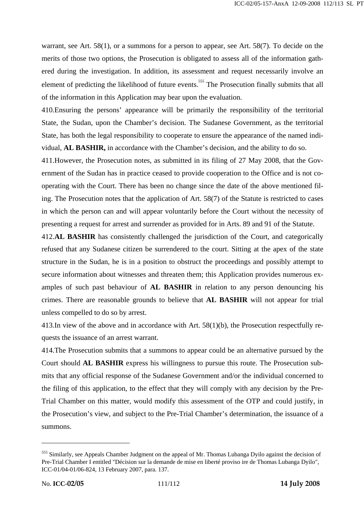warrant, see Art. 58(1), or a summons for a person to appear, see Art. 58(7). To decide on the merits of those two options, the Prosecution is obligated to assess all of the information gathered during the investigation. In addition, its assessment and request necessarily involve an element of predicting the likelihood of future events.<sup>555</sup> The Prosecution finally submits that all of the information in this Application may bear upon the evaluation.

410.Ensuring the persons' appearance will be primarily the responsibility of the territorial State, the Sudan, upon the Chamber's decision. The Sudanese Government, as the territorial State, has both the legal responsibility to cooperate to ensure the appearance of the named individual, **AL BASHIR,** in accordance with the Chamber's decision, and the ability to do so.

411.However, the Prosecution notes, as submitted in its filing of 27 May 2008, that the Government of the Sudan has in practice ceased to provide cooperation to the Office and is not cooperating with the Court. There has been no change since the date of the above mentioned filing. The Prosecution notes that the application of Art. 58(7) of the Statute is restricted to cases in which the person can and will appear voluntarily before the Court without the necessity of presenting a request for arrest and surrender as provided for in Arts. 89 and 91 of the Statute.

412.**AL BASHIR** has consistently challenged the jurisdiction of the Court, and categorically refused that any Sudanese citizen be surrendered to the court. Sitting at the apex of the state structure in the Sudan, he is in a position to obstruct the proceedings and possibly attempt to secure information about witnesses and threaten them; this Application provides numerous examples of such past behaviour of **AL BASHIR** in relation to any person denouncing his crimes. There are reasonable grounds to believe that **AL BASHIR** will not appear for trial unless compelled to do so by arrest.

413.In view of the above and in accordance with Art. 58(1)(b), the Prosecution respectfully requests the issuance of an arrest warrant.

414.The Prosecution submits that a summons to appear could be an alternative pursued by the Court should **AL BASHIR** express his willingness to pursue this route. The Prosecution submits that any official response of the Sudanese Government and/or the individual concerned to the filing of this application, to the effect that they will comply with any decision by the Pre-Trial Chamber on this matter, would modify this assessment of the OTP and could justify, in the Prosecution's view, and subject to the Pre-Trial Chamber's determination, the issuance of a summons.

<sup>&</sup>lt;sup>555</sup> Similarly, see Appeals Chamber Judgment on the appeal of Mr. Thomas Lubanga Dyilo against the decision of Pre-Trial Chamber I entitled "Décision sur la demande de mise en liberté proviso ire de Thomas Lubanga Dyilo", ICC-01/04-01/06-824, 13 February 2007, para. 137.